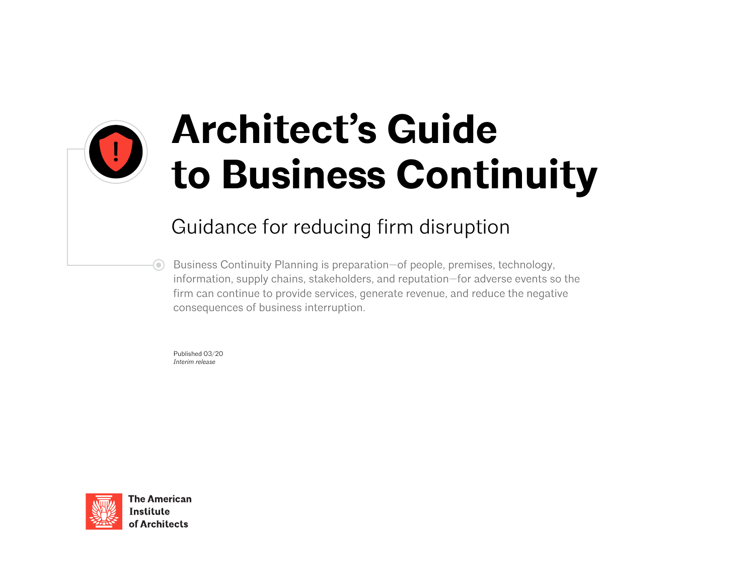

# **Architect's Guide to Business Continuity**

# Guidance for reducing firm disruption

Business Continuity Planning is preparation—of people, premises, technology, information, supply chains, stakeholders, and reputation—for adverse events so the firm can continue to provide services, generate revenue, and reduce the negative consequences of business interruption.

Published 03/20 *Interim release*



**The American Institute** of Architects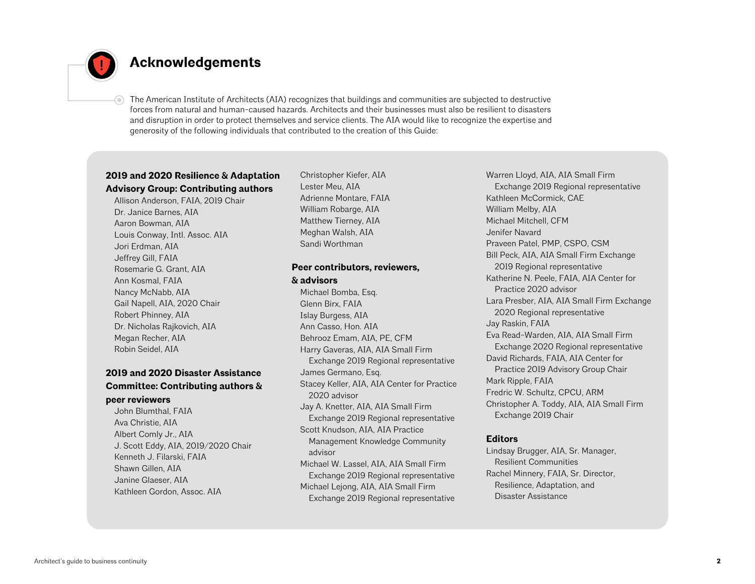

⊙

## **Acknowledgements**

The American Institute of Architects (AIA) recognizes that buildings and communities are subjected to destructive forces from natural and human-caused hazards. Architects and their businesses must also be resilient to disasters and disruption in order to protect themselves and service clients. The AIA would like to recognize the expertise and generosity of the following individuals that contributed to the creation of this Guide:

## **2019 and 2020 Resilience & Adaptation Advisory Group: Contributing authors**

Allison Anderson, FAIA, 2019 Chair Dr. Janice Barnes, AIA Aaron Bowman, AIA Louis Conway, Intl. Assoc. AIA Jori Erdman, AIA Jeffrey Gill, FAIA Rosemarie G. Grant, AIA Ann Kosmal, FAIA Nancy McNabb, AIA Gail Napell, AIA, 2020 Chair Robert Phinney, AIA Dr. Nicholas Rajkovich, AIA Megan Recher, AIA Robin Seidel, AIA

### **2019 and 2020 Disaster Assistance Committee: Contributing authors & peer reviewers**

John Blumthal, FAIA Ava Christie, AIA Albert Comly Jr., AIA J. Scott Eddy, AIA, 2019/2020 Chair Kenneth J. Filarski, FAIA Shawn Gillen, AIA Janine Glaeser, AIA Kathleen Gordon, Assoc. AIA

Christopher Kiefer, AIA Lester Meu, AIA Adrienne Montare, FAIA William Robarge, AIA Matthew Tierney, AIA Meghan Walsh, AIA Sandi Worthman

## **Peer contributors, reviewers,**

**& advisors**

Michael Bomba, Esq. Glenn Birx, FAIA Islay Burgess, AIA Ann Casso, Hon. AIA Behrooz Emam, AIA, PE, CFM Harry Gaveras, AIA, AIA Small Firm Exchange 2019 Regional representative James Germano, Esq. Stacey Keller, AIA, AIA Center for Practice 2020 advisor Jay A. Knetter, AIA, AIA Small Firm Exchange 2019 Regional representative Scott Knudson, AIA, AIA Practice Management Knowledge Community advisor Michael W. Lassel, AIA, AIA Small Firm Exchange 2019 Regional representative Michael Lejong, AIA, AIA Small Firm Exchange 2019 Regional representative

Warren Lloyd, AIA, AIA Small Firm Exchange 2019 Regional representative Kathleen McCormick, CAE William Melby, AIA Michael Mitchell, CFM Jenifer Navard Praveen Patel, PMP, CSPO, CSM Bill Peck, AIA, AIA Small Firm Exchange 2019 Regional representative Katherine N. Peele, FAIA, AIA Center for Practice 2020 advisor Lara Presber, AIA, AIA Small Firm Exchange 2020 Regional representative Jay Raskin, FAIA Eva Read-Warden, AIA, AIA Small Firm Exchange 2020 Regional representative David Richards, FAIA, AIA Center for Practice 2019 Advisory Group Chair Mark Ripple, FAIA Fredric W. Schultz, CPCU, ARM Christopher A. Toddy, AIA, AIA Small Firm Exchange 2019 Chair

#### **Editors**

Lindsay Brugger, AIA, Sr. Manager, Resilient Communities Rachel Minnery, FAIA, Sr. Director, Resilience, Adaptation, and Disaster Assistance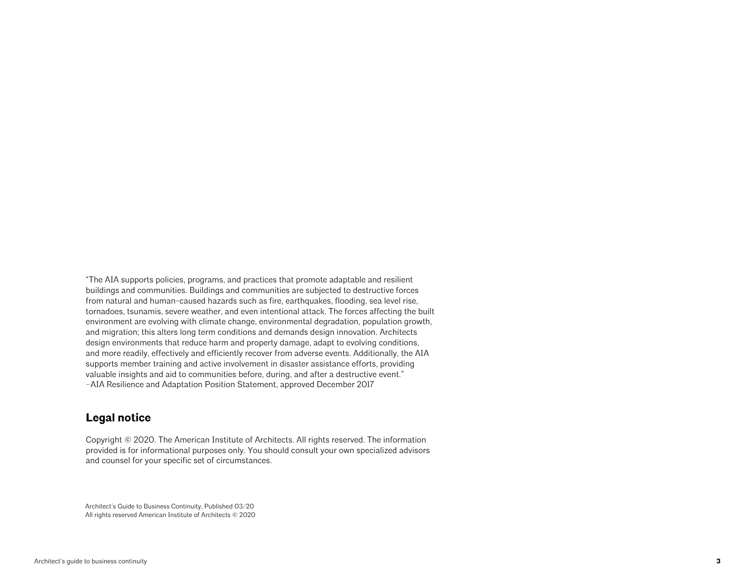"The AIA supports policies, programs, and practices that promote adaptable and resilient buildings and communities. Buildings and communities are subjected to destructive forces from natural and human-caused hazards such as fire, earthquakes, flooding, sea level rise, tornadoes, tsunamis, severe weather, and even intentional attack. The forces affecting the built environment are evolving with climate change, environmental degradation, population growth, and migration; this alters long term conditions and demands design innovation. Architects design environments that reduce harm and property damage, adapt to evolving conditions, and more readily, effectively and efficiently recover from adverse events. Additionally, the AIA supports member training and active involvement in disaster assistance efforts, providing valuable insights and aid to communities before, during, and after a destructive event." –AIA Resilience and Adaptation Position Statement, approved December 2017

## **Legal notice**

Copyright © 2020. The American Institute of Architects. All rights reserved. The information provided is for informational purposes only. You should consult your own specialized advisors and counsel for your specific set of circumstances.

Architect's Guide to Business Continuity, Published 03/20 All rights reserved American Institute of Architects © 2020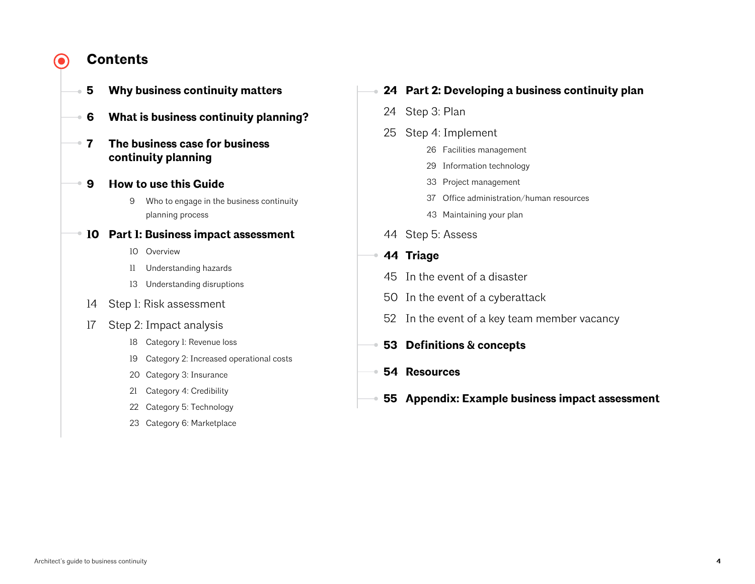#### **Contents** $\bullet$

- **Why business continuity matters**
- **What is business continuity planning?**
- **7 The business case for business continuity planning**
- **How to use this Guide**
	- Who to engage in the business continuity planning process
- **Part 1: Business impact assessment**
	- Overview
	- Understanding hazards
	- Understanding disruptions
	- Step 1: Risk assessment
	- Step 2: Impact analysis
		- Category 1: Revenue loss
		- Category 2: Increased operational costs
		- Category 3: Insurance
		- Category 4: Credibility
		- Category 5: Technology
		- Category 6: Marketplace

## **Part 2: Developing a business continuity plan**

- Step 3: Plan
- Step 4: Implement
	- Facilities management
		- Information technology
	- Project management
	- Office administration/human resources
	- Maintaining your plan
- Step 5: Assess
- **Triage** 
	- In the event of a disaster
	- In the event of a cyberattack
	- In the event of a key team member vacancy
- **Definitions & concepts**
- **Resources**
- **Appendix: Example business impact assessment**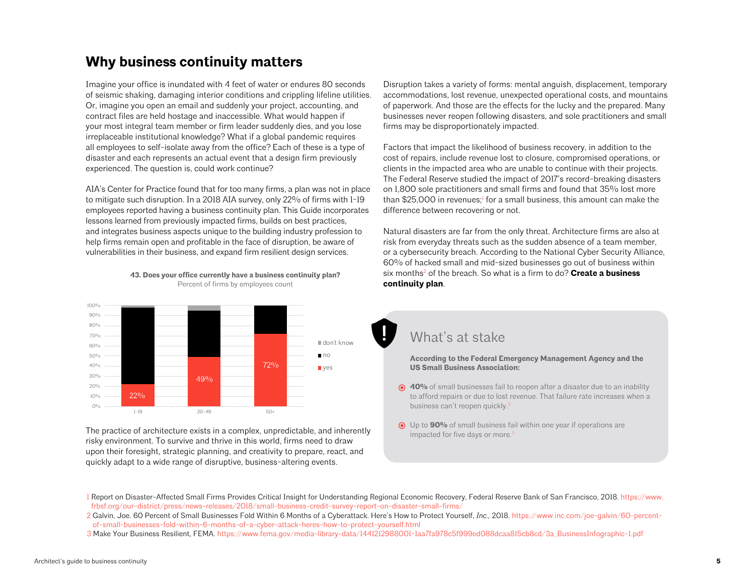## **Why business continuity matters**

Imagine your office is inundated with 4 feet of water or endures 80 seconds of seismic shaking, damaging interior conditions and crippling lifeline utilities. Or, imagine you open an email and suddenly your project, accounting, and contract files are held hostage and inaccessible. What would happen if your most integral team member or firm leader suddenly dies, and you lose irreplaceable institutional knowledge? What if a global pandemic requires all employees to self-isolate away from the office? Each of these is a type of disaster and each represents an actual event that a design firm previously experienced. The question is, could work continue?

AIA's Center for Practice found that for too many firms, a plan was not in place to mitigate such disruption. In a 2018 AIA survey, only 22% of firms with 1-19 employees reported having a business continuity plan. This Guide incorporates lessons learned from previously impacted firms, builds on best practices, and integrates business aspects unique to the building industry profession to and integrates business aspects unique to the bunding muustry profession t<br>help firms remain open and profitable in the face of disruption, be aware of rorp mino remain open and promains in the race or disruption, so aware with promains by employees.



**43. Does your office currently have a business continuity plan?** Percent of firms by employees count

The practice of architecture exists in a complex, unpredictable, and inherently risky environment. To survive and thrive in this world, firms need to draw upon their foresight, strategic planning, and creativity to prepare, react, and quickly adapt to a wide range of disruptive, business-altering events.

Disruption takes a variety of forms: mental anguish, displacement, temporary accommodations, lost revenue, unexpected operational costs, and mountains of paperwork. And those are the effects for the lucky and the prepared. Many businesses never reopen following disasters, and sole practitioners and small firms may be disproportionately impacted.

Factors that impact the likelihood of business recovery, in addition to the cost of repairs, include revenue lost to closure, compromised operations, or clients in the impacted area who are unable to continue with their projects. The Federal Reserve studied the impact of 2017's record-breaking disasters on 1,800 sole practitioners and small firms and found that 35% lost more than \$25,000 in revenues;<sup>!</sup> for a small business, this amount can make the difference between recovering or not.

Natural disasters are far from the only threat. Architecture firms are also at risk from everyday threats such as the sudden absence of a team member, or a cybersecurity breach. According to the National Cyber Security Alliance, 60% of hacked small and mid-sized businesses go out of business within six months<sup>2</sup> of the breach. So what is a firm to do? **Create a business continuity plan**.

## What's at stake

**According to the Federal Emergency Management Agency and the US Small Business Association:**

- **40%** of small businesses fail to reopen after a disaster due to an inability to afford repairs or due to lost revenue. That failure rate increases when a business can't reopen quickly.<sup>3</sup>
- Up to **90%** of small business fail within one year if operations are impacted for five days or more.<sup>3</sup>

3 Make Your Business Resilient, FEMA. [https://www.fema.gov/media-library-data/1441212988001-1aa7fa978c5f999ed088dcaa815cb8cd/3a\\_BusinessInfographic-1.pdf](https://www.fema.gov/media-library-data/1441212988001-1aa7fa978c5f999ed088dcaa815cb8cd/3a_BusinessInfographic-1.pdf)

<sup>1</sup> Report on Disaster-Affected Small Firms Provides Critical Insight for Understanding Regional Economic Recovery, Federal Reserve Bank of San Francisco, 2018. [https://www.](https://www.frbsf.org/our-district/press/news-releases/2018/small-business-credit-survey-report-on-disaster-small-firms/) [frbsf.org/our-district/press/news-releases/2018/small-business-credit-survey-report-on-disaster-small-firms/](https://www.frbsf.org/our-district/press/news-releases/2018/small-business-credit-survey-report-on-disaster-small-firms/)

<sup>2</sup> Galvin, Joe. 60 Percent of Small Businesses Fold Within 6 Months of a Cyberattack. Here's How to Protect Yourself, *Inc.,* 2018. [https://www.inc.com/joe-galvin/60-percent](https://www.inc.com/joe-galvin/60-percent-of-small-businesses-fold-within-6-months-of-a-cyber-attack-heres-how-to-protect-yourself.html)[of-small-businesses-fold-within-6-months-of-a-cyber-attack-heres-how-to-protect-yourself.html](https://www.inc.com/joe-galvin/60-percent-of-small-businesses-fold-within-6-months-of-a-cyber-attack-heres-how-to-protect-yourself.html)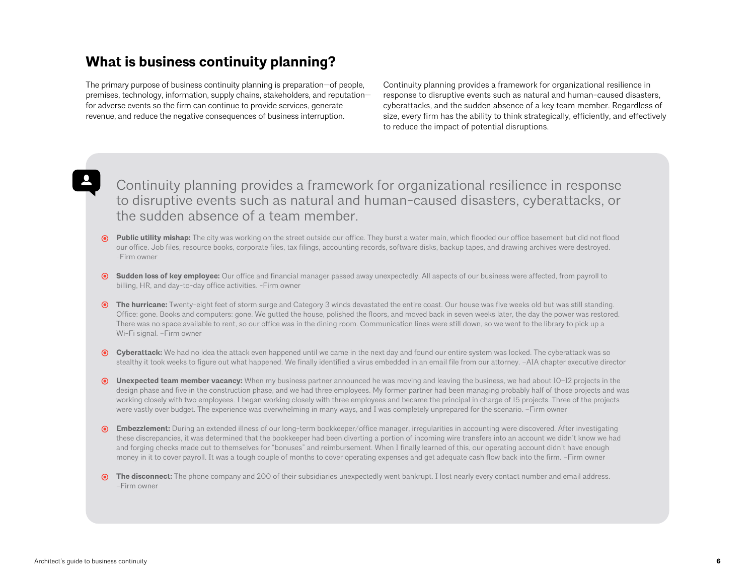## **What is business continuity planning?**

The primary purpose of business continuity planning is preparation—of people, premises, technology, information, supply chains, stakeholders, and reputation for adverse events so the firm can continue to provide services, generate revenue, and reduce the negative consequences of business interruption.

Continuity planning provides a framework for organizational resilience in response to disruptive events such as natural and human-caused disasters, cyberattacks, and the sudden absence of a key team member. Regardless of size, every firm has the ability to think strategically, efficiently, and effectively to reduce the impact of potential disruptions.

## Continuity planning provides a framework for organizational resilience in response to disruptive events such as natural and human-caused disasters, cyberattacks, or the sudden absence of a team member.

- **Public utility mishap:** The city was working on the street outside our office. They burst a water main, which flooded our office basement but did not flood our office. Job files, resource books, corporate files, tax filings, accounting records, software disks, backup tapes, and drawing archives were destroyed. -Firm owner
- **Sudden loss of key employee:** Our office and financial manager passed away unexpectedly. All aspects of our business were affected, from payroll to billing, HR, and day-to-day office activities. -Firm owner
- **The hurricane:** Twenty-eight feet of storm surge and Category 3 winds devastated the entire coast. Our house was five weeks old but was still standing. Office: gone. Books and computers: gone. We gutted the house, polished the floors, and moved back in seven weeks later, the day the power was restored. There was no space available to rent, so our office was in the dining room. Communication lines were still down, so we went to the library to pick up a Wi-Fi signal. –Firm owner
- **Cyberattack:** We had no idea the attack even happened until we came in the next day and found our entire system was locked. The cyberattack was so stealthy it took weeks to figure out what happened. We finally identified a virus embedded in an email file from our attorney. –AIA chapter executive director
- **Unexpected team member vacancy:** When my business partner announced he was moving and leaving the business, we had about 10–12 projects in the design phase and five in the construction phase, and we had three employees. My former partner had been managing probably half of those projects and was working closely with two employees. I began working closely with three employees and became the principal in charge of 15 projects. Three of the projects were vastly over budget. The experience was overwhelming in many ways, and I was completely unprepared for the scenario. –Firm owner
- **Embezzlement:** During an extended illness of our long-term bookkeeper/office manager, irregularities in accounting were discovered. After investigating these discrepancies, it was determined that the bookkeeper had been diverting a portion of incoming wire transfers into an account we didn't know we had and forging checks made out to themselves for "bonuses" and reimbursement. When I finally learned of this, our operating account didn't have enough money in it to cover payroll. It was a tough couple of months to cover operating expenses and get adequate cash flow back into the firm. –Firm owner
- **The disconnect:** The phone company and 200 of their subsidiaries unexpectedly went bankrupt. I lost nearly every contact number and email address. –Firm owner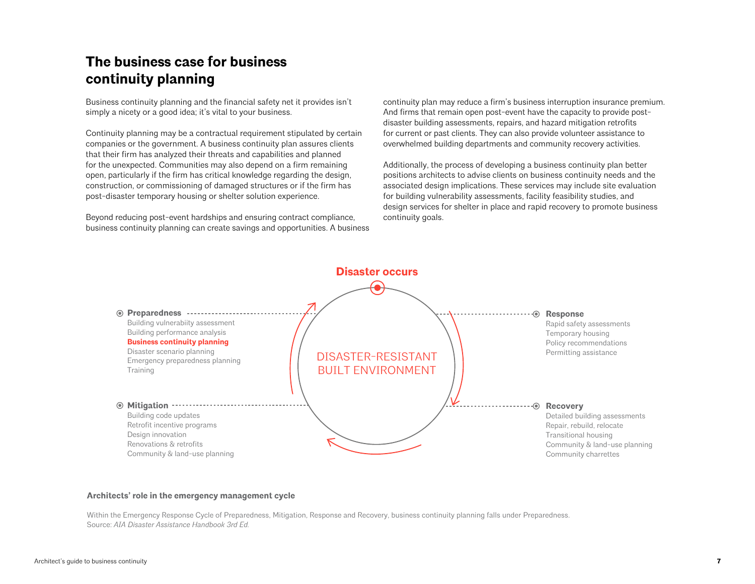# **The business case for business continuity planning**

Business continuity planning and the financial safety net it provides isn't simply a nicety or a good idea; it's vital to your business.

Continuity planning may be a contractual requirement stipulated by certain companies or the government. A business continuity plan assures clients that their firm has analyzed their threats and capabilities and planned for the unexpected. Communities may also depend on a firm remaining open, particularly if the firm has critical knowledge regarding the design, construction, or commissioning of damaged structures or if the firm has post-disaster temporary housing or shelter solution experience.

Beyond reducing post-event hardships and ensuring contract compliance, business continuity planning can create savings and opportunities. A business continuity plan may reduce a firm's business interruption insurance premium. And firms that remain open post-event have the capacity to provide postdisaster building assessments, repairs, and hazard mitigation retrofits for current or past clients. They can also provide volunteer assistance to overwhelmed building departments and community recovery activities.

Additionally, the process of developing a business continuity plan better positions architects to advise clients on business continuity needs and the associated design implications. These services may include site evaluation for building vulnerability assessments, facility feasibility studies, and design services for shelter in place and rapid recovery to promote business continuity goals.



#### **Architects' role in the emergency management cycle**

Within the Emergency Response Cycle of Preparedness, Mitigation, Response and Recovery, business continuity planning falls under Preparedness. Source: *AIA Disaster Assistance Handbook 3rd Ed.*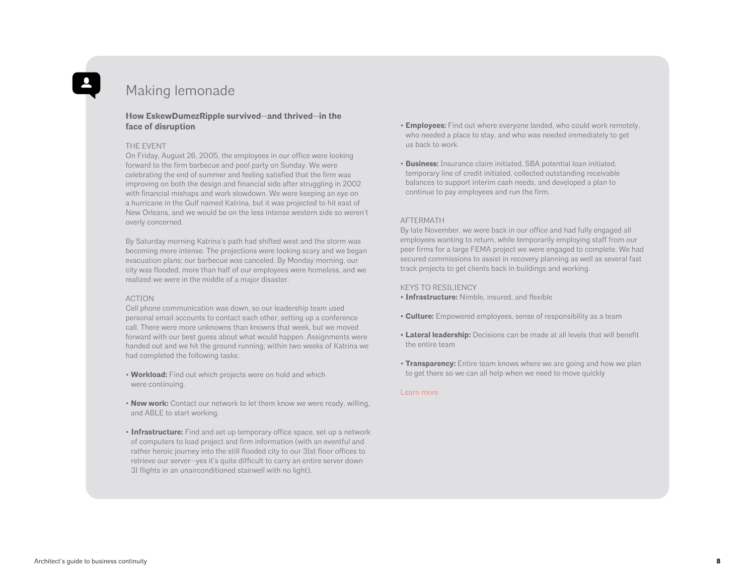## Making lemonade

#### **How EskewDumezRipple survived—and thrived—in the face of disruption**

#### THE EVENT

On Friday, August 26, 2005, the employees in our office were looking forward to the firm barbecue and pool party on Sunday. We were celebrating the end of summer and feeling satisfied that the firm was improving on both the design and financial side after struggling in 2002 with financial mishaps and work slowdown. We were keeping an eye on a hurricane in the Gulf named Katrina, but it was projected to hit east of New Orleans, and we would be on the less intense western side so weren't overly concerned.

By Saturday morning Katrina's path had shifted west and the storm was becoming more intense. The projections were looking scary and we began evacuation plans; our barbecue was canceled. By Monday morning, our city was flooded, more than half of our employees were homeless, and we realized we were in the middle of a major disaster.

#### ACTION

Cell phone communication was down, so our leadership team used personal email accounts to contact each other, setting up a conference call. There were more unknowns than knowns that week, but we moved forward with our best guess about what would happen. Assignments were handed out and we hit the ground running; within two weeks of Katrina we had completed the following tasks:

- **Workload:** Find out which projects were on hold and which were continuing.
- **New work:** Contact our network to let them know we were ready, willing, and ABLE to start working.
- **Infrastructure:** Find and set up temporary office space, set up a network of computers to load project and firm information (with an eventful and rather heroic journey into the still flooded city to our 31st floor offices to retrieve our server—yes it's quite difficult to carry an entire server down 31 flights in an unairconditioned stairwell with no light).
- **Employees:** Find out where everyone landed, who could work remotely, who needed a place to stay, and who was needed immediately to get us back to work.
- **Business:** Insurance claim initiated, SBA potential loan initiated, temporary line of credit initiated, collected outstanding receivable balances to support interim cash needs, and developed a plan to continue to pay employees and run the firm.

#### AFTERMATH

By late November, we were back in our office and had fully engaged all employees wanting to return, while temporarily employing staff from our peer firms for a large FEMA project we were engaged to complete. We had secured commissions to assist in recovery planning as well as several fast track projects to get clients back in buildings and working.

#### KEYS TO RESILIENCY

**• Infrastructure:** Nimble, insured, and flexible

- **Culture:** Empowered employees, sense of responsibility as a team
- **Lateral leadership:** Decisions can be made at all levels that will benefit the entire team
- **Transparency:** Entire team knows where we are going and how we plan to get there so we can all help when we need to move quickly

#### [Learn more](https://www.di.net/articles/learning-resilience/)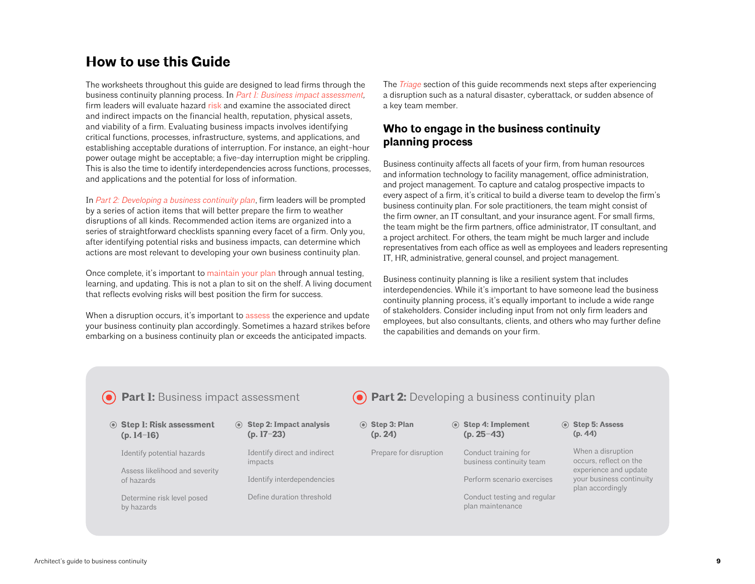## **How to use this Guide**

The worksheets throughout this guide are designed to lead firms through the business continuity planning process. In *Part [1: Business impact assessment](#page-9-0),*  firm leaders will evaluate hazard [risk](#page-52-0) and examine the associated direct and indirect impacts on the financial health, reputation, physical assets, and viability of a firm. Evaluating business impacts involves identifying critical functions, processes, infrastructure, systems, and applications, and establishing acceptable durations of interruption. For instance, an eight-hour power outage might be acceptable; a five-day interruption might be crippling. This is also the time to identify interdependencies across functions, processes, and applications and the potential for loss of information.

In *Par[t 2: Developing a business continuity](#page-23-0) plan*, firm leaders will be prompted by a series of action items that will better prepare the firm to weather disruptions of all kinds. Recommended action items are organized into a series of straightforward checklists spanning every facet of a firm. Only you, after identifying potential risks and business impacts, can determine which actions are most relevant to developing your own business continuity plan.

Once complete, it's important to [maintain your plan](#page-42-0) through annual testing, learning, and updating. This is not a plan to sit on the shelf. A living document that reflects evolving risks will best position the firm for success.

When a disruption occurs, it's important to [assess](#page-43-0) the experience and update your business continuity plan accordingly. Sometimes a hazard strikes before embarking on a business continuity plan or exceeds the anticipated impacts.

The *Triage* [section](#page-43-0) of this guide recommends next steps after experiencing a disruption such as a natural disaster, cyberattack, or sudden absence of a key team member.

## **Who to engage in the business continuity planning process**

Business continuity affects all facets of your firm, from human resources and information technology to facility management, office administration, and project management. To capture and catalog prospective impacts to every aspect of a firm, it's critical to build a diverse team to develop the firm's business continuity plan. For sole practitioners, the team might consist of the firm owner, an IT consultant, and your insurance agent. For small firms, the team might be the firm partners, office administrator, IT consultant, and a project architect. For others, the team might be much larger and include representatives from each office as well as employees and leaders representing IT, HR, administrative, general counsel, and project management.

Business continuity planning is like a resilient system that includes interdependencies. While it's important to have someone lead the business continuity planning process, it's equally important to include a wide range of stakeholders. Consider including input from not only firm leaders and employees, but also consultants, clients, and others who may further define the capabilities and demands on your firm.

| <b>O</b> Part I: Business impact assessment      |                                           | <b>O</b> Part 2: Developing a business continuity plan |                                                  |                                                                       |  |
|--------------------------------------------------|-------------------------------------------|--------------------------------------------------------|--------------------------------------------------|-----------------------------------------------------------------------|--|
| <b>◎ Step I: Risk assessment</b><br>$(p. 14-16)$ | ◉ Step 2: Impact analysis<br>$(p. 17-23)$ | Step 3: Plan<br>(p. 24)                                | ◉ Step 4: Implement<br>$(p. 25-43)$              | Step 5: Assess<br>(p. 44)                                             |  |
| Identify potential hazards                       | Identify direct and indirect<br>impacts   | Prepare for disruption                                 | Conduct training for<br>business continuity team | When a disruption<br>occurs, reflect on the                           |  |
| Assess likelihood and severity<br>of hazards     | Identify interdependencies                |                                                        | Perform scenario exercises                       | experience and update<br>your business continuity<br>plan accordingly |  |
| Determine risk level posed<br>by hazards         | Define duration threshold                 |                                                        | Conduct testing and regular<br>plan maintenance  |                                                                       |  |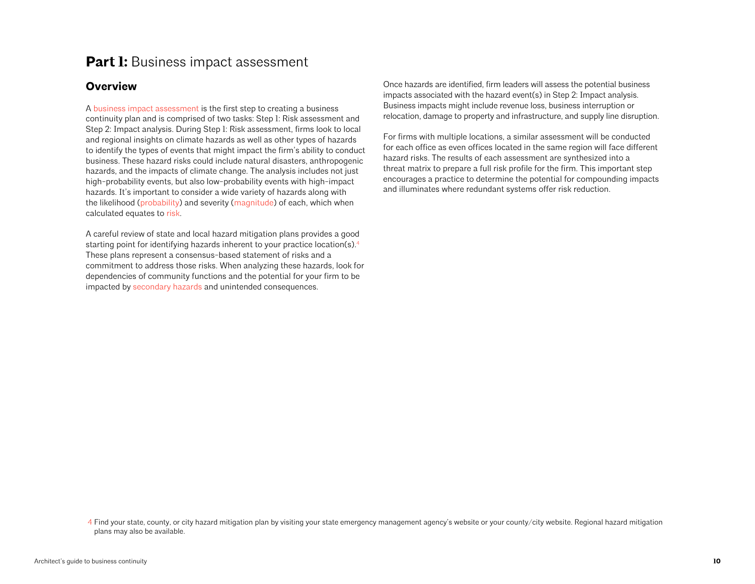## <span id="page-9-0"></span>**Part I:** Business impact assessment

## **Overview**

A [business impact assessment](#page-14-0) is the first step to creating a business continuity plan and is comprised of two tasks: Step 1: Risk assessment and Step 2: Impact analysis. During Step 1: Risk assessment, firms look to local and regional insights on climate hazards as well as other types of hazards to identify the types of events that might impact the firm's ability to conduct business. These hazard risks could include natural disasters, anthropogenic hazards, and the impacts of climate change. The analysis includes not just high-probability events, but also low-probability events with high-impact hazards. It's important to consider a wide variety of hazards along with the likelihood [\(probability](#page-52-0)) and severity ([magnitude](#page-52-0)) of each, which when calculated equates to [risk.](#page-52-0)

A careful review of state and local hazard mitigation plans provides a good starting point for identifying hazards inherent to your practice location(s).<sup>4</sup> These plans represent a consensus-based statement of risks and a commitment to address those risks. When analyzing these hazards, look for dependencies of community functions and the potential for your firm to be impacted by [secondary hazards](#page-52-0) and unintended consequences.

Once hazards are identified, firm leaders will assess the potential business impacts associated with the hazard event(s) in Step 2: Impact analysis. Business impacts might include revenue loss, business interruption or relocation, damage to property and infrastructure, and supply line disruption.

For firms with multiple locations, a similar assessment will be conducted for each office as even offices located in the same region will face different hazard risks. The results of each assessment are synthesized into a threat matrix to prepare a full risk profile for the firm. This important step encourages a practice to determine the potential for compounding impacts and illuminates where redundant systems offer risk reduction.

4 Find your state, county, or city hazard mitigation plan by visiting your state emergency management agency's website or your county/city website. Regional hazard mitigation plans may also be available.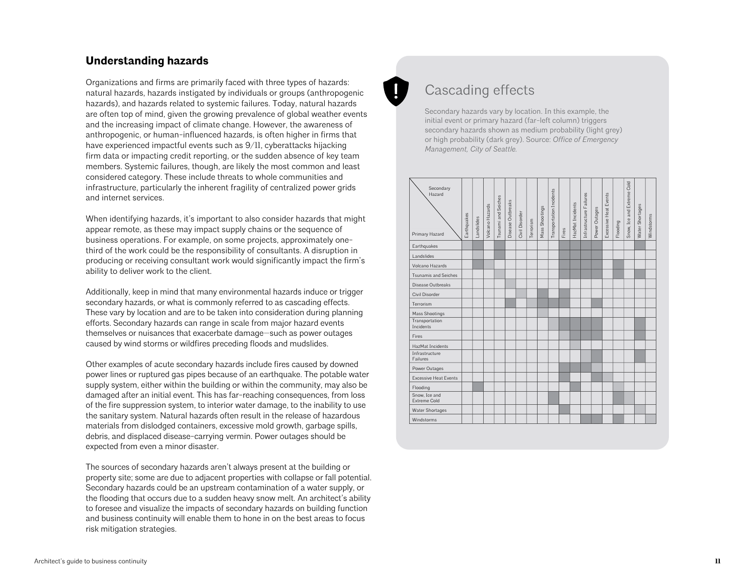## **Understanding hazards**

Organizations and firms are primarily faced with three types of hazards: natural hazards, hazards instigated by individuals or groups (anthropogenic hazards), and hazards related to systemic failures. Today, natural hazards are often top of mind, given the growing prevalence of global weather events and the increasing impact of climate change. However, the awareness of anthropogenic, or human-influenced hazards, is often higher in firms that have experienced impactful events such as 9/11, cyberattacks hijacking firm data or impacting credit reporting, or the sudden absence of key team members. Systemic failures, though, are likely the most common and least considered category. These include threats to whole communities and infrastructure, particularly the inherent fragility of centralized power grids and internet services.

# Cascading effects

Secondary hazards vary by location. In this example, the initial event or primary hazard (far-left column) triggers secondary hazards shown as medium probability (light grey) or high probability (dark grey). Source: *Office of Emergency Management, City of Seattle.*

| and internet services.                                                                                                                                    | Transportation Incidents<br>and Extreme<br>Hazard<br>Excessive Heat Events<br>Infrastructure Failures<br>Outbr                                                                                                                    |
|-----------------------------------------------------------------------------------------------------------------------------------------------------------|-----------------------------------------------------------------------------------------------------------------------------------------------------------------------------------------------------------------------------------|
| When identifying hazards, it's important to also consider hazards that might<br>appear remote, as these may impact supply chains or the sequence of       | Tsunami and Seich<br>HazMat Incidents<br>Volcano Hazards<br>Water Shortages<br>Mass Shootings<br>Power Outages<br>Civil Disorder<br>Windstorms<br>Earthqual<br>Terrorism<br>Snow, Ice<br>Flooding<br>Fires<br>Primary Hazard<br>å |
| business operations. For example, on some projects, approximately one-                                                                                    | Earthquakes                                                                                                                                                                                                                       |
| third of the work could be the responsibility of consultants. A disruption in                                                                             | Landslides                                                                                                                                                                                                                        |
| producing or receiving consultant work would significantly impact the firm's                                                                              | Volcano Hazards                                                                                                                                                                                                                   |
| ability to deliver work to the client.                                                                                                                    | <b>Tsunamis and Seiches</b>                                                                                                                                                                                                       |
|                                                                                                                                                           | Disease Outbreaks                                                                                                                                                                                                                 |
| Additionally, keep in mind that many environmental hazards induce or trigger                                                                              | Civil Disorder                                                                                                                                                                                                                    |
| secondary hazards, or what is commonly referred to as cascading effects.<br>These vary by location and are to be taken into consideration during planning | Terrorism                                                                                                                                                                                                                         |
| efforts. Secondary hazards can range in scale from major hazard events                                                                                    | Mass Shootings<br>Transportation                                                                                                                                                                                                  |
| themselves or nuisances that exacerbate damage-such as power outages                                                                                      | Incidents                                                                                                                                                                                                                         |
| caused by wind storms or wildfires preceding floods and mudslides.                                                                                        | Fires                                                                                                                                                                                                                             |
|                                                                                                                                                           | HazMat Incidents<br>Infrastructure                                                                                                                                                                                                |
| Other examples of acute secondary hazards include fires caused by downed                                                                                  | Failures                                                                                                                                                                                                                          |
| power lines or ruptured gas pipes because of an earthquake. The potable water                                                                             | Power Outages                                                                                                                                                                                                                     |
| supply system, either within the building or within the community, may also be                                                                            | <b>Excessive Heat Events</b><br>Flooding                                                                                                                                                                                          |
| damaged after an initial event. This has far-reaching consequences, from loss                                                                             | Snow, Ice and                                                                                                                                                                                                                     |
| of the fire suppression system, to interior water damage, to the inability to use                                                                         | Extreme Cold                                                                                                                                                                                                                      |
| the sanitary system. Natural hazards often result in the release of hazardous                                                                             | <b>Water Shortages</b><br>Windstorms                                                                                                                                                                                              |
| materials from dislodged containers, excessive mold growth, garbage spills,                                                                               |                                                                                                                                                                                                                                   |
| debris, and displaced disease-carrying vermin. Power outages should be                                                                                    |                                                                                                                                                                                                                                   |
| expected from even a minor disaster.                                                                                                                      |                                                                                                                                                                                                                                   |
|                                                                                                                                                           |                                                                                                                                                                                                                                   |
| The sources of secondary hazards aren't always present at the building or                                                                                 |                                                                                                                                                                                                                                   |
| property site; some are due to adjacent properties with collapse or fall potential.                                                                       |                                                                                                                                                                                                                                   |
| Secondary hazards could be an upstream contamination of a water supply, or                                                                                |                                                                                                                                                                                                                                   |
| the flooding that occurs due to a sudden heavy snow melt. An architect's ability                                                                          |                                                                                                                                                                                                                                   |
| to foresee and visualize the impacts of secondary hazards on building function                                                                            |                                                                                                                                                                                                                                   |
| and business continuity will enable them to hone in on the best areas to focus                                                                            |                                                                                                                                                                                                                                   |
| risk mitigation strategies.                                                                                                                               |                                                                                                                                                                                                                                   |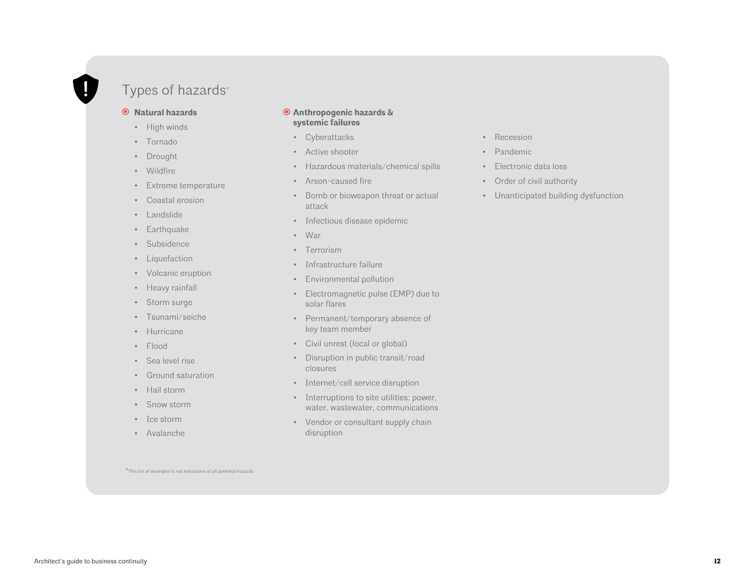# Types of hazards\*

#### **Natural hazards**

- High winds
- Tornado
- Drought
- Wildfire
- Extreme temperature
- Coastal erosion
- Landslide
- Earthquake
- Subsidence
- Liquefaction
- Volcanic eruption
- Heavy rainfall
- Storm surge
- Tsunami/seiche
- Hurricane
- Flood
- Sea level rise
- Ground saturation
- Hail storm
- Snow storm
- Ice storm
- Avalanche

#### **Anthropogenic hazards & systemic failures**

- Cyberattacks
- Active shooter
- Hazardous materials/chemical spills
- Arson-caused fire
- Bomb or bioweapon threat or actual attack
- Infectious disease epidemic
- War
- Terrorism
- Infrastructure failure
- Environmental pollution
- Electromagnetic pulse (EMP) due to solar flares
- Permanent/temporary absence of key team member
- Civil unrest (local or global)
- Disruption in public transit/road closures
- Internet/cell service disruption
- Interruptions to site utilities: power, water, wastewater, communications
- Vendor or consultant supply chain disruption

\*This list of examples is not exhaustive of all potential hazards.

- Recession
- Pandemic
- Electronic data loss
- Order of civil authority
- Unanticipated building dysfunction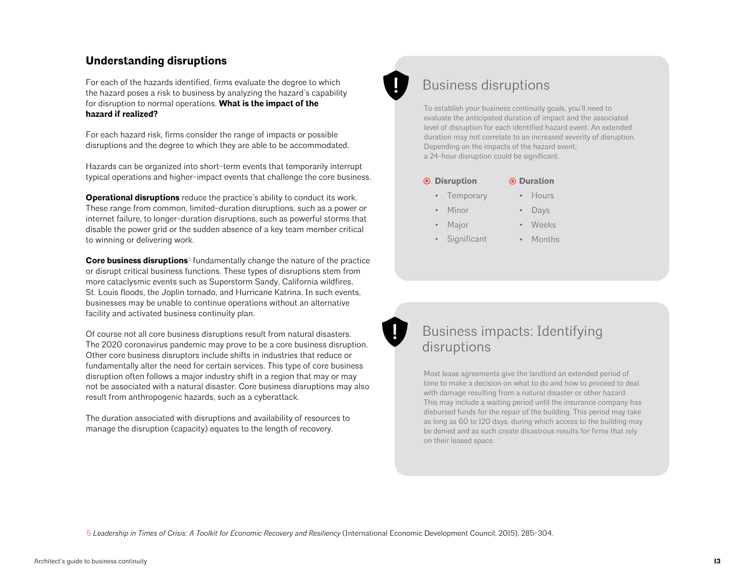## **Understanding disruptions**

For each of the hazards identified, firms evaluate the degree to which the hazard poses a risk to business by analyzing the hazard's capability for disruption to normal operations. **What is the impact of the hazard if realized?**

For each hazard risk, firms consider the range of impacts or possible disruptions and the degree to which they are able to be accommodated.

Hazards can be organized into short-term events that temporarily interrupt typical operations and higher-impact events that challenge the core business.

**Operational disruptions** reduce the practice's ability to conduct its work. These range from common, limited-duration disruptions, such as a power or internet failure, to longer-duration disruptions, such as powerful storms that disable the power grid or the sudden absence of a key team member critical to winning or delivering work.

**Core business disruptions**5 fundamentally change the nature of the practice or disrupt critical business functions. These types of disruptions stem from more cataclysmic events such as Superstorm Sandy, California wildfires, St. Louis floods, the Joplin tornado, and Hurricane Katrina. In such events, businesses may be unable to continue operations without an alternative facility and activated business continuity plan.

Of course not all core business disruptions result from natural disasters. The 2020 coronavirus pandemic may prove to be a core business disruption. Other core business disruptors include shifts in industries that reduce or fundamentally alter the need for certain services. This type of core business disruption often follows a major industry shift in a region that may or may not be associated with a natural disaster. Core business disruptions may also result from anthropogenic hazards, such as a cyberattack.

The duration associated with disruptions and availability of resources to manage the disruption (capacity) equates to the length of recovery.



## Business disruptions

To establish your business continuity goals, you'll need to evaluate the anticipated duration of impact and the associated level of disruption for each identified hazard event. An extended duration may not correlate to an increased severity of disruption. Depending on the impacts of the hazard event, a 24-hour disruption could be significant.

• Hours

• Weeks • Months

|  | <b>◎ Disruption</b> | <b>⊙</b> Duration |
|--|---------------------|-------------------|
|--|---------------------|-------------------|

- **Temporary** 
	- Days
	- Minor **Major**
	- **Significant**

# Business impacts: Identifying disruptions

Most lease agreements give the landlord an extended period of time to make a decision on what to do and how to proceed to deal with damage resulting from a natural disaster or other hazard. This may include a waiting period until the insurance company has disbursed funds for the repair of the building. This period may take as long as 60 to 120 days, during which access to the building may be denied and as such create disastrous results for firms that rely on their leased space.

5 *Leadership in Times of Crisis: A Toolkit for Economic Recovery and Resiliency* (International Economic Development Council, 2015), 285-304.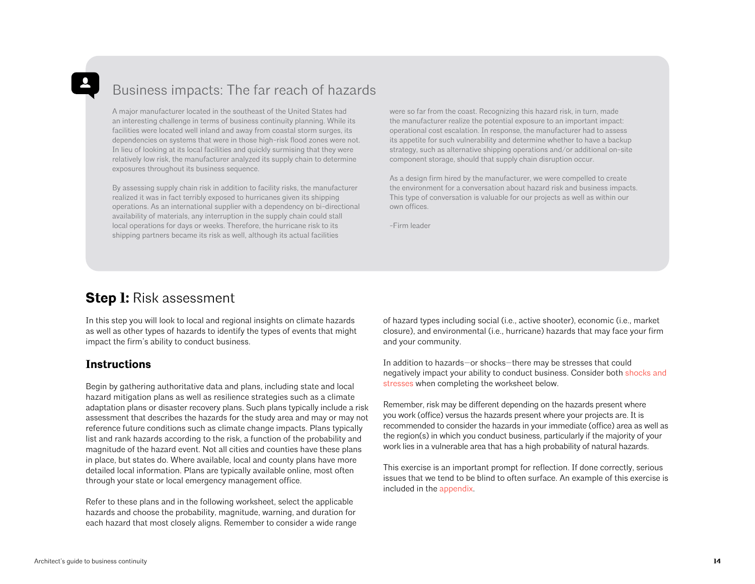# <span id="page-13-0"></span>Business impacts: The far reach of hazards

A major manufacturer located in the southeast of the United States had an interesting challenge in terms of business continuity planning. While its facilities were located well inland and away from coastal storm surges, its dependencies on systems that were in those high-risk flood zones were not. In lieu of looking at its local facilities and quickly surmising that they were relatively low risk, the manufacturer analyzed its supply chain to determine exposures throughout its business sequence.

By assessing supply chain risk in addition to facility risks, the manufacturer realized it was in fact terribly exposed to hurricanes given its shipping operations. As an international supplier with a dependency on bi-directional availability of materials, any interruption in the supply chain could stall local operations for days or weeks. Therefore, the hurricane risk to its shipping partners became its risk as well, although its actual facilities

were so far from the coast. Recognizing this hazard risk, in turn, made the manufacturer realize the potential exposure to an important impact: operational cost escalation. In response, the manufacturer had to assess its appetite for such vulnerability and determine whether to have a backup strategy, such as alternative shipping operations and/or additional on-site component storage, should that supply chain disruption occur.

As a design firm hired by the manufacturer, we were compelled to create the environment for a conversation about hazard risk and business impacts. This type of conversation is valuable for our projects as well as within our own offices.

-Firm leader

## **Step 1:** Risk assessment

In this step you will look to local and regional insights on climate hazards as well as other types of hazards to identify the types of events that might impact the firm's ability to conduct business.

## **Instructions**

Begin by gathering authoritative data and plans, including state and local hazard mitigation plans as well as resilience strategies such as a climate adaptation plans or disaster recovery plans. Such plans typically include a risk assessment that describes the hazards for the study area and may or may not reference future conditions such as climate change impacts. Plans typically list and rank hazards according to the risk, a function of the probability and magnitude of the hazard event. Not all cities and counties have these plans in place, but states do. Where available, local and county plans have more detailed local information. Plans are typically available online, most often through your state or local emergency management office.

Refer to these plans and in the following worksheet, select the applicable hazards and choose the probability, magnitude, warning, and duration for each hazard that most closely aligns. Remember to consider a wide range of hazard types including social (i.e., active shooter), economic (i.e., market closure), and environmental (i.e., hurricane) hazards that may face your firm and your community.

In addition to hazards—or shocks—there may be stresses that could negatively impact your ability to conduct business. Consider both [shocks and](https://www.aia.org/resources/164876-designing-for-resilience--architects-addres:56)  [stresses](https://www.aia.org/resources/164876-designing-for-resilience--architects-addres:56) when completing the worksheet below.

Remember, risk may be different depending on the hazards present where you work (office) versus the hazards present where your projects are. It is recommended to consider the hazards in your immediate (office) area as well as the region(s) in which you conduct business, particularly if the majority of your work lies in a vulnerable area that has a high probability of natural hazards.

This exercise is an important prompt for reflection. If done correctly, serious issues that we tend to be blind to often surface. An example of this exercise is included in the [appendix](#page-54-0).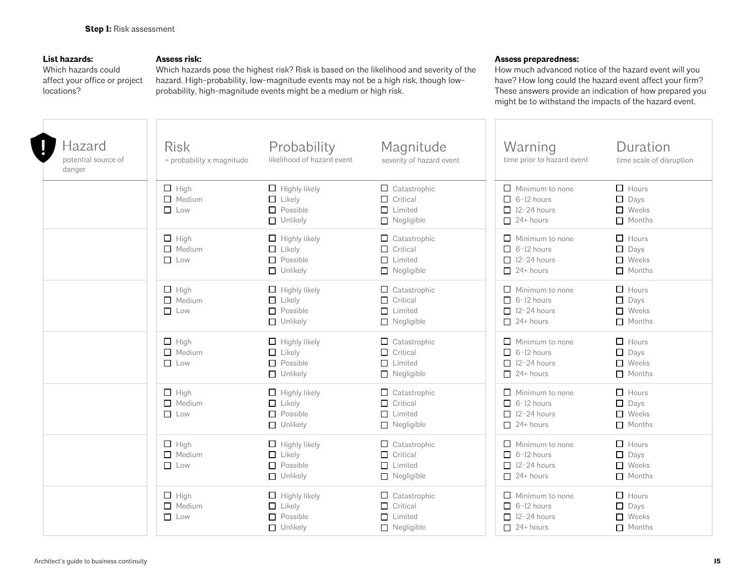### <span id="page-14-0"></span>**List hazards:**

Which hazards could affect your office or project locations?

### **Assess risk:**

Which hazards pose the highest risk? Risk is based on the likelihood and severity of the hazard. High-probability, low-magnitude events may not be a high risk, though lowprobability, high-magnitude events might be a medium or high risk.

#### **Assess preparedness:**

How much advanced notice of the hazard event will you have? How long could the hazard event affect your firm? These answers provide an indication of how prepared you might be to withstand the impacts of the hazard event.

| Hazard<br>potential source of<br>danger | <b>Risk</b><br>= probability x magnitude   | Probability<br>likelihood of hazard event                                   | Magnitude<br>severity of hazard event                                         | Warning<br>time prior to hazard event                                                 | Duration<br>time scale of disruption                         |
|-----------------------------------------|--------------------------------------------|-----------------------------------------------------------------------------|-------------------------------------------------------------------------------|---------------------------------------------------------------------------------------|--------------------------------------------------------------|
|                                         | $\Box$ High<br>$\Box$ Medium<br>$\Box$ Low | $\Box$ Highly likely<br>$\Box$ Likely<br>$\Box$ Possible<br>$\Box$ Unlikely | $\Box$ Catastrophic<br>$\Box$ Critical<br>$\Box$ Limited<br>$\Box$ Negligible | $\Box$ Minimum to none<br>$\Box$ 6-12 hours<br>$\Box$ 12-24 hours<br>$\Box$ 24+ hours | $\Box$ Hours<br>$\Box$ Days<br>$\Box$ Weeks<br>$\Box$ Months |
|                                         | $\Box$ High<br>$\Box$ Medium<br>$\Box$ Low | $\Box$ Highly likely<br>$\Box$ Likely<br>$\Box$ Possible<br>$\Box$ Unlikely | $\Box$ Catastrophic<br>$\Box$ Critical<br>$\Box$ Limited<br>$\Box$ Negligible | $\Box$ Minimum to none<br>$\Box$ 6-12 hours<br>$\Box$ 12-24 hours<br>$\Box$ 24+ hours | $\Box$ Hours<br>$\Box$ Days<br>$\Box$ Weeks<br>$\Box$ Months |
|                                         | $\Box$ High<br>$\Box$ Medium<br>$\Box$ Low | $\Box$ Highly likely<br>$\Box$ Likely<br>$\Box$ Possible<br>$\Box$ Unlikely | $\Box$ Catastrophic<br>$\Box$ Critical<br>$\Box$ Limited<br>$\Box$ Negligible | $\Box$ Minimum to none<br>$\Box$ 6-12 hours<br>$\Box$ 12-24 hours<br>$\Box$ 24+ hours | $\Box$ Hours<br>$\Box$ Days<br>$\Box$ Weeks<br>Months        |
|                                         | $\Box$ High<br>$\Box$ Medium<br>$\Box$ Low | $\Box$ Highly likely<br>$\Box$ Likely<br>$\Box$ Possible<br>$\Box$ Unlikely | $\Box$ Catastrophic<br>$\Box$ Critical<br>$\Box$ Limited<br>$\Box$ Negligible | $\Box$ Minimum to none<br>$\Box$ 6-12 hours<br>$\Box$ 12-24 hours<br>$\Box$ 24+ hours | $\Box$ Hours<br>$\Box$ Days<br>$\Box$ Weeks<br>Months        |
|                                         | $\Box$ High<br>$\Box$ Medium<br>$\Box$ Low | $\Box$ Highly likely<br>$\Box$ Likely<br>$\Box$ Possible<br>$\Box$ Unlikely | $\Box$ Catastrophic<br>$\Box$ Critical<br>$\Box$ Limited<br>$\Box$ Negligible | $\Box$ Minimum to none<br>$\Box$ 6-12 hours<br>$\Box$ 12-24 hours<br>$\Box$ 24+ hours | $\Box$ Hours<br>$\Box$ Days<br>$\Box$ Weeks<br>$\Box$ Months |
|                                         | $\Box$ High<br>$\Box$ Medium<br>$\Box$ Low | $\Box$ Highly likely<br>$\Box$ Likely<br>$\Box$ Possible<br>$\Box$ Unlikely | $\Box$ Catastrophic<br>$\Box$ Critical<br>$\Box$ Limited<br>$\Box$ Negligible | $\Box$ Minimum to none<br>$\Box$ 6-12 hours<br>$\Box$ 12-24 hours<br>$24 + hours$     | $\Box$ Hours<br>$\Box$ Days<br>$\Box$ Weeks<br>$\Box$ Months |
|                                         | $\Box$ High<br>$\Box$ Medium<br>$\Box$ Low | $\Box$ Highly likely<br>$\Box$ Likely<br>$\Box$ Possible<br>$\Box$ Unlikely | $\Box$ Catastrophic<br>$\Box$ Critical<br>$\Box$ Limited<br>$\Box$ Negligible | $\Box$ Minimum to none<br>$\Box$ 6-12 hours<br>$\Box$ 12-24 hours<br>$\Box$ 24+ hours | $\Box$ Hours<br>$\Box$ Days<br>$\Box$ Weeks<br>Months        |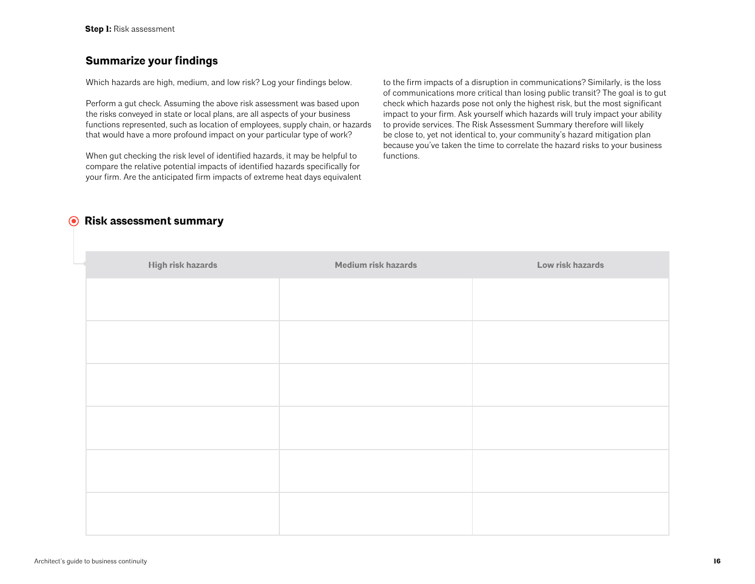## **Summarize your findings**

Which hazards are high, medium, and low risk? Log your findings below.

Perform a gut check. Assuming the above risk assessment was based upon the risks conveyed in state or local plans, are all aspects of your business functions represented, such as location of employees, supply chain, or hazards that would have a more profound impact on your particular type of work?

When gut checking the risk level of identified hazards, it may be helpful to compare the relative potential impacts of identified hazards specifically for your firm. Are the anticipated firm impacts of extreme heat days equivalent

to the firm impacts of a disruption in communications? Similarly, is the loss of communications more critical than losing public transit? The goal is to gut check which hazards pose not only the highest risk, but the most significant impact to your firm. Ask yourself which hazards will truly impact your ability to provide services. The Risk Assessment Summary therefore will likely be close to, yet not identical to, your community's hazard mitigation plan because you've taken the time to correlate the hazard risks to your business functions.

## **Risk assessment summary**

| High risk hazards | Medium risk hazards | Low risk hazards |
|-------------------|---------------------|------------------|
|                   |                     |                  |
|                   |                     |                  |
|                   |                     |                  |
|                   |                     |                  |
|                   |                     |                  |
|                   |                     |                  |
|                   |                     |                  |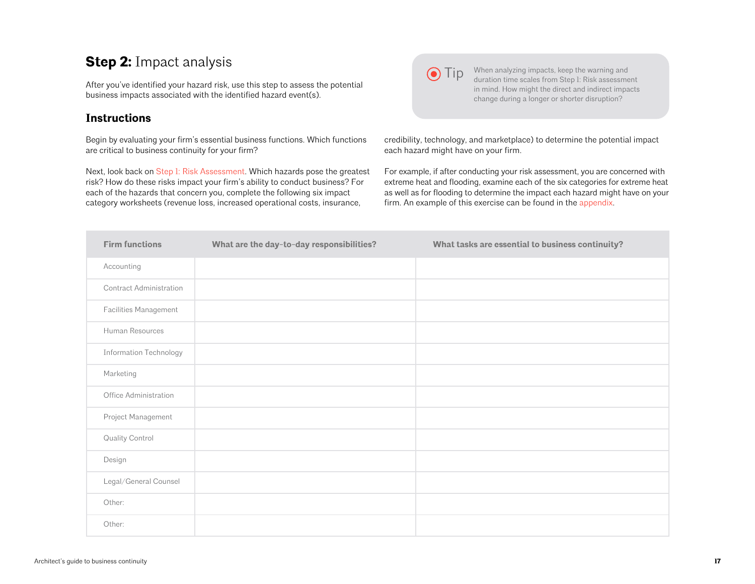# <span id="page-16-0"></span>**Step 2:** Impact analysis

After you've identified your hazard risk, use this step to assess the potential business impacts associated with the identified hazard event(s).

## **Instructions**

Begin by evaluating your firm's essential business functions. Which functions are critical to business continuity for your firm?

Next, look back on [Step 1: Risk Assessment.](#page-13-0) Which hazards pose the greatest risk? How do these risks impact your firm's ability to conduct business? For each of the hazards that concern you, complete the following six impact category worksheets (revenue loss, increased operational costs, insurance,



**Tip** When analyzing impacts, keep the warning and duration time scales from Step 1: Risk assessment in mind. How might the direct and indirect impacts change during a longer or shorter disruption?

credibility, technology, and marketplace) to determine the potential impact each hazard might have on your firm.

For example, if after conducting your risk assessment, you are concerned with extreme heat and flooding, examine each of the six categories for extreme heat as well as for flooding to determine the impact each hazard might have on your firm. An example of this exercise can be found in the [appendix.](#page-55-0)

| <b>Firm functions</b>         | What are the day-to-day responsibilities? | What tasks are essential to business continuity? |
|-------------------------------|-------------------------------------------|--------------------------------------------------|
| Accounting                    |                                           |                                                  |
| Contract Administration       |                                           |                                                  |
| Facilities Management         |                                           |                                                  |
| Human Resources               |                                           |                                                  |
| <b>Information Technology</b> |                                           |                                                  |
| Marketing                     |                                           |                                                  |
| Office Administration         |                                           |                                                  |
| Project Management            |                                           |                                                  |
| Quality Control               |                                           |                                                  |
| Design                        |                                           |                                                  |
| Legal/General Counsel         |                                           |                                                  |
| Other:                        |                                           |                                                  |
| Other:                        |                                           |                                                  |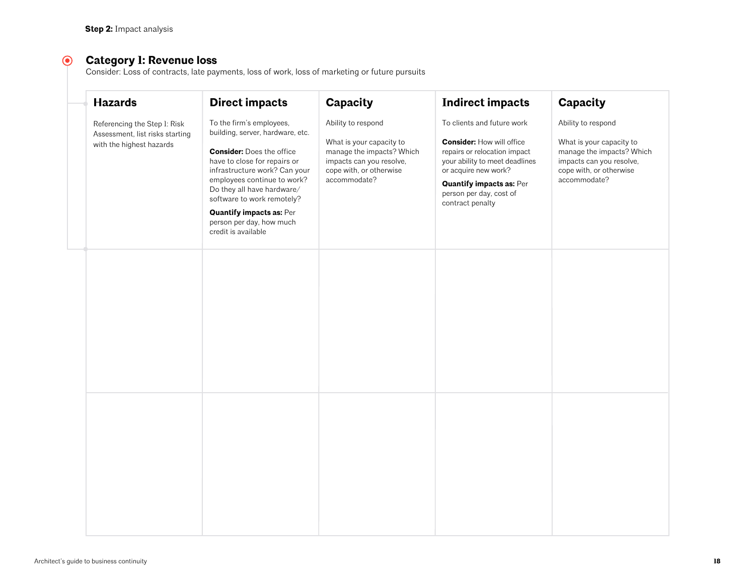#### $\odot$ **Category 1: Revenue loss**

Consider: Loss of contracts, late payments, loss of work, loss of marketing or future pursuits

| <b>Hazards</b>                                                                              | <b>Direct impacts</b>                                                                                                                                                                                                                                                                                                                              | Capacity                                                                                                                                           | <b>Indirect impacts</b>                                                                                                                                                                                                                    | Capacity                                                                                                                                           |  |
|---------------------------------------------------------------------------------------------|----------------------------------------------------------------------------------------------------------------------------------------------------------------------------------------------------------------------------------------------------------------------------------------------------------------------------------------------------|----------------------------------------------------------------------------------------------------------------------------------------------------|--------------------------------------------------------------------------------------------------------------------------------------------------------------------------------------------------------------------------------------------|----------------------------------------------------------------------------------------------------------------------------------------------------|--|
| Referencing the Step 1: Risk<br>Assessment, list risks starting<br>with the highest hazards | To the firm's employees,<br>building, server, hardware, etc.<br><b>Consider: Does the office</b><br>have to close for repairs or<br>infrastructure work? Can your<br>employees continue to work?<br>Do they all have hardware/<br>software to work remotely?<br><b>Quantify impacts as: Per</b><br>person per day, how much<br>credit is available | Ability to respond<br>What is your capacity to<br>manage the impacts? Which<br>impacts can you resolve,<br>cope with, or otherwise<br>accommodate? | To clients and future work<br><b>Consider: How will office</b><br>repairs or relocation impact<br>your ability to meet deadlines<br>or acquire new work?<br><b>Quantify impacts as: Per</b><br>person per day, cost of<br>contract penalty | Ability to respond<br>What is your capacity to<br>manage the impacts? Which<br>impacts can you resolve,<br>cope with, or otherwise<br>accommodate? |  |
|                                                                                             |                                                                                                                                                                                                                                                                                                                                                    |                                                                                                                                                    |                                                                                                                                                                                                                                            |                                                                                                                                                    |  |
|                                                                                             |                                                                                                                                                                                                                                                                                                                                                    |                                                                                                                                                    |                                                                                                                                                                                                                                            |                                                                                                                                                    |  |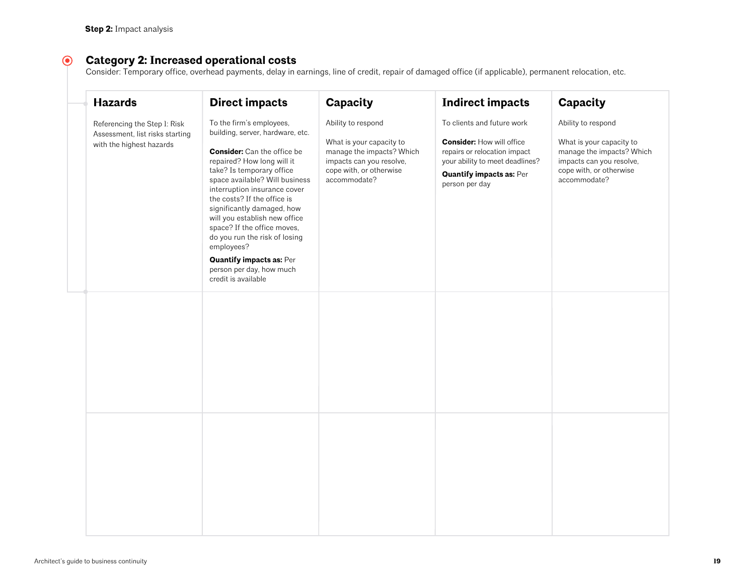#### $\odot$ **Category 2: Increased operational costs**

Consider: Temporary office, overhead payments, delay in earnings, line of credit, repair of damaged office (if applicable), permanent relocation, etc.

| <b>Hazards</b>                                                                              | <b>Direct impacts</b>                                                                                                                                                                                                                                                                                                                                                                                                                                                                             | Capacity                                                                                                                                           | <b>Indirect impacts</b>                                                                                                                                                                | <b>Capacity</b>                                                                                                                                    |
|---------------------------------------------------------------------------------------------|---------------------------------------------------------------------------------------------------------------------------------------------------------------------------------------------------------------------------------------------------------------------------------------------------------------------------------------------------------------------------------------------------------------------------------------------------------------------------------------------------|----------------------------------------------------------------------------------------------------------------------------------------------------|----------------------------------------------------------------------------------------------------------------------------------------------------------------------------------------|----------------------------------------------------------------------------------------------------------------------------------------------------|
| Referencing the Step 1: Risk<br>Assessment, list risks starting<br>with the highest hazards | To the firm's employees,<br>building, server, hardware, etc.<br><b>Consider:</b> Can the office be<br>repaired? How long will it<br>take? Is temporary office<br>space available? Will business<br>interruption insurance cover<br>the costs? If the office is<br>significantly damaged, how<br>will you establish new office<br>space? If the office moves,<br>do you run the risk of losing<br>employees?<br><b>Quantify impacts as: Per</b><br>person per day, how much<br>credit is available | Ability to respond<br>What is your capacity to<br>manage the impacts? Which<br>impacts can you resolve,<br>cope with, or otherwise<br>accommodate? | To clients and future work<br><b>Consider: How will office</b><br>repairs or relocation impact<br>your ability to meet deadlines?<br><b>Quantify impacts as: Per</b><br>person per day | Ability to respond<br>What is your capacity to<br>manage the impacts? Which<br>impacts can you resolve,<br>cope with, or otherwise<br>accommodate? |
|                                                                                             |                                                                                                                                                                                                                                                                                                                                                                                                                                                                                                   |                                                                                                                                                    |                                                                                                                                                                                        |                                                                                                                                                    |
|                                                                                             |                                                                                                                                                                                                                                                                                                                                                                                                                                                                                                   |                                                                                                                                                    |                                                                                                                                                                                        |                                                                                                                                                    |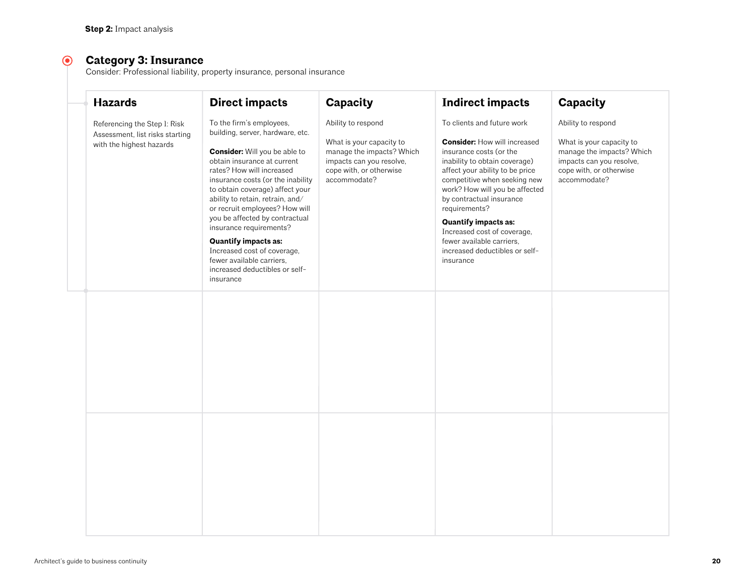#### $\odot$ **Category 3: Insurance**

Consider: Professional liability, property insurance, personal insurance

| <b>Hazards</b>                                                                              | <b>Direct impacts</b>                                                                                                                                                                                                                                                                                                                                                                                                                                                                                                 | <b>Capacity</b>                                                                                                                                    | <b>Indirect impacts</b>                                                                                                                                                                                                                                                                                                                                                                                                   | <b>Capacity</b>                                                                                                                                    |
|---------------------------------------------------------------------------------------------|-----------------------------------------------------------------------------------------------------------------------------------------------------------------------------------------------------------------------------------------------------------------------------------------------------------------------------------------------------------------------------------------------------------------------------------------------------------------------------------------------------------------------|----------------------------------------------------------------------------------------------------------------------------------------------------|---------------------------------------------------------------------------------------------------------------------------------------------------------------------------------------------------------------------------------------------------------------------------------------------------------------------------------------------------------------------------------------------------------------------------|----------------------------------------------------------------------------------------------------------------------------------------------------|
| Referencing the Step 1: Risk<br>Assessment, list risks starting<br>with the highest hazards | To the firm's employees,<br>building, server, hardware, etc.<br><b>Consider:</b> Will you be able to<br>obtain insurance at current<br>rates? How will increased<br>insurance costs (or the inability<br>to obtain coverage) affect your<br>ability to retain, retrain, and/<br>or recruit employees? How will<br>you be affected by contractual<br>insurance requirements?<br><b>Quantify impacts as:</b><br>Increased cost of coverage,<br>fewer available carriers.<br>increased deductibles or self-<br>insurance | Ability to respond<br>What is your capacity to<br>manage the impacts? Which<br>impacts can you resolve,<br>cope with, or otherwise<br>accommodate? | To clients and future work<br><b>Consider: How will increased</b><br>insurance costs (or the<br>inability to obtain coverage)<br>affect your ability to be price<br>competitive when seeking new<br>work? How will you be affected<br>by contractual insurance<br>requirements?<br><b>Quantify impacts as:</b><br>Increased cost of coverage,<br>fewer available carriers.<br>increased deductibles or self-<br>insurance | Ability to respond<br>What is your capacity to<br>manage the impacts? Which<br>impacts can you resolve,<br>cope with, or otherwise<br>accommodate? |
|                                                                                             |                                                                                                                                                                                                                                                                                                                                                                                                                                                                                                                       |                                                                                                                                                    |                                                                                                                                                                                                                                                                                                                                                                                                                           |                                                                                                                                                    |
|                                                                                             |                                                                                                                                                                                                                                                                                                                                                                                                                                                                                                                       |                                                                                                                                                    |                                                                                                                                                                                                                                                                                                                                                                                                                           |                                                                                                                                                    |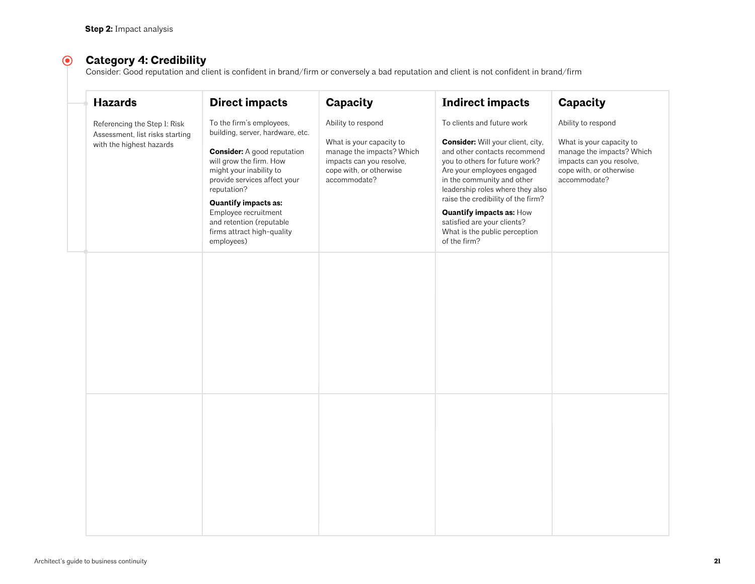#### $\odot$ **Category 4: Credibility**

Consider: Good reputation and client is confident in brand/firm or conversely a bad reputation and client is not confident in brand/firm

| <b>Hazards</b>                                                                              | <b>Direct impacts</b>                                                                                                                                                                                                                                                                                                                  | <b>Capacity</b>                                                                                                                                    | <b>Indirect impacts</b>                                                                                                                                                                                                                                                                                                                                                                           | <b>Capacity</b>                                                                                                                                    |
|---------------------------------------------------------------------------------------------|----------------------------------------------------------------------------------------------------------------------------------------------------------------------------------------------------------------------------------------------------------------------------------------------------------------------------------------|----------------------------------------------------------------------------------------------------------------------------------------------------|---------------------------------------------------------------------------------------------------------------------------------------------------------------------------------------------------------------------------------------------------------------------------------------------------------------------------------------------------------------------------------------------------|----------------------------------------------------------------------------------------------------------------------------------------------------|
| Referencing the Step 1: Risk<br>Assessment, list risks starting<br>with the highest hazards | To the firm's employees,<br>building, server, hardware, etc.<br><b>Consider:</b> A good reputation<br>will grow the firm. How<br>might your inability to<br>provide services affect your<br>reputation?<br><b>Quantify impacts as:</b><br>Employee recruitment<br>and retention (reputable<br>firms attract high-quality<br>employees) | Ability to respond<br>What is your capacity to<br>manage the impacts? Which<br>impacts can you resolve,<br>cope with, or otherwise<br>accommodate? | To clients and future work<br><b>Consider:</b> Will your client, city,<br>and other contacts recommend<br>you to others for future work?<br>Are your employees engaged<br>in the community and other<br>leadership roles where they also<br>raise the credibility of the firm?<br><b>Quantify impacts as: How</b><br>satisfied are your clients?<br>What is the public perception<br>of the firm? | Ability to respond<br>What is your capacity to<br>manage the impacts? Which<br>impacts can you resolve,<br>cope with, or otherwise<br>accommodate? |
|                                                                                             |                                                                                                                                                                                                                                                                                                                                        |                                                                                                                                                    |                                                                                                                                                                                                                                                                                                                                                                                                   |                                                                                                                                                    |
|                                                                                             |                                                                                                                                                                                                                                                                                                                                        |                                                                                                                                                    |                                                                                                                                                                                                                                                                                                                                                                                                   |                                                                                                                                                    |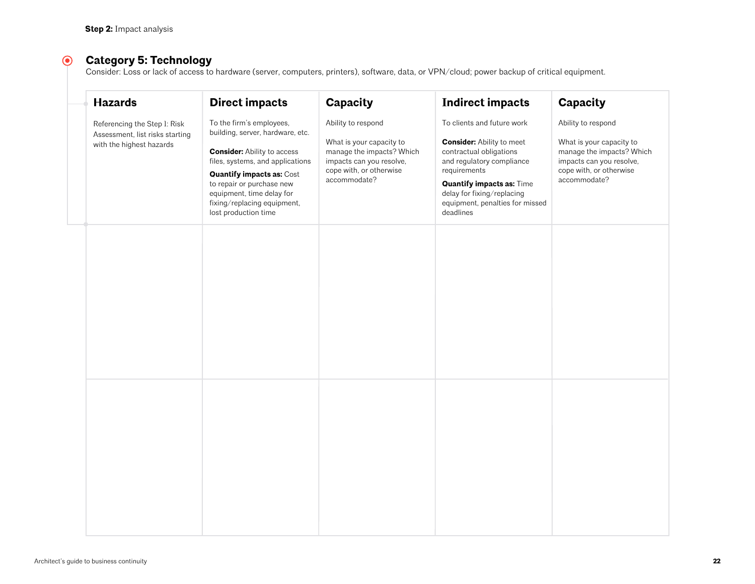#### $\odot$ **Category 5: Technology**

Consider: Loss or lack of access to hardware (server, computers, printers), software, data, or VPN/cloud; power backup of critical equipment.

| <b>Hazards</b>                                                                              | <b>Direct impacts</b>                                                                                                                                                                                                                                                                       | Capacity                                                                                                                                           | <b>Indirect impacts</b>                                                                                                                                                                                                                                  | Capacity                                                                                                                                           |
|---------------------------------------------------------------------------------------------|---------------------------------------------------------------------------------------------------------------------------------------------------------------------------------------------------------------------------------------------------------------------------------------------|----------------------------------------------------------------------------------------------------------------------------------------------------|----------------------------------------------------------------------------------------------------------------------------------------------------------------------------------------------------------------------------------------------------------|----------------------------------------------------------------------------------------------------------------------------------------------------|
| Referencing the Step 1: Risk<br>Assessment, list risks starting<br>with the highest hazards | To the firm's employees,<br>building, server, hardware, etc.<br><b>Consider:</b> Ability to access<br>files, systems, and applications<br><b>Quantify impacts as: Cost</b><br>to repair or purchase new<br>equipment, time delay for<br>fixing/replacing equipment,<br>lost production time | Ability to respond<br>What is your capacity to<br>manage the impacts? Which<br>impacts can you resolve,<br>cope with, or otherwise<br>accommodate? | To clients and future work<br><b>Consider:</b> Ability to meet<br>contractual obligations<br>and regulatory compliance<br>requirements<br><b>Quantify impacts as: Time</b><br>delay for fixing/replacing<br>equipment, penalties for missed<br>deadlines | Ability to respond<br>What is your capacity to<br>manage the impacts? Which<br>impacts can you resolve,<br>cope with, or otherwise<br>accommodate? |
|                                                                                             |                                                                                                                                                                                                                                                                                             |                                                                                                                                                    |                                                                                                                                                                                                                                                          |                                                                                                                                                    |
|                                                                                             |                                                                                                                                                                                                                                                                                             |                                                                                                                                                    |                                                                                                                                                                                                                                                          |                                                                                                                                                    |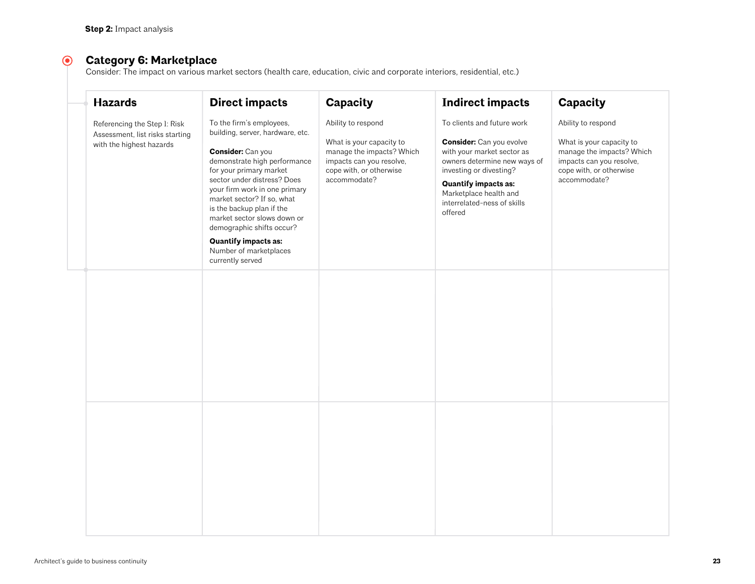#### $\odot$ **Category 6: Marketplace**

Consider: The impact on various market sectors (health care, education, civic and corporate interiors, residential, etc.)

| <b>Hazards</b>                                                                              | <b>Direct impacts</b>                                                                                                                                                                                                                                                                                                                                                                                            | Capacity                                                                                                                                           | <b>Indirect impacts</b>                                                                                                                                                                                                                                   | Capacity                                                                                                                                           |
|---------------------------------------------------------------------------------------------|------------------------------------------------------------------------------------------------------------------------------------------------------------------------------------------------------------------------------------------------------------------------------------------------------------------------------------------------------------------------------------------------------------------|----------------------------------------------------------------------------------------------------------------------------------------------------|-----------------------------------------------------------------------------------------------------------------------------------------------------------------------------------------------------------------------------------------------------------|----------------------------------------------------------------------------------------------------------------------------------------------------|
| Referencing the Step 1: Risk<br>Assessment, list risks starting<br>with the highest hazards | To the firm's employees,<br>building, server, hardware, etc.<br>Consider: Can you<br>demonstrate high performance<br>for your primary market<br>sector under distress? Does<br>your firm work in one primary<br>market sector? If so, what<br>is the backup plan if the<br>market sector slows down or<br>demographic shifts occur?<br><b>Quantify impacts as:</b><br>Number of marketplaces<br>currently served | Ability to respond<br>What is your capacity to<br>manage the impacts? Which<br>impacts can you resolve,<br>cope with, or otherwise<br>accommodate? | To clients and future work<br><b>Consider:</b> Can you evolve<br>with your market sector as<br>owners determine new ways of<br>investing or divesting?<br><b>Quantify impacts as:</b><br>Marketplace health and<br>interrelated-ness of skills<br>offered | Ability to respond<br>What is your capacity to<br>manage the impacts? Which<br>impacts can you resolve,<br>cope with, or otherwise<br>accommodate? |
|                                                                                             |                                                                                                                                                                                                                                                                                                                                                                                                                  |                                                                                                                                                    |                                                                                                                                                                                                                                                           |                                                                                                                                                    |
|                                                                                             |                                                                                                                                                                                                                                                                                                                                                                                                                  |                                                                                                                                                    |                                                                                                                                                                                                                                                           |                                                                                                                                                    |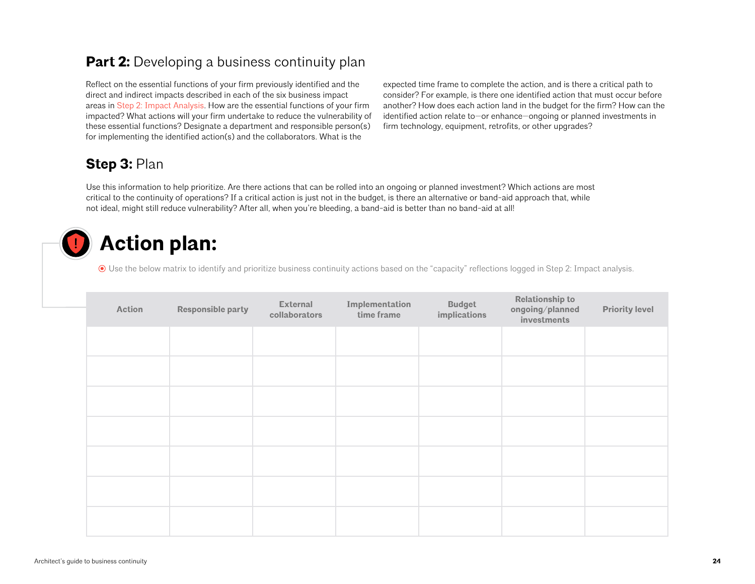# <span id="page-23-0"></span>**Part 2:** Developing a business continuity plan

Reflect on the essential functions of your firm previously identified and the direct and indirect impacts described in each of the six business impact areas in [Step 2: Impact A](#page-16-0)nalysis. How are the essential functions of your firm impacted? What actions will your firm undertake to reduce the vulnerability of these essential functions? Designate a department and responsible person(s) for implementing the identified action(s) and the collaborators. What is the

expected time frame to complete the action, and is there a critical path to consider? For example, is there one identified action that must occur before another? How does each action land in the budget for the firm? How can the identified action relate to—or enhance—ongoing or planned investments in firm technology, equipment, retrofits, or other upgrades?

# **Step 3:** Plan

Use this information to help prioritize. Are there actions that can be rolled into an ongoing or planned investment? Which actions are most critical to the continuity of operations? If a critical action is just not in the budget, is there an alternative or band-aid approach that, while not ideal, might still reduce vulnerability? After all, when you're bleeding, a band-aid is better than no band-aid at all!

# **Action plan:**

Use the below matrix to identify and prioritize business continuity actions based on the "capacity" reflections logged in Step 2: Impact analysis.

| Action | Responsible party | <b>External</b><br>collaborators | Implementation<br>time frame | <b>Budget</b><br>implications | <b>Relationship to</b><br>ongoing/planned<br>investments | <b>Priority level</b> |
|--------|-------------------|----------------------------------|------------------------------|-------------------------------|----------------------------------------------------------|-----------------------|
|        |                   |                                  |                              |                               |                                                          |                       |
|        |                   |                                  |                              |                               |                                                          |                       |
|        |                   |                                  |                              |                               |                                                          |                       |
|        |                   |                                  |                              |                               |                                                          |                       |
|        |                   |                                  |                              |                               |                                                          |                       |
|        |                   |                                  |                              |                               |                                                          |                       |
|        |                   |                                  |                              |                               |                                                          |                       |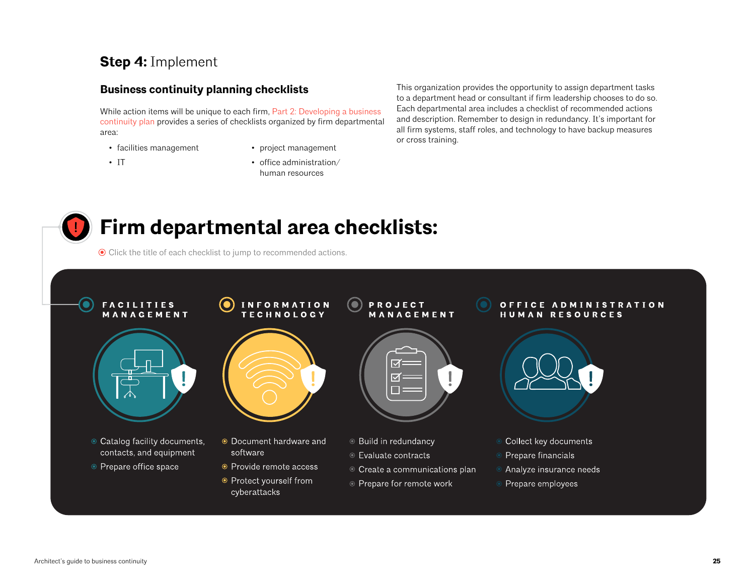# **Step 4:** Implement

## **Business continuity planning checklists**

While action items will be unique to each firm, Part [2: Developing a business](#page-23-0)  [continuity](#page-23-0) plan provides a series of checklists organized by firm departmental area:

- facilities management
- project management

• IT

• office administration/ human resources

This organization provides the opportunity to assign department tasks to a department head or consultant if firm leadership chooses to do so. Each departmental area includes a checklist of recommended actions and description. Remember to design in redundancy. It's important for all firm systems, staff roles, and technology to have backup measures or cross training.

# **Firm departmental area checklists:**

Click the title of each checklist to jump to recommended actions.

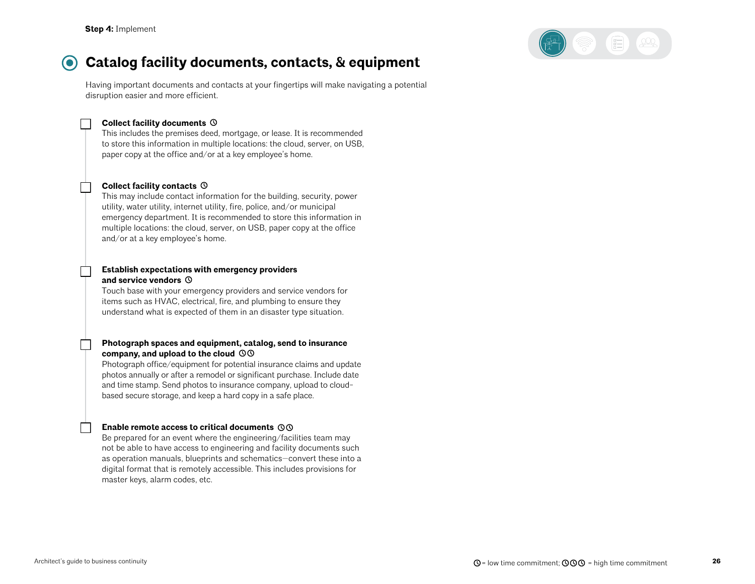

#### $\odot$ **Catalog facility documents, contacts, & equipment**

Having important documents and contacts at your fingertips will make navigating a potential disruption easier and more efficient.

#### **Collect facility documents**

This includes the premises deed, mortgage, or lease. It is recommended to store this information in multiple locations: the cloud, server, on USB, paper copy at the office and/or at a key employee's home.

#### **Collect facility contacts**

This may include contact information for the building, security, power utility, water utility, internet utility, fire, police, and/or municipal emergency department. It is recommended to store this information in multiple locations: the cloud, server, on USB, paper copy at the office and/or at a key employee's home.

#### **Establish expectations with emergency providers and service vendors**

Touch base with your emergency providers and service vendors for items such as HVAC, electrical, fire, and plumbing to ensure they understand what is expected of them in an disaster type situation.

#### **Photograph spaces and equipment, catalog, send to insurance company, and upload to the cloud**

Photograph office/equipment for potential insurance claims and update photos annually or after a remodel or significant purchase. Include date and time stamp. Send photos to insurance company, upload to cloudbased secure storage, and keep a hard copy in a safe place.

#### **Enable remote access to critical documents**

Be prepared for an event where the engineering/facilities team may not be able to have access to engineering and facility documents such as operation manuals, blueprints and schematics—convert these into a digital format that is remotely accessible. This includes provisions for master keys, alarm codes, etc.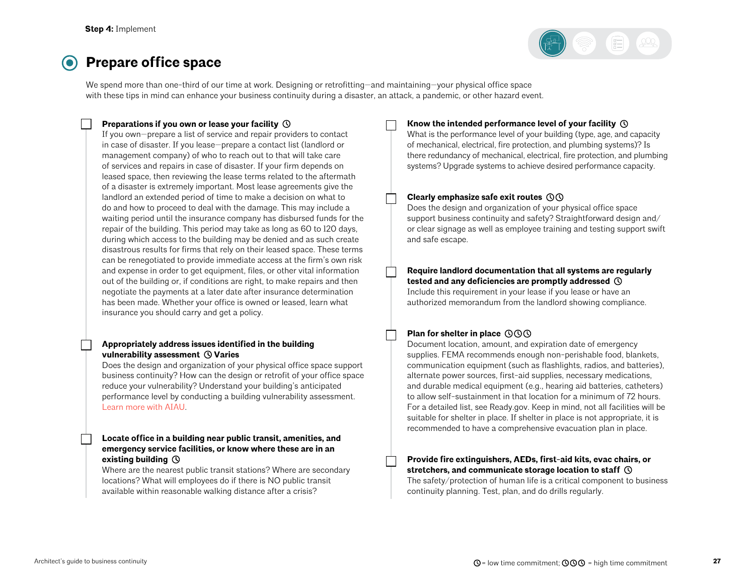

# **Prepare office space**

We spend more than one-third of our time at work. Designing or retrofitting—and maintaining—your physical office space with these tips in mind can enhance your business continuity during a disaster, an attack, a pandemic, or other hazard event.

### **Preparations if you own or lease your facility**

If you own—prepare a list of service and repair providers to contact in case of disaster. If you lease—prepare a contact list (landlord or management company) of who to reach out to that will take care of services and repairs in case of disaster. If your firm depends on leased space, then reviewing the lease terms related to the aftermath of a disaster is extremely important. Most lease agreements give the landlord an extended period of time to make a decision on what to do and how to proceed to deal with the damage. This may include a waiting period until the insurance company has disbursed funds for the repair of the building. This period may take as long as 60 to 120 days, during which access to the building may be denied and as such create disastrous results for firms that rely on their leased space. These terms can be renegotiated to provide immediate access at the firm's own risk and expense in order to get equipment, files, or other vital information out of the building or, if conditions are right, to make repairs and then negotiate the payments at a later date after insurance determination has been made. Whether your office is owned or leased, learn what insurance you should carry and get a policy.

#### **Appropriately address issues identified in the building vulnerability assessment ① Varies**

Does the design and organization of your physical office space support business continuity? How can the design or retrofit of your office space reduce your vulnerability? Understand your building's anticipated performance level by conducting a building vulnerability assessment. [Learn more with AIAU.](https://aiau.aia.org/courses/conducting-vulnerability-assessments-course-5-aia-resilience-and-adaptation-online-series)

#### **Locate office in a building near public transit, amenities, and emergency service facilities, or know where these are in an existing building**

Where are the nearest public transit stations? Where are secondary locations? What will employees do if there is NO public transit available within reasonable walking distance after a crisis?

#### **Know the intended performance level of your facility**

What is the performance level of your building (type, age, and capacity of mechanical, electrical, fire protection, and plumbing systems)? Is there redundancy of mechanical, electrical, fire protection, and plumbing systems? Upgrade systems to achieve desired performance capacity.

#### **Clearly emphasize safe exit routes**

Does the design and organization of your physical office space support business continuity and safety? Straightforward design and/ or clear signage as well as employee training and testing support swift and safe escape.

#### **Require landlord documentation that all systems are regularly tested and any deficiencies are promptly addressed**

Include this requirement in your lease if you lease or have an authorized memorandum from the landlord showing compliance.

### **Plan for shelter in place**

Document location, amount, and expiration date of emergency supplies. FEMA recommends enough non-perishable food, blankets, communication equipment (such as flashlights, radios, and batteries), alternate power sources, first-aid supplies, necessary medications, and durable medical equipment (e.g., hearing aid batteries, catheters) to allow self-sustainment in that location for a minimum of 72 hours. For a detailed list, see Ready.gov. Keep in mind, not all facilities will be suitable for shelter in place. If shelter in place is not appropriate, it is recommended to have a comprehensive evacuation plan in place.

### **Provide fire extinguishers, AEDs, first-aid kits, evac chairs, or stretchers, and communicate storage location to staff**

The safety/protection of human life is a critical component to business continuity planning. Test, plan, and do drills regularly.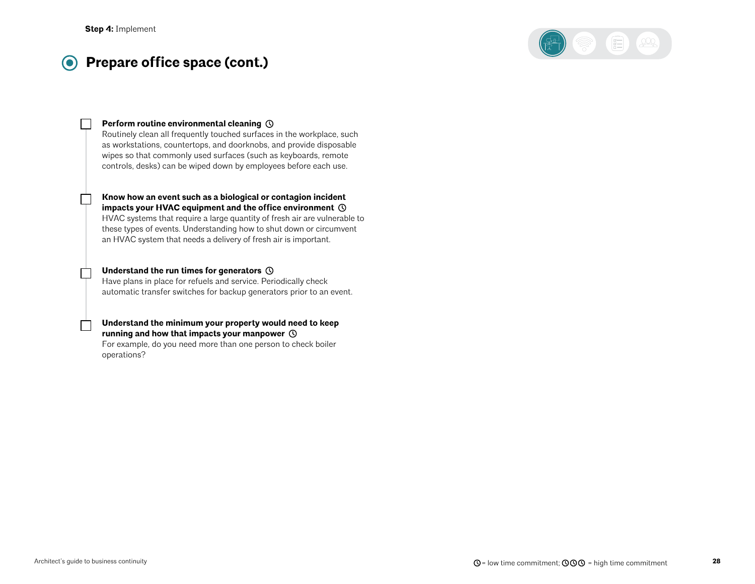#### **Prepare office space (cont.)**  $\odot$



#### **Perform routine environmental cleaning**

Routinely clean all frequently touched surfaces in the workplace, such as workstations, countertops, and doorknobs, and provide disposable wipes so that commonly used surfaces (such as keyboards, remote controls, desks) can be wiped down by employees before each use.

### **Know how an event such as a biological or contagion incident impacts your HVAC equipment and the office environment**  HVAC systems that require a large quantity of fresh air are vulnerable to

these types of events. Understanding how to shut down or circumvent an HVAC system that needs a delivery of fresh air is important.

#### **Understand the run times for generators**

Have plans in place for refuels and service. Periodically check automatic transfer switches for backup generators prior to an event.

#### **Understand the minimum your property would need to keep running and how that impacts your manpower**

For example, do you need more than one person to check boiler operations?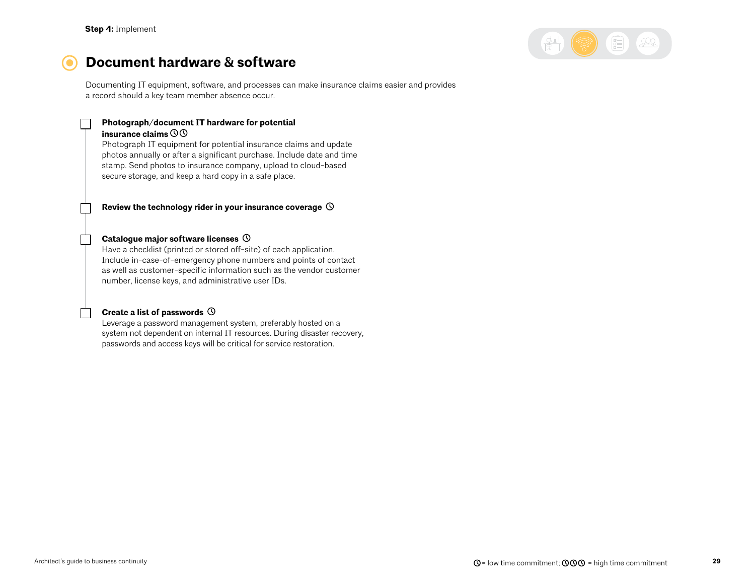

# **Document hardware & software**

Documenting IT equipment, software, and processes can make insurance claims easier and provides a record should a key team member absence occur.

## **Photograph/document IT hardware for potential**

#### **insurance claims**

Photograph IT equipment for potential insurance claims and update photos annually or after a significant purchase. Include date and time stamp. Send photos to insurance company, upload to cloud-based secure storage, and keep a hard copy in a safe place.

#### **Review the technology rider in your insurance coverage**

#### **Catalogue major software licenses**

Have a checklist (printed or stored off-site) of each application. Include in-case-of-emergency phone numbers and points of contact as well as customer-specific information such as the vendor customer number, license keys, and administrative user IDs.

#### **Create a list of passwords**

Leverage a password management system, preferably hosted on a system not dependent on internal IT resources. During disaster recovery, passwords and access keys will be critical for service restoration.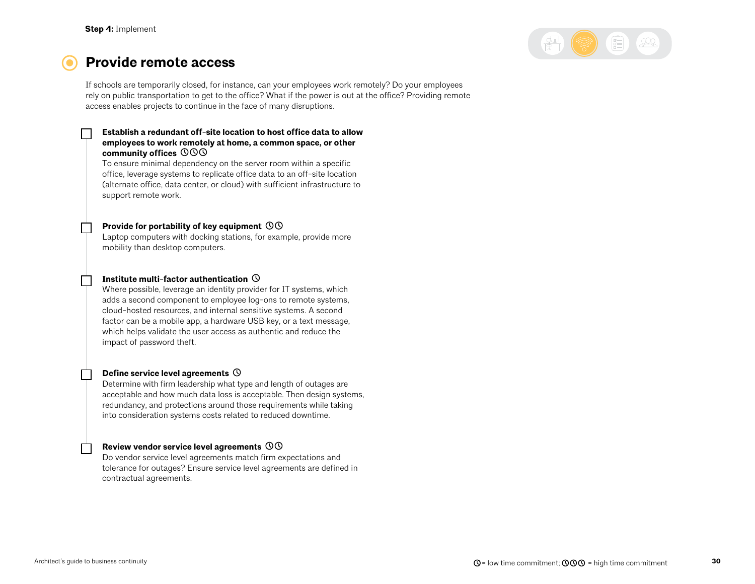

## **Provide remote access**

If schools are temporarily closed, for instance, can your employees work remotely? Do your employees rely on public transportation to get to the office? What if the power is out at the office? Providing remote access enables projects to continue in the face of many disruptions.

#### **Establish a redundant off-site location to host office data to allow employees to work remotely at home, a common space, or other community offices**

To ensure minimal dependency on the server room within a specific office, leverage systems to replicate office data to an off-site location (alternate office, data center, or cloud) with sufficient infrastructure to support remote work.

#### **Provide for portability of key equipment**

Laptop computers with docking stations, for example, provide more mobility than desktop computers.

#### **Institute multi-factor authentication**

Where possible, leverage an identity provider for IT systems, which adds a second component to employee log-ons to remote systems, cloud-hosted resources, and internal sensitive systems. A second factor can be a mobile app, a hardware USB key, or a text message, which helps validate the user access as authentic and reduce the impact of password theft.

#### **Define service level agreements**

Determine with firm leadership what type and length of outages are acceptable and how much data loss is acceptable. Then design systems, redundancy, and protections around those requirements while taking into consideration systems costs related to reduced downtime.

#### **Review vendor service level agreements**

Do vendor service level agreements match firm expectations and tolerance for outages? Ensure service level agreements are defined in contractual agreements.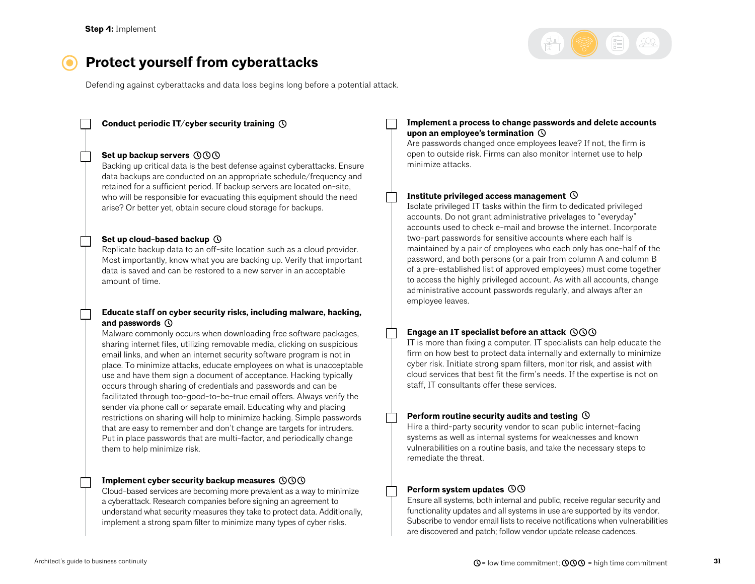

# **Protect yourself from cyberattacks**

Defending against cyberattacks and data loss begins long before a potential attack.

**Conduct periodic IT/cyber security training** 

#### **Set up backup servers**

Backing up critical data is the best defense against cyberattacks. Ensure data backups are conducted on an appropriate schedule/frequency and retained for a sufficient period. If backup servers are located on-site, who will be responsible for evacuating this equipment should the need arise? Or better yet, obtain secure cloud storage for backups.

#### **Set up cloud-based backup**

Replicate backup data to an off-site location such as a cloud provider. Most importantly, know what you are backing up. Verify that important data is saved and can be restored to a new server in an acceptable amount of time.

#### **Educate staff on cyber security risks, including malware, hacking, and passwords**

Malware commonly occurs when downloading free software packages, sharing internet files, utilizing removable media, clicking on suspicious email links, and when an internet security software program is not in place. To minimize attacks, educate employees on what is unacceptable use and have them sign a document of acceptance. Hacking typically occurs through sharing of credentials and passwords and can be facilitated through too-good-to-be-true email offers. Always verify the sender via phone call or separate email. Educating why and placing restrictions on sharing will help to minimize hacking. Simple passwords that are easy to remember and don't change are targets for intruders. Put in place passwords that are multi-factor, and periodically change them to help minimize risk.

#### **Implement cyber security backup measures**

Cloud-based services are becoming more prevalent as a way to minimize a cyberattack. Research companies before signing an agreement to understand what security measures they take to protect data. Additionally, implement a strong spam filter to minimize many types of cyber risks.

#### **Implement a process to change passwords and delete accounts upon an employee's termination**

Are passwords changed once employees leave? If not, the firm is open to outside risk. Firms can also monitor internet use to help minimize attacks.

#### **Institute privileged access management**

Isolate privileged IT tasks within the firm to dedicated privileged accounts. Do not grant administrative privelages to "everyday" accounts used to check e-mail and browse the internet. Incorporate two-part passwords for sensitive accounts where each half is maintained by a pair of employees who each only has one-half of the password, and both persons (or a pair from column A and column B of a pre-established list of approved employees) must come together to access the highly privileged account. As with all accounts, change administrative account passwords regularly, and always after an employee leaves.

#### **Engage an IT specialist before an attack**

IT is more than fixing a computer. IT specialists can help educate the firm on how best to protect data internally and externally to minimize cyber risk. Initiate strong spam filters, monitor risk, and assist with cloud services that best fit the firm's needs. If the expertise is not on staff, IT consultants offer these services.

#### **Perform routine security audits and testing**

Hire a third-party security vendor to scan public internet-facing systems as well as internal systems for weaknesses and known vulnerabilities on a routine basis, and take the necessary steps to remediate the threat.

#### **Perform system updates**

Ensure all systems, both internal and public, receive regular security and functionality updates and all systems in use are supported by its vendor. Subscribe to vendor email lists to receive notifications when vulnerabilities are discovered and patch; follow vendor update release cadences.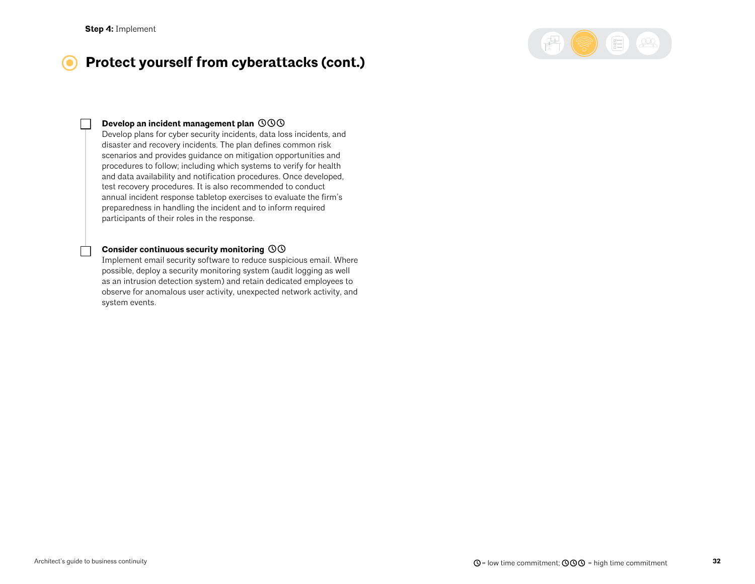

#### **Protect yourself from cyberattacks (cont.)**  $\bullet$

#### **Develop an incident management plan**

Develop plans for cyber security incidents, data loss incidents, and disaster and recovery incidents. The plan defines common risk scenarios and provides guidance on mitigation opportunities and procedures to follow; including which systems to verify for health and data availability and notification procedures. Once developed, test recovery procedures. It is also recommended to conduct annual incident response tabletop exercises to evaluate the firm's preparedness in handling the incident and to inform required participants of their roles in the response.

#### **Consider continuous security monitoring**

Implement email security software to reduce suspicious email. Where possible, deploy a security monitoring system (audit logging as well as an intrusion detection system) and retain dedicated employees to observe for anomalous user activity, unexpected network activity, and system events.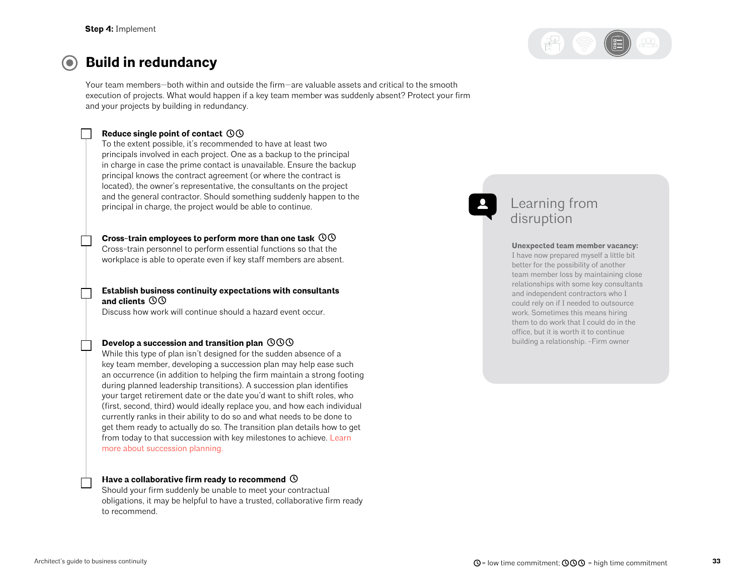

#### **Build in redundancy**   $\left( \bullet \right)$

Your team members—both within and outside the firm—are valuable assets and critical to the smooth execution of projects. What would happen if a key team member was suddenly absent? Protect your firm and your projects by building in redundancy.

### **Reduce single point of contact**

To the extent possible, it's recommended to have at least two principals involved in each project. One as a backup to the principal in charge in case the prime contact is unavailable. Ensure the backup principal knows the contract agreement (or where the contract is located), the owner's representative, the consultants on the project and the general contractor. Should something suddenly happen to the principal in charge, the project would be able to continue.

**Cross-train employees to perform more than one task** 

Cross-train personnel to perform essential functions so that the workplace is able to operate even if key staff members are absent.

**Establish business continuity expectations with consultants and clients** 

Discuss how work will continue should a hazard event occur.

#### **Develop a succession and transition plan**

While this type of plan isn't designed for the sudden absence of a key team member, developing a succession plan may help ease such an occurrence (in addition to helping the firm maintain a strong footing during planned leadership transitions). A succession plan identifies your target retirement date or the date you'd want to shift roles, who (first, second, third) would ideally replace you, and how each individual currently ranks in their ability to do so and what needs to be done to get them ready to actually do so. The transition plan details how to get from today to that succession with key milestones to achieve. [Learn](https://www.architecturalrecord.com/articles/5873-the-legacy-project)  [more about succession planning.](https://www.architecturalrecord.com/articles/5873-the-legacy-project)

#### **Have a collaborative firm ready to recommend**

Should your firm suddenly be unable to meet your contractual obligations, it may be helpful to have a trusted, collaborative firm ready to recommend.

## Learning from disruption

#### **Unexpected team member vacancy:**

I have now prepared myself a little bit better for the possibility of another team member loss by maintaining close relationships with some key consultants and independent contractors who I could rely on if I needed to outsource work. Sometimes this means hiring them to do work that I could do in the office, but it is worth it to continue building a relationship. -Firm owner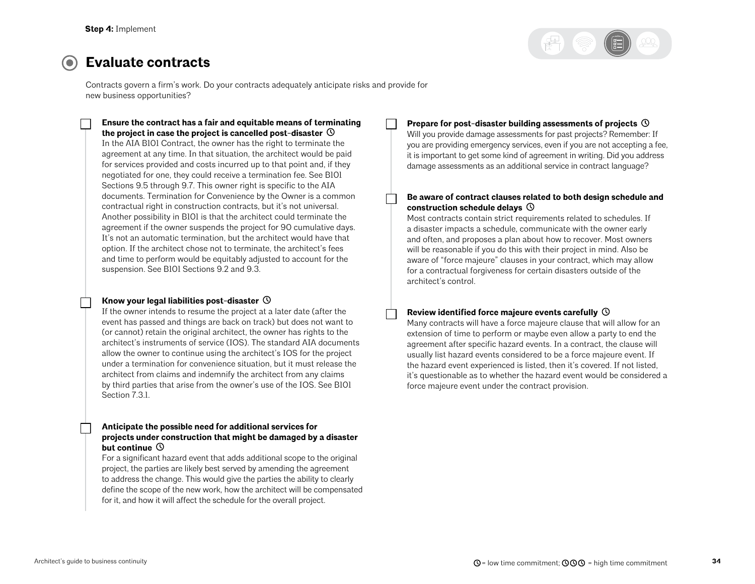

## **Evaluate contracts**

Contracts govern a firm's work. Do your contracts adequately anticipate risks and provide for new business opportunities?

**Ensure the contract has a fair and equitable means of terminating the project in case the project is cancelled post-disaster**  In the AIA B101 Contract, the owner has the right to terminate the agreement at any time. In that situation, the architect would be paid for services provided and costs incurred up to that point and, if they negotiated for one, they could receive a termination fee. See B101 Sections 9.5 through 9.7. This owner right is specific to the AIA documents. Termination for Convenience by the Owner is a common contractual right in construction contracts, but it's not universal. Another possibility in B101 is that the architect could terminate the agreement if the owner suspends the project for 90 cumulative days. It's not an automatic termination, but the architect would have that option. If the architect chose not to terminate, the architect's fees and time to perform would be equitably adjusted to account for the suspension. See B101 Sections 9.2 and 9.3.

#### **Know your legal liabilities post-disaster**

If the owner intends to resume the project at a later date (after the event has passed and things are back on track) but does not want to (or cannot) retain the original architect, the owner has rights to the architect's instruments of service (IOS). The standard AIA documents allow the owner to continue using the architect's IOS for the project under a termination for convenience situation, but it must release the architect from claims and indemnify the architect from any claims by third parties that arise from the owner's use of the IOS. See B101 Section 7.3.1.

#### **Anticipate the possible need for additional services for projects under construction that might be damaged by a disaster but continue**

For a significant hazard event that adds additional scope to the original project, the parties are likely best served by amending the agreement to address the change. This would give the parties the ability to clearly define the scope of the new work, how the architect will be compensated for it, and how it will affect the schedule for the overall project.

#### **Prepare for post-disaster building assessments of projects**

Will you provide damage assessments for past projects? Remember: If you are providing emergency services, even if you are not accepting a fee, it is important to get some kind of agreement in writing. Did you address damage assessments as an additional service in contract language?

#### **Be aware of contract clauses related to both design schedule and construction schedule delays**

Most contracts contain strict requirements related to schedules. If a disaster impacts a schedule, communicate with the owner early and often, and proposes a plan about how to recover. Most owners will be reasonable if you do this with their project in mind. Also be aware of "force majeure" clauses in your contract, which may allow for a contractual forgiveness for certain disasters outside of the architect's control.

#### **Review identified force majeure events carefully**

Many contracts will have a force majeure clause that will allow for an extension of time to perform or maybe even allow a party to end the agreement after specific hazard events. In a contract, the clause will usually list hazard events considered to be a force majeure event. If the hazard event experienced is listed, then it's covered. If not listed, it's questionable as to whether the hazard event would be considered a force majeure event under the contract provision.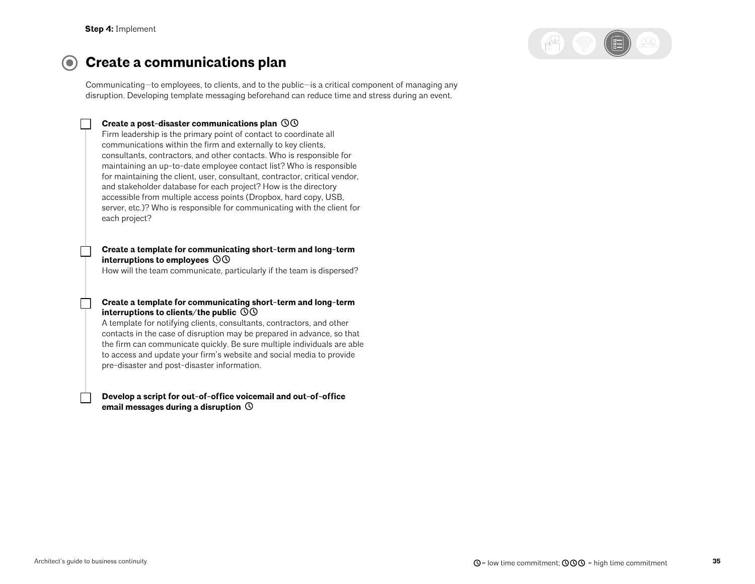

#### $\odot$ **Create a communications plan**

Communicating—to employees, to clients, and to the public—is a critical component of managing any disruption. Developing template messaging beforehand can reduce time and stress during an event.

### **Create a post-disaster communications plan**

Firm leadership is the primary point of contact to coordinate all communications within the firm and externally to key clients, consultants, contractors, and other contacts. Who is responsible for maintaining an up-to-date employee contact list? Who is responsible for maintaining the client, user, consultant, contractor, critical vendor, and stakeholder database for each project? How is the directory accessible from multiple access points (Dropbox, hard copy, USB, server, etc.)? Who is responsible for communicating with the client for each project?

#### **Create a template for communicating short-term and long-term interruptions to employees**

How will the team communicate, particularly if the team is dispersed?

#### **Create a template for communicating short-term and long-term interruptions to clients/the public**

A template for notifying clients, consultants, contractors, and other contacts in the case of disruption may be prepared in advance, so that the firm can communicate quickly. Be sure multiple individuals are able to access and update your firm's website and social media to provide pre-disaster and post-disaster information.

**Develop a script for out-of-office voicemail and out-of-office email messages during a disruption**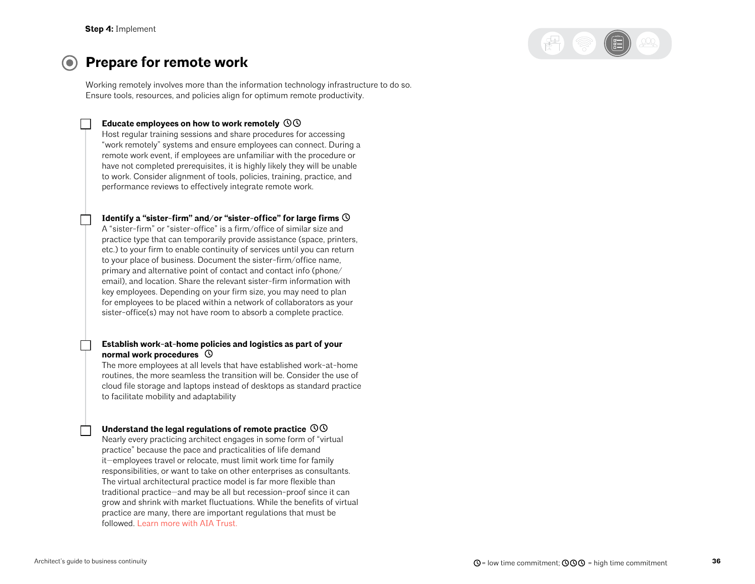

#### **Prepare for remote work**  $\bullet$

Working remotely involves more than the information technology infrastructure to do so. Ensure tools, resources, and policies align for optimum remote productivity.

#### **Educate employees on how to work remotely**

Host regular training sessions and share procedures for accessing "work remotely" systems and ensure employees can connect. During a remote work event, if employees are unfamiliar with the procedure or have not completed prerequisites, it is highly likely they will be unable to work. Consider alignment of tools, policies, training, practice, and performance reviews to effectively integrate remote work.

### **Identify a "sister-firm" and/or "sister-office" for large firms**

A "sister-firm" or "sister-office" is a firm/office of similar size and practice type that can temporarily provide assistance (space, printers, etc.) to your firm to enable continuity of services until you can return to your place of business. Document the sister-firm/office name, primary and alternative point of contact and contact info (phone/ email), and location. Share the relevant sister-firm information with key employees. Depending on your firm size, you may need to plan for employees to be placed within a network of collaborators as your sister-office(s) may not have room to absorb a complete practice.

#### **Establish work-at-home policies and logistics as part of your normal work procedures**

The more employees at all levels that have established work-at-home routines, the more seamless the transition will be. Consider the use of cloud file storage and laptops instead of desktops as standard practice to facilitate mobility and adaptability

#### **Understand the legal regulations of remote practice**

Nearly every practicing architect engages in some form of "virtual practice" because the pace and practicalities of life demand it—employees travel or relocate, must limit work time for family responsibilities, or want to take on other enterprises as consultants. The virtual architectural practice model is far more flexible than traditional practice—and may be all but recession-proof since it can grow and shrink with market fluctuations. While the benefits of virtual practice are many, there are important regulations that must be followed. Learn more with ATA Trust.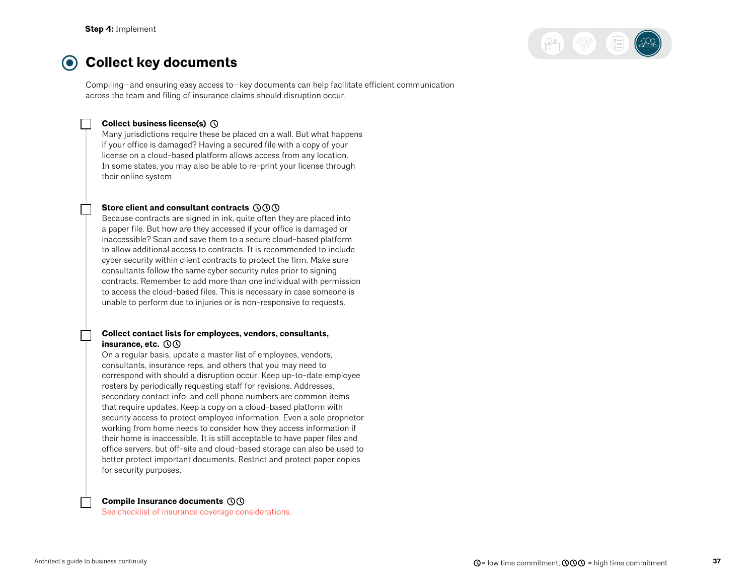

#### $\odot$ **Collect key documents**

Compiling—and ensuring easy access to—key documents can help facilitate efficient communication across the team and filing of insurance claims should disruption occur.

#### **Collect business license(s)**

Many jurisdictions require these be placed on a wall. But what happens if your office is damaged? Having a secured file with a copy of your license on a cloud-based platform allows access from any location. In some states, you may also be able to re-print your license through their online system.

#### **Store client and consultant contracts**

Because contracts are signed in ink, quite often they are placed into a paper file. But how are they accessed if your office is damaged or inaccessible? Scan and save them to a secure cloud-based platform to allow additional access to contracts. It is recommended to include cyber security within client contracts to protect the firm. Make sure consultants follow the same cyber security rules prior to signing contracts. Remember to add more than one individual with permission to access the cloud-based files. This is necessary in case someone is unable to perform due to injuries or is non-responsive to requests.

#### **Collect contact lists for employees, vendors, consultants, insurance, etc.**

On a regular basis, update a master list of employees, vendors, consultants, insurance reps, and others that you may need to correspond with should a disruption occur. Keep up-to-date employee rosters by periodically requesting staff for revisions. Addresses, secondary contact info, and cell phone numbers are common items that require updates. Keep a copy on a cloud-based platform with security access to protect employee information. Even a sole proprietor working from home needs to consider how they access information if their home is inaccessible. It is still acceptable to have paper files and office servers, but off-site and cloud-based storage can also be used to better protect important documents. Restrict and protect paper copies for security purposes.

#### **Compile Insurance documents**

[See checklist of insurance coverage considerations.](#page-38-0)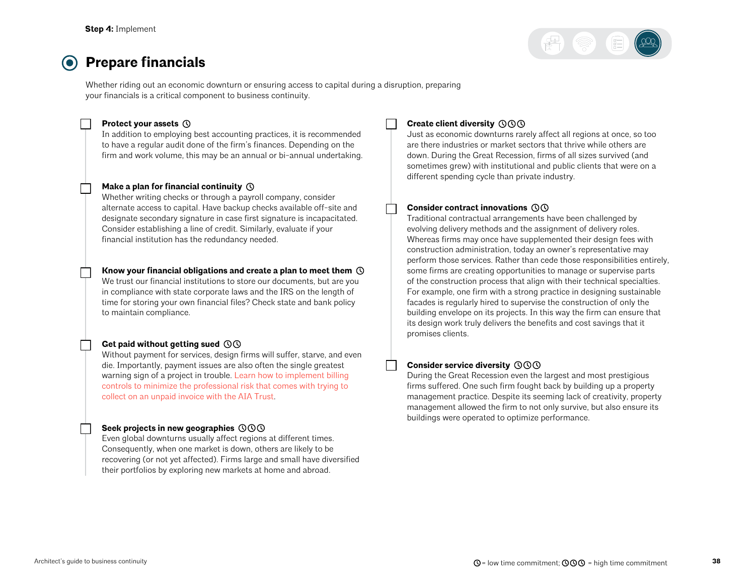## **Prepare financials**

Whether riding out an economic downturn or ensuring access to capital during a disruption, preparing your financials is a critical component to business continuity.

#### **Protect your assets**

In addition to employing best accounting practices, it is recommended to have a regular audit done of the firm's finances. Depending on the firm and work volume, this may be an annual or bi-annual undertaking.

#### **Make a plan for financial continuity**

Whether writing checks or through a payroll company, consider alternate access to capital. Have backup checks available off-site and designate secondary signature in case first signature is incapacitated. Consider establishing a line of credit. Similarly, evaluate if your financial institution has the redundancy needed.

#### **Know your financial obligations and create a plan to meet them**

We trust our financial institutions to store our documents, but are you in compliance with state corporate laws and the IRS on the length of time for storing your own financial files? Check state and bank policy to maintain compliance.

### **Get paid without getting sued**

Without payment for services, design firms will suffer, starve, and even die. Importantly, payment issues are also often the single greatest warning sign of a project in trouble. [Learn how to implement billing](https://www.theaiatrust.com/preserving-cash-flow/)  [controls to minimize the professional risk that comes with trying to](https://www.theaiatrust.com/preserving-cash-flow/)  [collect on an unpaid invoice with the AIA Trust](https://www.theaiatrust.com/preserving-cash-flow/).

### **Seek projects in new geographies**

Even global downturns usually affect regions at different times. Consequently, when one market is down, others are likely to be recovering (or not yet affected). Firms large and small have diversified their portfolios by exploring new markets at home and abroad.

### **Create client diversity**

Just as economic downturns rarely affect all regions at once, so too are there industries or market sectors that thrive while others are down. During the Great Recession, firms of all sizes survived (and sometimes grew) with institutional and public clients that were on a different spending cycle than private industry.

#### **Consider contract innovations**

Traditional contractual arrangements have been challenged by evolving delivery methods and the assignment of delivery roles. Whereas firms may once have supplemented their design fees with construction administration, today an owner's representative may perform those services. Rather than cede those responsibilities entirely, some firms are creating opportunities to manage or supervise parts of the construction process that align with their technical specialties. For example, one firm with a strong practice in designing sustainable facades is regularly hired to supervise the construction of only the building envelope on its projects. In this way the firm can ensure that its design work truly delivers the benefits and cost savings that it promises clients.

### **Consider service diversity**

During the Great Recession even the largest and most prestigious firms suffered. One such firm fought back by building up a property management practice. Despite its seeming lack of creativity, property management allowed the firm to not only survive, but also ensure its buildings were operated to optimize performance.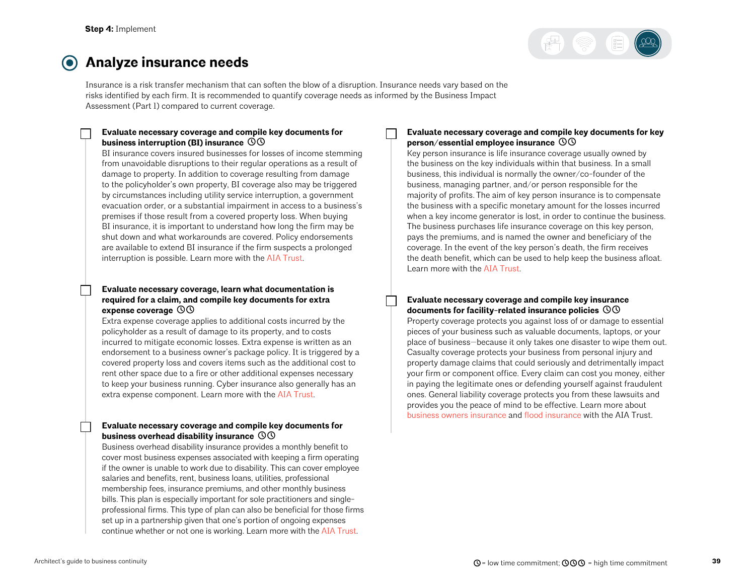

#### <span id="page-38-0"></span>**Analyze insurance needs**  $\bullet$

Insurance is a risk transfer mechanism that can soften the blow of a disruption. Insurance needs vary based on the risks identified by each firm. It is recommended to quantify coverage needs as informed by the Business Impact Assessment (Part 1) compared to current coverage.

#### **Evaluate necessary coverage and compile key documents for business interruption (BI) insurance**

BI insurance covers insured businesses for losses of income stemming from unavoidable disruptions to their regular operations as a result of damage to property. In addition to coverage resulting from damage to the policyholder's own property, BI coverage also may be triggered by circumstances including utility service interruption, a government evacuation order, or a substantial impairment in access to a business's premises if those result from a covered property loss. When buying BI insurance, it is important to understand how long the firm may be shut down and what workarounds are covered. Policy endorsements are available to extend BI insurance if the firm suspects a prolonged interruption is possible. Learn more with the [AIA Trust](https://www.theaiatrust.com/architects-guide-flood-insurance/).

#### **Evaluate necessary coverage, learn what documentation is required for a claim, and compile key documents for extra expense coverage**

Extra expense coverage applies to additional costs incurred by the policyholder as a result of damage to its property, and to costs incurred to mitigate economic losses. Extra expense is written as an endorsement to a business owner's package policy. It is triggered by a covered property loss and covers items such as the additional cost to rent other space due to a fire or other additional expenses necessary to keep your business running. Cyber insurance also generally has an extra expense component. Learn more with the [AIA Trust.](https://www.theaiatrust.com/business-owners-insurance/)

#### **Evaluate necessary coverage and compile key documents for business overhead disability insurance**

Business overhead disability insurance provides a monthly benefit to cover most business expenses associated with keeping a firm operating if the owner is unable to work due to disability. This can cover employee salaries and benefits, rent, business loans, utilities, professional membership fees, insurance premiums, and other monthly business bills. This plan is especially important for sole practitioners and singleprofessional firms. This type of plan can also be beneficial for those firms set up in a partnership given that one's portion of ongoing expenses continue whether or not one is working. Learn more with the [AIA Trust.](https://www.theaiatrust.com/disability-insurance-individual-firm/group-business-overhead-disability-insurance-plan-2/)

### **Evaluate necessary coverage and compile key documents for key person/essential employee insurance**

Key person insurance is life insurance coverage usually owned by the business on the key individuals within that business. In a small business, this individual is normally the owner/co-founder of the business, managing partner, and/or person responsible for the majority of profits. The aim of key person insurance is to compensate the business with a specific monetary amount for the losses incurred when a key income generator is lost, in order to continue the business. The business purchases life insurance coverage on this key person, pays the premiums, and is named the owner and beneficiary of the coverage. In the event of the key person's death, the firm receives the death benefit, which can be used to help keep the business afloat. Learn more with the [AIA Trust.](http://www.theaiatrust.com/term-life-insurance/key-person-term-life-insurance/)

#### **Evaluate necessary coverage and compile key insurance documents for facility-related insurance policies**

Property coverage protects you against loss of or damage to essential pieces of your business such as valuable documents, laptops, or your place of business—because it only takes one disaster to wipe them out. Casualty coverage protects your business from personal injury and property damage claims that could seriously and detrimentally impact your firm or component office. Every claim can cost you money, either in paying the legitimate ones or defending yourself against fraudulent ones. General liability coverage protects you from these lawsuits and provides you the peace of mind to be effective. Learn more about b[usiness owners insurance](https://www.theaiatrust.com/business-owners-insurance/) and f[lood insurance](https://www.theaiatrust.com/architects-guide-flood-insurance/) with the AIA Trust.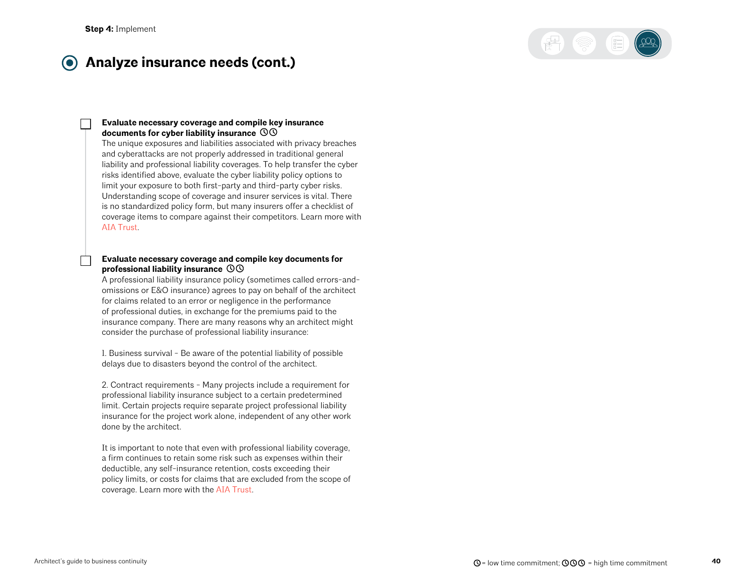

#### **Analyze insurance needs (cont.)**  $\bullet$

#### **Evaluate necessary coverage and compile key insurance documents for cyber liability insurance**

The unique exposures and liabilities associated with privacy breaches and cyberattacks are not properly addressed in traditional general liability and professional liability coverages. To help transfer the cyber risks identified above, evaluate the cyber liability policy options to limit your exposure to both first-party and third-party cyber risks. Understanding scope of coverage and insurer services is vital. There is no standardized policy form, but many insurers offer a checklist of coverage items to compare against their competitors. Learn more wit[h](https://www.theaiatrust.com/cyber-liability-insurance/) [AIA Trust](https://www.theaiatrust.com/cyber-liability-insurance/).

#### **Evaluate necessary coverage and compile key documents for professional liability insurance**

A professional liability insurance policy (sometimes called errors-andomissions or E&O insurance) agrees to pay on behalf of the architect for claims related to an error or negligence in the performance of professional duties, in exchange for the premiums paid to the insurance company. There are many reasons why an architect might consider the purchase of professional liability insurance:

1. Business survival - Be aware of the potential liability of possible delays due to disasters beyond the control of the architect.

2. Contract requirements - Many projects include a requirement for professional liability insurance subject to a certain predetermined limit. Certain projects require separate project professional liability insurance for the project work alone, independent of any other work done by the architect.

It is important to note that even with professional liability coverage, a firm continues to retain some risk such as expenses within their deductible, any self-insurance retention, costs exceeding their policy limits, or costs for claims that are excluded from the scope of coverage. Learn more with the [AIA Trust](https://www.theaiatrust.com/pli-database/tips-for-buying-insurance/).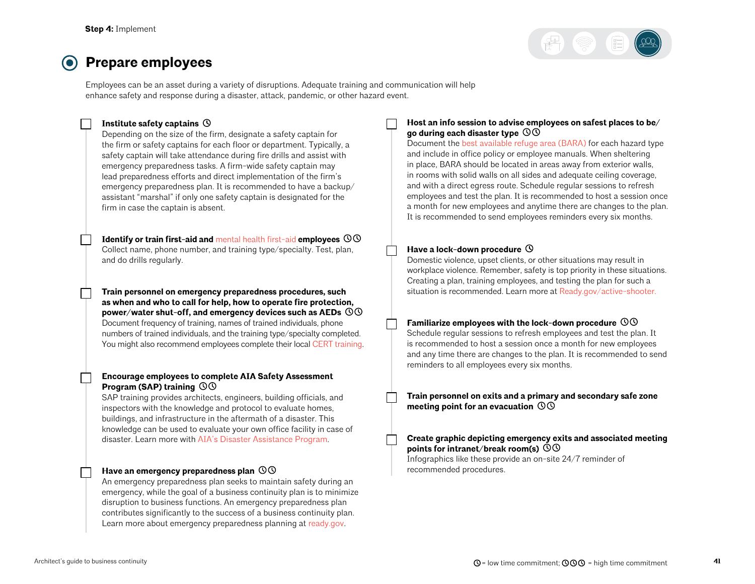

## **Prepare employees**

Employees can be an asset during a variety of disruptions. Adequate training and communication will help enhance safety and response during a disaster, attack, pandemic, or other hazard event.

#### **Institute safety captains**

Depending on the size of the firm, designate a safety captain for the firm or safety captains for each floor or department. Typically, a safety captain will take attendance during fire drills and assist with emergency preparedness tasks. A firm-wide safety captain may lead preparedness efforts and direct implementation of the firm's emergency preparedness plan. It is recommended to have a backup/ assistant "marshal" if only one safety captain is designated for the firm in case the captain is absent.

**Identify or train first-aid and** [mental health first-aid](https://www.mentalhealthfirstaid.org/) **employees**  Collect name, phone number, and training type/specialty. Test, plan, and do drills regularly.

**Train personnel on emergency preparedness procedures, such as when and who to call for help, how to operate fire protection, power/water shut-off, and emergency devices such as AEDs**  Document frequency of training, names of trained individuals, phone numbers of trained individuals, and the training type/specialty completed. You might also recommend employees complete their local [CERT training.](https://www.ready.gov/cert)

#### **Encourage employees to complete AIA Safety Assessment Program (SAP) training**

SAP training provides architects, engineers, building officials, and inspectors with the knowledge and protocol to evaluate homes, buildings, and infrastructure in the aftermath of a disaster. This knowledge can be used to evaluate your own office facility in case of disaster. Learn more with [AIA's Disaster Assistance Program](https://www.aia.org/resources/69766-disaster-assistance-program).

#### **Have an emergency preparedness plan**

An emergency preparedness plan seeks to maintain safety during an emergency, while the goal of a business continuity plan is to minimize disruption to business functions. An emergency preparedness plan contributes significantly to the success of a business continuity plan. Learn more about emergency preparedness planning at [ready.gov.](http://ready.gov)

#### **Host an info session to advise employees on safest places to be/ go during each disaster type**

Document the [best available refuge area \(BARA\)](#page-52-0) for each hazard type and include in office policy or employee manuals. When sheltering in place, BARA should be located in areas away from exterior walls, in rooms with solid walls on all sides and adequate ceiling coverage, and with a direct egress route. Schedule regular sessions to refresh employees and test the plan. It is recommended to host a session once a month for new employees and anytime there are changes to the plan. It is recommended to send employees reminders every six months.

#### Have a lock-down procedure  $\heartsuit$

Domestic violence, upset clients, or other situations may result in workplace violence. Remember, safety is top priority in these situations. Creating a plan, training employees, and testing the plan for such a situation is recommended. Learn more at [Ready.gov/active-shooter.](http://Ready.gov/active-shooter)

### **Familiarize employees with the lock-down procedure**

Schedule regular sessions to refresh employees and test the plan. It is recommended to host a session once a month for new employees and any time there are changes to the plan. It is recommended to send reminders to all employees every six months.

**Train personnel on exits and a primary and secondary safe zone meeting point for an evacuation** 

#### **Create graphic depicting emergency exits and associated meeting points for intranet/break room(s)**

Infographics like these provide an on-site 24/7 reminder of recommended procedures.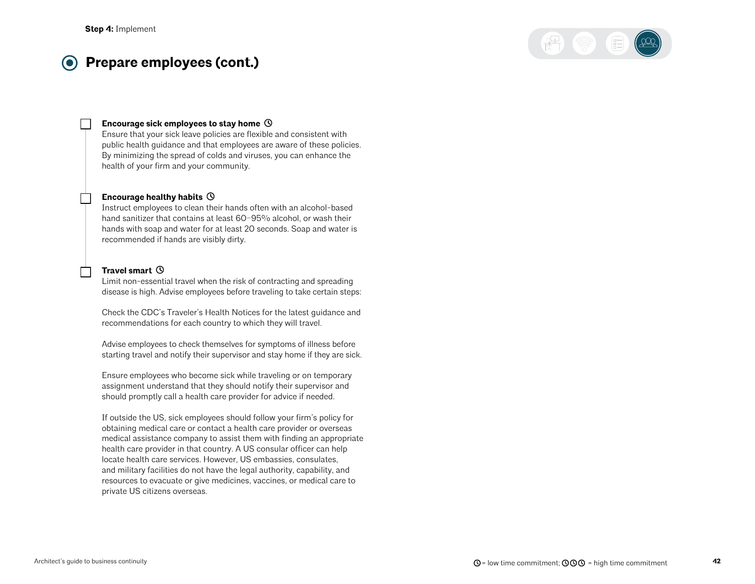#### **Prepare employees (cont.)**  $\left( \bullet \right)$



#### **Encourage sick employees to stay home**

Ensure that your sick leave policies are flexible and consistent with public health guidance and that employees are aware of these policies. By minimizing the spread of colds and viruses, you can enhance the health of your firm and your community.

#### **Encourage healthy habits**

Instruct employees to clean their hands often with an alcohol-based hand sanitizer that contains at least 60-95% alcohol, or wash their hands with soap and water for at least 20 seconds. Soap and water is recommended if hands are visibly dirty.

#### **Travel smart**

Limit non-essential travel when the risk of contracting and spreading disease is high. Advise employees before traveling to take certain steps:

Check the CDC's Traveler's Health Notices for the latest guidance and recommendations for each country to which they will travel.

Advise employees to check themselves for symptoms of illness before starting travel and notify their supervisor and stay home if they are sick.

Ensure employees who become sick while traveling or on temporary assignment understand that they should notify their supervisor and should promptly call a health care provider for advice if needed.

If outside the US, sick employees should follow your firm's policy for obtaining medical care or contact a health care provider or overseas medical assistance company to assist them with finding an appropriate health care provider in that country. A US consular officer can help locate health care services. However, US embassies, consulates, and military facilities do not have the legal authority, capability, and resources to evacuate or give medicines, vaccines, or medical care to private US citizens overseas.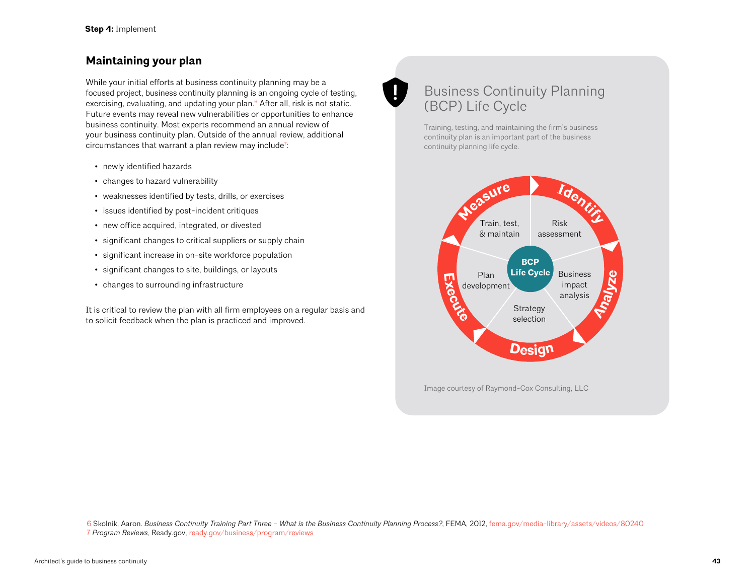## <span id="page-42-0"></span>**Maintaining your plan**

While your initial efforts at business continuity planning may be a focused project, business continuity planning is an ongoing cycle of testing, exercising, evaluating, and updating your plan.<sup>6</sup> After all, risk is not static. Future events may reveal new vulnerabilities or opportunities to enhance business continuity. Most experts recommend an annual review of your business continuity plan. Outside of the annual review, additional circumstances that warrant a plan review may include<sup>7</sup>:

- newly identified hazards
- changes to hazard vulnerability
- weaknesses identified by tests, drills, or exercises
- issues identified by post-incident critiques
- new office acquired, integrated, or divested
- significant changes to critical suppliers or supply chain
- significant increase in on-site workforce population
- significant changes to site, buildings, or layouts
- changes to surrounding infrastructure

It is critical to review the plan with all firm employees on a regular basis and to solicit feedback when the plan is practiced and improved.

# Business Continuity Planning (BCP) Life Cycle

Training, testing, and maintaining the firm's business continuity plan is an important part of the business continuity planning life cycle.



6 Skolnik, Aaron. *Business Continuity Training Part Three – What is the Business Continuity Planning Process?*, FEMA, 2012, [fema.gov/media-library/assets/videos/80240](https://www.fema.gov/media-library/assets/videos/80240) 7 *Program Reviews,* Ready.gov, [ready.gov/business/program/reviews](https://www.ready.gov/business/program/reviews)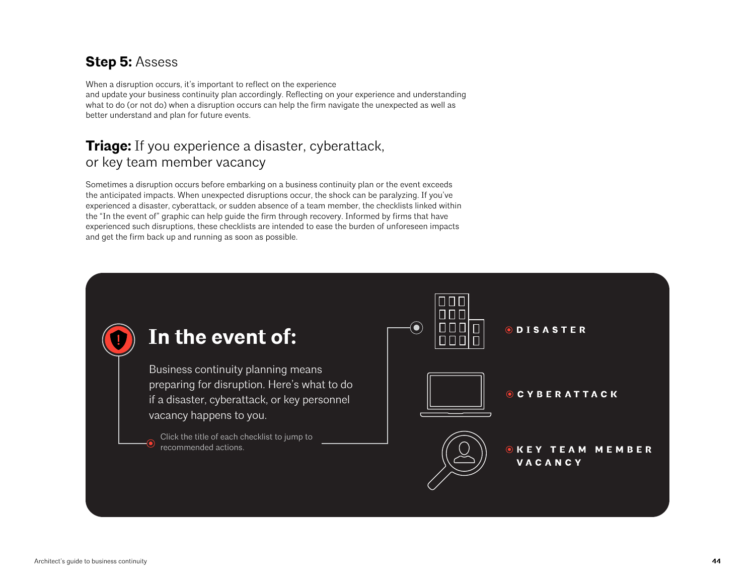# <span id="page-43-0"></span>**Step 5:** Assess

When a disruption occurs, it's important to reflect on the experience and update your business continuity plan accordingly. Reflecting on your experience and understanding what to do (or not do) when a disruption occurs can help the firm navigate the unexpected as well as better understand and plan for future events.

## **Triage:** If you experience a disaster, cyberattack, or key team member vacancy

Sometimes a disruption occurs before embarking on a business continuity plan or the event exceeds the anticipated impacts. When unexpected disruptions occur, the shock can be paralyzing. If you've experienced a disaster, cyberattack, or sudden absence of a team member, the checklists linked within the "In the event of" graphic can help guide the firm through recovery. Informed by firms that have experienced such disruptions, these checklists are intended to ease the burden of unforeseen impacts and get the firm back up and running as soon as possible.

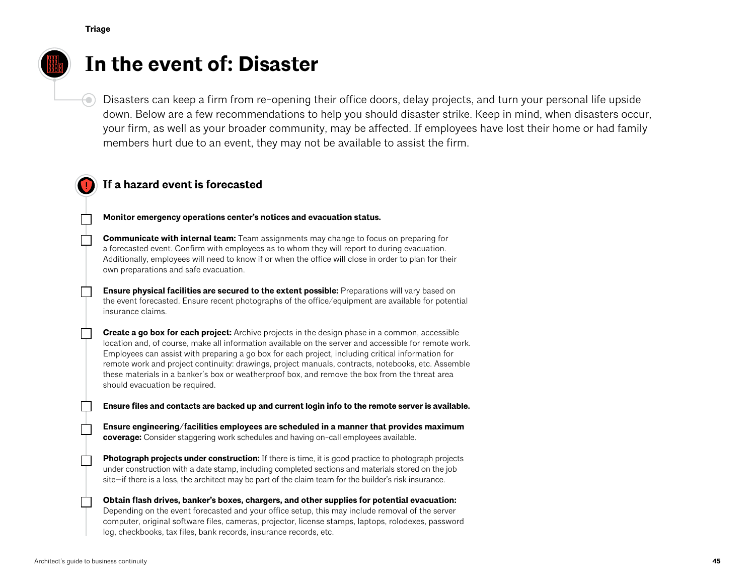₩.



# **In the event of: Disaster**

Disasters can keep a firm from re-opening their office doors, delay projects, and turn your personal life upside down. Below are a few recommendations to help you should disaster strike. Keep in mind, when disasters occur, your firm, as well as your broader community, may be affected. If employees have lost their home or had family members hurt due to an event, they may not be available to assist the firm.

## **If a hazard event is forecasted**

**Monitor emergency operations center's notices and evacuation status.**

**Communicate with internal team:** Team assignments may change to focus on preparing for a forecasted event. Confirm with employees as to whom they will report to during evacuation. Additionally, employees will need to know if or when the office will close in order to plan for their own preparations and safe evacuation.

**Ensure physical facilities are secured to the extent possible:** Preparations will vary based on the event forecasted. Ensure recent photographs of the office/equipment are available for potential insurance claims.

**Create a go box for each project:** Archive projects in the design phase in a common, accessible location and, of course, make all information available on the server and accessible for remote work. Employees can assist with preparing a go box for each project, including critical information for remote work and project continuity: drawings, project manuals, contracts, notebooks, etc. Assemble these materials in a banker's box or weatherproof box, and remove the box from the threat area should evacuation be required.

**Ensure files and contacts are backed up and current login info to the remote server is available.**

**Ensure engineering/facilities employees are scheduled in a manner that provides maximum coverage:** Consider staggering work schedules and having on-call employees available.

**Photograph projects under construction:** If there is time, it is good practice to photograph projects under construction with a date stamp, including completed sections and materials stored on the job site—if there is a loss, the architect may be part of the claim team for the builder's risk insurance.

**Obtain flash drives, banker's boxes, chargers, and other supplies for potential evacuation:** Depending on the event forecasted and your office setup, this may include removal of the server computer, original software files, cameras, projector, license stamps, laptops, rolodexes, password log, checkbooks, tax files, bank records, insurance records, etc.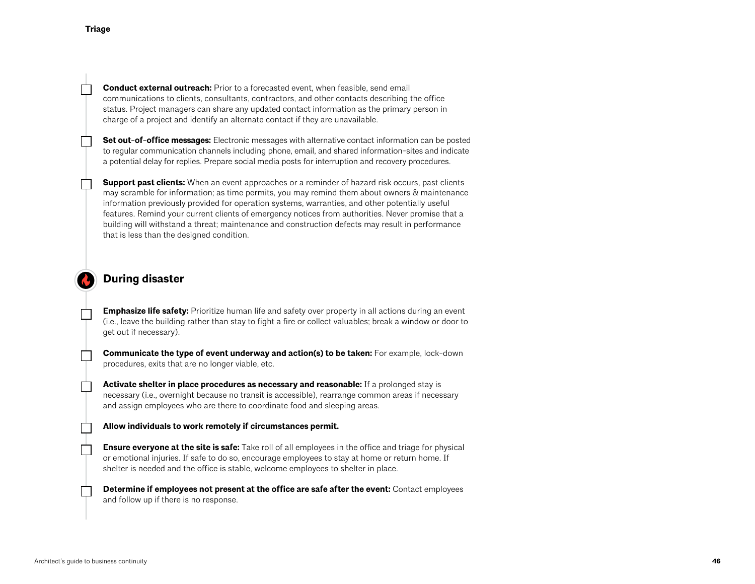**Conduct external outreach:** Prior to a forecasted event, when feasible, send email communications to clients, consultants, contractors, and other contacts describing the office status. Project managers can share any updated contact information as the primary person in charge of a project and identify an alternate contact if they are unavailable.

**Set out-of-office messages:** Electronic messages with alternative contact information can be posted to regular communication channels including phone, email, and shared information-sites and indicate a potential delay for replies. Prepare social media posts for interruption and recovery procedures.

**Support past clients:** When an event approaches or a reminder of hazard risk occurs, past clients may scramble for information; as time permits, you may remind them about owners & maintenance information previously provided for operation systems, warranties, and other potentially useful features. Remind your current clients of emergency notices from authorities. Never promise that a building will withstand a threat; maintenance and construction defects may result in performance that is less than the designed condition.

## **During disaster**

**Emphasize life safety:** Prioritize human life and safety over property in all actions during an event (i.e., leave the building rather than stay to fight a fire or collect valuables; break a window or door to get out if necessary).

**Communicate the type of event underway and action(s) to be taken:** For example, lock-down procedures, exits that are no longer viable, etc.

**Activate shelter in place procedures as necessary and reasonable:** If a prolonged stay is necessary (i.e., overnight because no transit is accessible), rearrange common areas if necessary and assign employees who are there to coordinate food and sleeping areas.

**Allow individuals to work remotely if circumstances permit.**

**Ensure everyone at the site is safe:** Take roll of all employees in the office and triage for physical or emotional injuries. If safe to do so, encourage employees to stay at home or return home. If shelter is needed and the office is stable, welcome employees to shelter in place.

**Determine if employees not present at the office are safe after the event:** Contact employees and follow up if there is no response.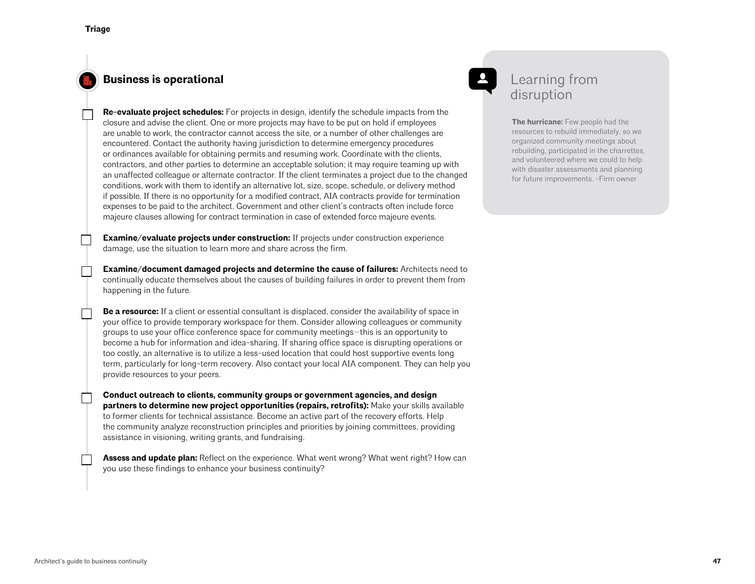## **Business is operational**

**Re-evaluate project schedules:** For projects in design, identify the schedule impacts from the closure and advise the client. One or more projects may have to be put on hold if employees are unable to work, the contractor cannot access the site, or a number of other challenges are encountered. Contact the authority having jurisdiction to determine emergency procedures or ordinances available for obtaining permits and resuming work. Coordinate with the clients, contractors, and other parties to determine an acceptable solution; it may require teaming up with an unaffected colleague or alternate contractor. If the client terminates a project due to the changed conditions, work with them to identify an alternative lot, size, scope, schedule, or delivery method if possible. If there is no opportunity for a modified contract, AIA contracts provide for termination expenses to be paid to the architect. Government and other client's contracts often include force majeure clauses allowing for contract termination in case of extended force majeure events.

**Examine/evaluate projects under construction:** If projects under construction experience damage, use the situation to learn more and share across the firm.

**Examine/document damaged projects and determine the cause of failures:** Architects need to continually educate themselves about the causes of building failures in order to prevent them from happening in the future.

**Be a resource:** If a client or essential consultant is displaced, consider the availability of space in your office to provide temporary workspace for them. Consider allowing colleagues or community groups to use your office conference space for community meetings—this is an opportunity to become a hub for information and idea-sharing. If sharing office space is disrupting operations or too costly, an alternative is to utilize a less-used location that could host supportive events long term, particularly for long-term recovery. Also contact your local AIA component. They can help you provide resources to your peers.

**Conduct outreach to clients, community groups or government agencies, and design partners to determine new project opportunities (repairs, retrofits):** Make your skills available to former clients for technical assistance. Become an active part of the recovery efforts. Help the community analyze reconstruction principles and priorities by joining committees, providing assistance in visioning, writing grants, and fundraising.

**Assess and update plan:** Reflect on the experience. What went wrong? What went right? How can you use these findings to enhance your business continuity?

## Learning from disruption

**The hurricane:** Few people had the resources to rebuild immediately, so we organized community meetings about rebuilding, participated in the charrettes, and volunteered where we could to help with disaster assessments and planning for future improvements. -Firm owner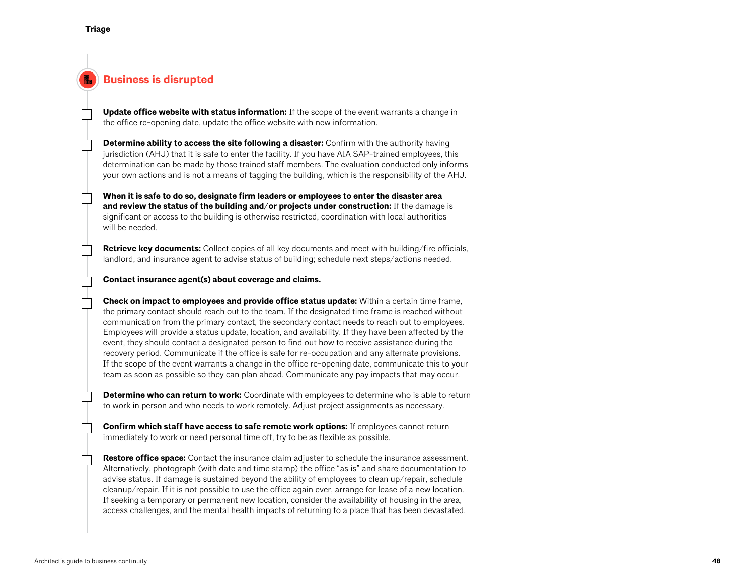## **Business is disrupted**

**Update office website with status information:** If the scope of the event warrants a change in the office re-opening date, update the office website with new information.

**Determine ability to access the site following a disaster:** Confirm with the authority having jurisdiction (AHJ) that it is safe to enter the facility. If you have AIA SAP-trained employees, this determination can be made by those trained staff members. The evaluation conducted only informs your own actions and is not a means of tagging the building, which is the responsibility of the AHJ.

**When it is safe to do so, designate firm leaders or employees to enter the disaster area and review the status of the building and/or projects under construction:** If the damage is significant or access to the building is otherwise restricted, coordination with local authorities will be needed.

**Retrieve key documents:** Collect copies of all key documents and meet with building/fire officials, landlord, and insurance agent to advise status of building; schedule next steps/actions needed.

**Contact insurance agent(s) about coverage and claims.**

**Check on impact to employees and provide office status update:** Within a certain time frame, the primary contact should reach out to the team. If the designated time frame is reached without communication from the primary contact, the secondary contact needs to reach out to employees. Employees will provide a status update, location, and availability. If they have been affected by the event, they should contact a designated person to find out how to receive assistance during the recovery period. Communicate if the office is safe for re-occupation and any alternate provisions. If the scope of the event warrants a change in the office re-opening date, communicate this to your team as soon as possible so they can plan ahead. Communicate any pay impacts that may occur.

**Determine who can return to work:** Coordinate with employees to determine who is able to return to work in person and who needs to work remotely. Adjust project assignments as necessary.

**Confirm which staff have access to safe remote work options:** If employees cannot return immediately to work or need personal time off, try to be as flexible as possible.

**Restore office space:** Contact the insurance claim adjuster to schedule the insurance assessment. Alternatively, photograph (with date and time stamp) the office "as is" and share documentation to advise status. If damage is sustained beyond the ability of employees to clean up/repair, schedule cleanup/repair. If it is not possible to use the office again ever, arrange for lease of a new location. If seeking a temporary or permanent new location, consider the availability of housing in the area, access challenges, and the mental health impacts of returning to a place that has been devastated.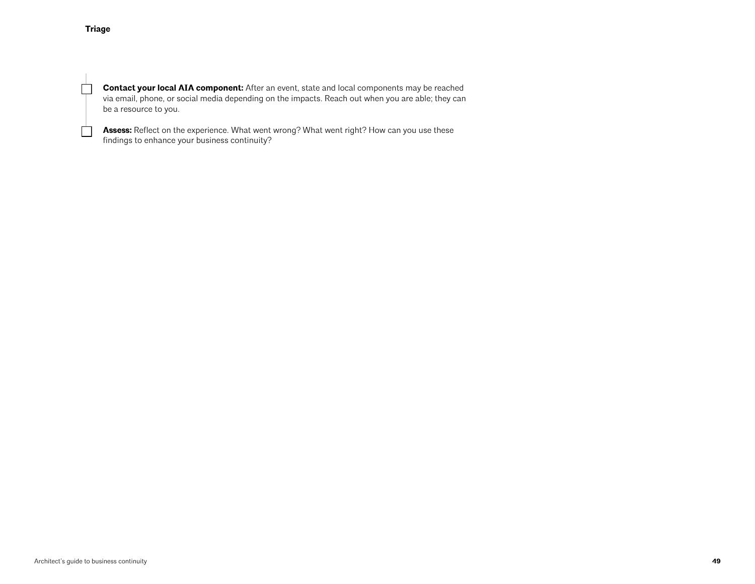$\Box$ 

 $\Box$ 

**Contact your local AIA component:** After an event, state and local components may be reached via email, phone, or social media depending on the impacts. Reach out when you are able; they can be a resource to you.

Assess: Reflect on the experience. What went wrong? What went right? How can you use these findings to enhance your business continuity?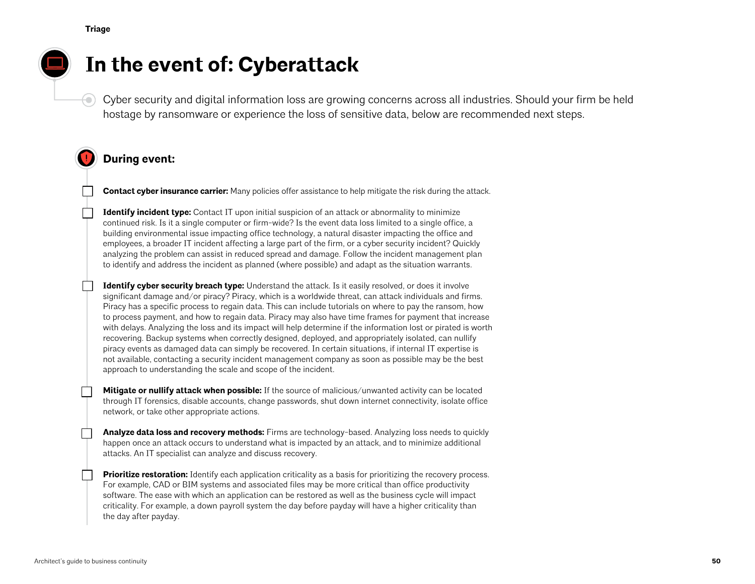€



# **In the event of: Cyberattack**

Cyber security and digital information loss are growing concerns across all industries. Should your firm be held hostage by ransomware or experience the loss of sensitive data, below are recommended next steps.

## **During event:**

**Contact cyber insurance carrier:** Many policies offer assistance to help mitigate the risk during the attack.

**Identify incident type:** Contact IT upon initial suspicion of an attack or abnormality to minimize continued risk. Is it a single computer or firm-wide? Is the event data loss limited to a single office, a building environmental issue impacting office technology, a natural disaster impacting the office and employees, a broader IT incident affecting a large part of the firm, or a cyber security incident? Quickly analyzing the problem can assist in reduced spread and damage. Follow the incident management plan to identify and address the incident as planned (where possible) and adapt as the situation warrants.

**Identify cyber security breach type:** Understand the attack. Is it easily resolved, or does it involve significant damage and/or piracy? Piracy, which is a worldwide threat, can attack individuals and firms. Piracy has a specific process to regain data. This can include tutorials on where to pay the ransom, how to process payment, and how to regain data. Piracy may also have time frames for payment that increase with delays. Analyzing the loss and its impact will help determine if the information lost or pirated is worth recovering. Backup systems when correctly designed, deployed, and appropriately isolated, can nullify piracy events as damaged data can simply be recovered. In certain situations, if internal IT expertise is not available, contacting a security incident management company as soon as possible may be the best approach to understanding the scale and scope of the incident.

**Mitigate or nullify attack when possible:** If the source of malicious/unwanted activity can be located through IT forensics, disable accounts, change passwords, shut down internet connectivity, isolate office network, or take other appropriate actions.

**Analyze data loss and recovery methods:** Firms are technology-based. Analyzing loss needs to quickly happen once an attack occurs to understand what is impacted by an attack, and to minimize additional attacks. An IT specialist can analyze and discuss recovery.

**Prioritize restoration:** Identify each application criticality as a basis for prioritizing the recovery process. For example, CAD or BIM systems and associated files may be more critical than office productivity software. The ease with which an application can be restored as well as the business cycle will impact criticality. For example, a down payroll system the day before payday will have a higher criticality than the day after payday.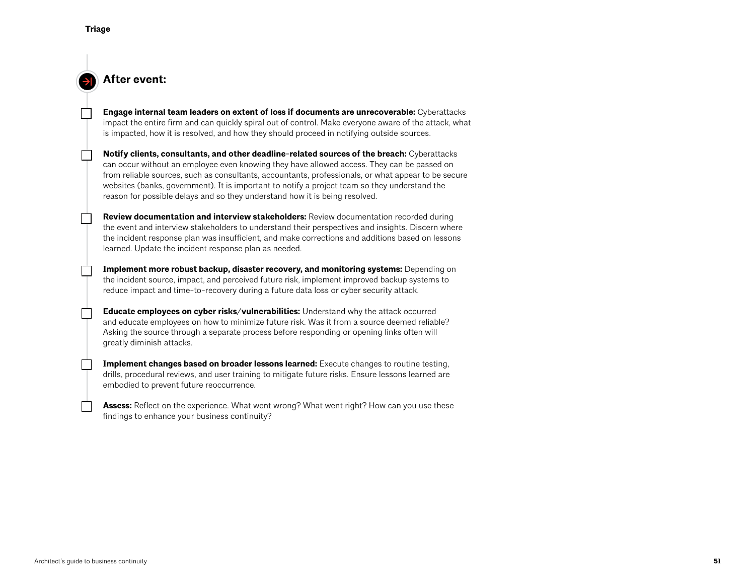## **After event:**

**Engage internal team leaders on extent of loss if documents are unrecoverable:** Cyberattacks impact the entire firm and can quickly spiral out of control. Make everyone aware of the attack, what is impacted, how it is resolved, and how they should proceed in notifying outside sources.

**Notify clients, consultants, and other deadline-related sources of the breach:** Cyberattacks can occur without an employee even knowing they have allowed access. They can be passed on from reliable sources, such as consultants, accountants, professionals, or what appear to be secure websites (banks, government). It is important to notify a project team so they understand the reason for possible delays and so they understand how it is being resolved.

**Review documentation and interview stakeholders:** Review documentation recorded during the event and interview stakeholders to understand their perspectives and insights. Discern where the incident response plan was insufficient, and make corrections and additions based on lessons learned. Update the incident response plan as needed.

**Implement more robust backup, disaster recovery, and monitoring systems:** Depending on the incident source, impact, and perceived future risk, implement improved backup systems to reduce impact and time-to-recovery during a future data loss or cyber security attack.

**Educate employees on cyber risks/vulnerabilities:** Understand why the attack occurred and educate employees on how to minimize future risk. Was it from a source deemed reliable? Asking the source through a separate process before responding or opening links often will greatly diminish attacks.

**Implement changes based on broader lessons learned:** Execute changes to routine testing, drills, procedural reviews, and user training to mitigate future risks. Ensure lessons learned are embodied to prevent future reoccurrence.

**Assess:** Reflect on the experience. What went wrong? What went right? How can you use these findings to enhance your business continuity?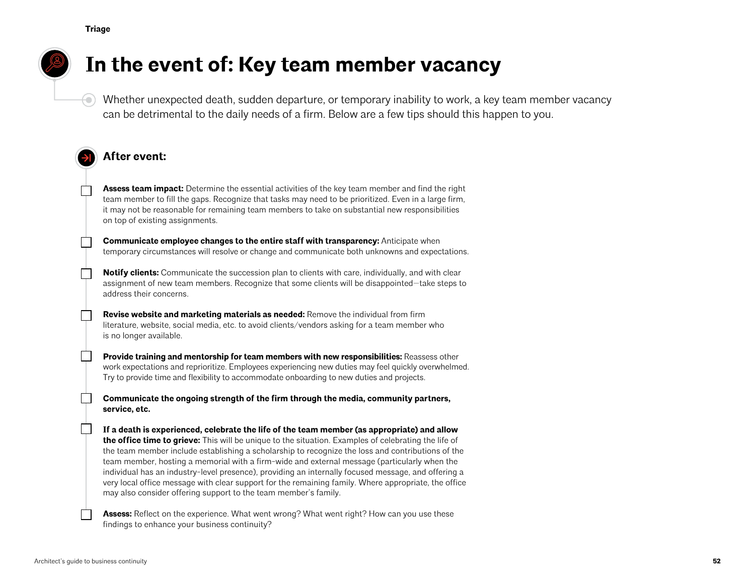**Triage**

⊖)

# **In the event of: Key team member vacancy**

Whether unexpected death, sudden departure, or temporary inability to work, a key team member vacancy can be detrimental to the daily needs of a firm. Below are a few tips should this happen to you.

## **After event:**

**Assess team impact:** Determine the essential activities of the key team member and find the right team member to fill the gaps. Recognize that tasks may need to be prioritized. Even in a large firm, it may not be reasonable for remaining team members to take on substantial new responsibilities on top of existing assignments.

**Communicate employee changes to the entire staff with transparency:** Anticipate when temporary circumstances will resolve or change and communicate both unknowns and expectations.

**Notify clients:** Communicate the succession plan to clients with care, individually, and with clear assignment of new team members. Recognize that some clients will be disappointed—take steps to address their concerns.

**Revise website and marketing materials as needed:** Remove the individual from firm literature, website, social media, etc. to avoid clients/vendors asking for a team member who is no longer available.

**Provide training and mentorship for team members with new responsibilities:** Reassess other work expectations and reprioritize. Employees experiencing new duties may feel quickly overwhelmed. Try to provide time and flexibility to accommodate onboarding to new duties and projects.

**Communicate the ongoing strength of the firm through the media, community partners, service, etc.**

**If a death is experienced, celebrate the life of the team member (as appropriate) and allow the office time to grieve:** This will be unique to the situation. Examples of celebrating the life of the team member include establishing a scholarship to recognize the loss and contributions of the team member, hosting a memorial with a firm-wide and external message (particularly when the individual has an industry-level presence), providing an internally focused message, and offering a very local office message with clear support for the remaining family. Where appropriate, the office may also consider offering support to the team member's family.

**Assess:** Reflect on the experience. What went wrong? What went right? How can you use these findings to enhance your business continuity?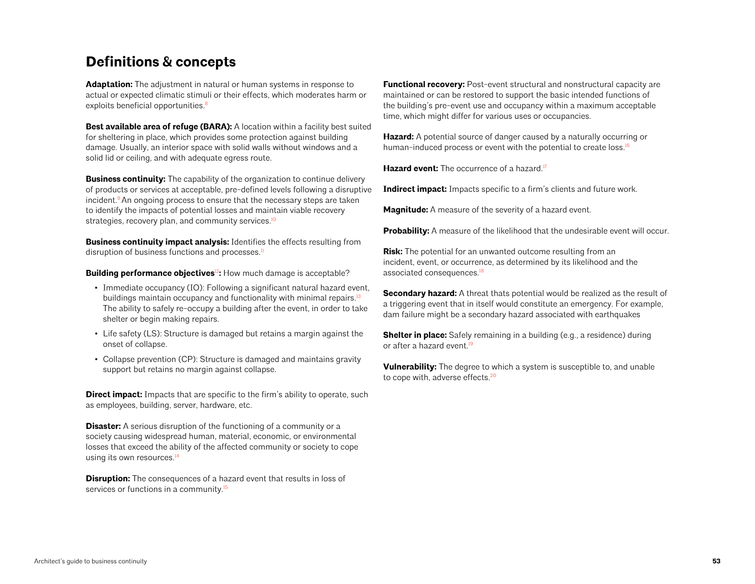## <span id="page-52-0"></span>**Definitions & concepts**

**Adaptation:** The adjustment in natural or human systems in response to actual or expected climatic stimuli or their effects, which moderates harm or exploits beneficial opportunities.<sup>8</sup>

**Best available area of refuge (BARA):** A location within a facility best suited for sheltering in place, which provides some protection against building damage. Usually, an interior space with solid walls without windows and a solid lid or ceiling, and with adequate egress route.

**Business continuity:** The capability of the organization to continue delivery of products or services at acceptable, pre-defined levels following a disruptive incident.<sup>9</sup> An ongoing process to ensure that the necessary steps are taken to identify the impacts of potential losses and maintain viable recovery strategies, recovery plan, and community services.<sup>10</sup>

**Business continuity impact analysis:** Identifies the effects resulting from disruption of business functions and processes.<sup>11</sup>

**Building performance objectives<sup>12</sup>:** How much damage is acceptable?

- Immediate occupancy (IO): Following a significant natural hazard event, buildings maintain occupancy and functionality with minimal repairs.<sup>13</sup> The ability to safely re-occupy a building after the event, in order to take shelter or begin making repairs.
- Life safety (LS): Structure is damaged but retains a margin against the onset of collapse.
- Collapse prevention (CP): Structure is damaged and maintains gravity support but retains no margin against collapse.

**Direct impact:** Impacts that are specific to the firm's ability to operate, such as employees, building, server, hardware, etc.

**Disaster:** A serious disruption of the functioning of a community or a society causing widespread human, material, economic, or environmental losses that exceed the ability of the affected community or society to cope using its own resources.<sup>14</sup>

**Disruption:** The consequences of a hazard event that results in loss of services or functions in a community.<sup>15</sup>

**Functional recovery:** Post-event structural and nonstructural capacity are maintained or can be restored to support the basic intended functions of the building's pre-event use and occupancy within a maximum acceptable time, which might differ for various uses or occupancies.

**Hazard:** A potential source of danger caused by a naturally occurring or human-induced process or event with the potential to create loss.<sup>16</sup>

Hazard event: The occurrence of a hazard.<sup>17</sup>

**Indirect impact:** Impacts specific to a firm's clients and future work.

**Magnitude:** A measure of the severity of a hazard event.

**Probability:** A measure of the likelihood that the undesirable event will occur.

**Risk:** The potential for an unwanted outcome resulting from an incident, event, or occurrence, as determined by its likelihood and the associated consequences.<sup>18</sup>

**Secondary hazard:** A threat thats potential would be realized as the result of a triggering event that in itself would constitute an emergency. For example, dam failure might be a secondary hazard associated with earthquakes

**Shelter in place:** Safely remaining in a building (e.g., a residence) during or after a hazard event.<sup>19</sup>

**Vulnerability:** The degree to which a system is susceptible to, and unable to cope with, adverse effects.<sup>20</sup>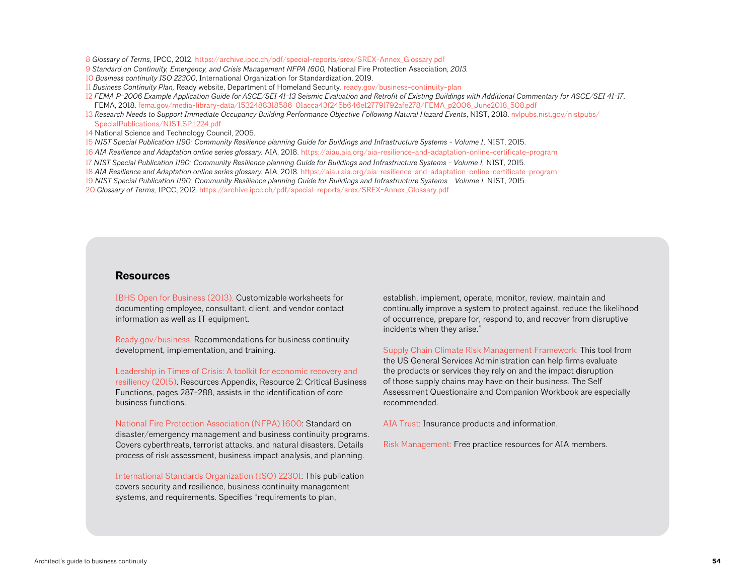- 8 *Glossary of Terms*, IPCC, 2012. [https://archive.ipcc.ch/pdf/special-reports/srex/SREX-Annex\\_Glossary.pdf](https://archive.ipcc.ch/pdf/special-reports/srex/SREX-Annex_Glossary.pdf)
- 9 *Standard on Continuity, Emergency, and Crisis Management NFPA 1600,* National Fire Protection Association, *2013.*
- 10 *Business continuity ISO 22300*, International Organization for Standardization, 2019.
- 11 *Business Continuity Plan,* Ready website, Department of Homeland Security. [ready.gov/business-continuity-plan](https://www.ready.gov/business-continuity-plan)
- 12 *FEMA P-2006 Example Application Guide for ASCE/SEI 41-13 Seismic Evaluation and Retrofit of Existing Buildings with Additional Commentary for ASCE/SEI 41-17*, FEMA, 2018. [fema.gov/media-library-data/1532488318586-01acca43f245b646e127791792afe278/FEMA\\_p2006\\_June2018\\_508.pdf](https://www.fema.gov/media-library-data/1532488318586-01acca43f245b646e127791792afe278/FEMA_p2006_June2018_508.pdf)
- 13 Research Needs to Support Immediate Occupancy Building Performance Objective Following Natural Hazard Events, NIST, 2018. [nvlpubs.nist.gov/nistpubs/](https://nvlpubs.nist.gov/nistpubs/SpecialPublications/NIST.SP.1224.pdf) [SpecialPublications/NIST.SP.1224.pdf](https://nvlpubs.nist.gov/nistpubs/SpecialPublications/NIST.SP.1224.pdf)
- 14 National Science and Technology Council, 2005.
- 15 *NIST Special Publication 1190: Community Resilience planning Guide for Buildings and Infrastructure Systems Volume 1*, NIST, 2015.
- 16 *AIA Resilience and Adaptation online series glossary.* AIA, 2018. <https://aiau.aia.org/aia-resilience-and-adaptation-online-certificate-program>
- 17 *NIST Special Publication 1190: Community Resilience planning Guide for Buildings and Infrastructure Systems Volume 1,* NIST, 2015.
- 18 *AIA Resilience and Adaptation online series glossary.* AIA, 2018. <https://aiau.aia.org/aia-resilience-and-adaptation-online-certificate-program>
- 19 *NIST Special Publication 1190: Community Resilience planning Guide for Buildings and Infrastructure Systems Volume 1,* NIST, 2015.
- 20 *Glossary of Terms,* IPCC, 2012*.* [https://archive.ipcc.ch/pdf/special-reports/srex/SREX-Annex\\_Glossary.pdf](https://archive.ipcc.ch/pdf/special-reports/srex/SREX-Annex_Glossary.pdf)

#### **Resources**

[IBHS Open for Business \(2013\).](https://disastersafety.org/business-protection/ofb-ez/) Customizable worksheets for documenting employee, consultant, client, and vendor contact information as well as IT equipment.

[Ready.gov/business.](https://www.ready.gov/business) Recommendations for business continuity development, implementation, and training.

[Leadership in Times of Crisis: A toolkit for economic recovery and](https://restoreyoureconomy.org/clientuploads/2015/03/IEDC-Leadership-in-Times-of-Crisis-Toolkit.pdf)  [resiliency](https://restoreyoureconomy.org/clientuploads/2015/03/IEDC-Leadership-in-Times-of-Crisis-Toolkit.pdf) (2015). Resources Appendix, Resource 2: Critical Business Functions, pages 287-288, assists in the identification of core business functions.

[National Fire Protection Association \(NFPA\) 1600:](https://www.nfpa.org/codes-and-standards/all-codes-and-standards/list-of-codes-and-standards/detail?code=1600) Standard on disaster/emergency management and business continuity programs. Covers cyberthreats, terrorist attacks, and natural disasters. Details process of risk assessment, business impact analysis, and planning.

[International Standards Organization \(ISO\) 22301:](https://www.iso.org/standard/75106.html) This publication covers security and resilience, business continuity management systems, and requirements. Specifies "requirements to plan,

establish, implement, operate, monitor, review, maintain and continually improve a system to protect against, reduce the likelihood of occurrence, prepare for, respond to, and recover from disruptive incidents when they arise."

[Supply Chain Climate Risk Management Framework:](https://sftool.gov/plan/556/supply-chain-climate-risk-management-framework) This tool from the US General Services Administration can help firms evaluate the products or services they rely on and the impact disruption of those supply chains may have on their business. The Self Assessment Questionaire and Companion Workbook are especially recommended.

[AIA Trust:](https://www.theaiatrust.com/products-overview/) Insurance products and information.

[Risk Management: Free practice resources for AIA members.](https://www.theaiatrust.com/practice-resources-and-benefits/)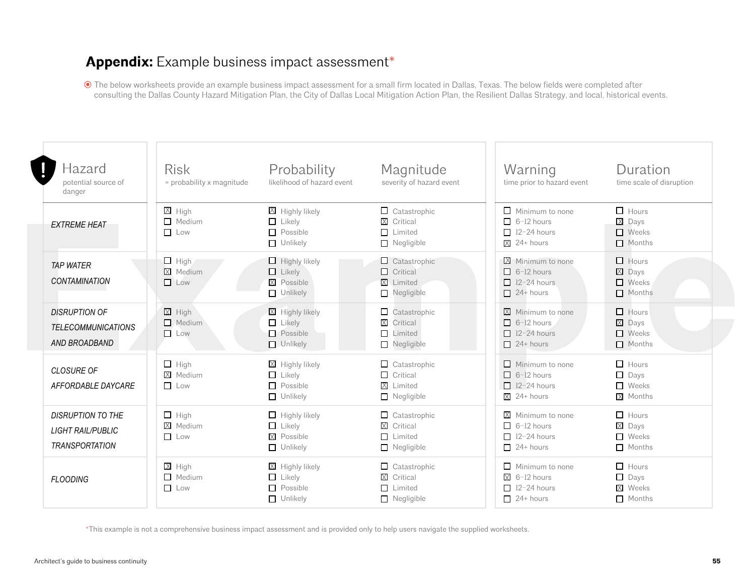# <span id="page-54-0"></span>**Appendix:** Example business impact assessment\*

 The below worksheets provide an example business impact assessment for a small firm located in Dallas, Texas. The below fields were completed after consulting the Dallas County Hazard Mitigation Plan, the City of Dallas Local Mitigation Action Plan, the Resilient Dallas Strategy, and local, historical events.

| Hazard<br>potential source of<br>danger                                       | <b>Risk</b><br>= probability x magnitude | Probability<br>likelihood of hazard event                                | Magnitude<br>severity of hazard event                                           | Warning<br>time prior to hazard event                                                         | Duration<br>time scale of disruption                           |
|-------------------------------------------------------------------------------|------------------------------------------|--------------------------------------------------------------------------|---------------------------------------------------------------------------------|-----------------------------------------------------------------------------------------------|----------------------------------------------------------------|
| <b>EXTREME HEAT</b>                                                           | $X$ High<br>$\Box$ Medium<br>Low         | $X$ Highly likely<br>$\Box$ Likely<br>$\Box$ Possible<br>$\Box$ Unlikely | $\Box$ Catastrophic<br>X Critical<br>$\Box$ Limited<br>$\Box$ Negligible        | $\Box$ Minimum to none<br>$\Box$ 6-12 hours<br>$\Box$ 12-24 hours<br>$\overline{X}$ 24+ hours | $\Box$ Hours<br>X Days<br>$\Box$ Weeks<br>$\Box$ Months        |
| <b>TAP WATER</b><br><b>CONTAMINATION</b>                                      | $\Box$ High<br>X Medium<br>$\Box$ Low    | $\Box$ Highly likely<br>$\Box$ Likely<br>X Possible<br>$\Box$ Unlikely   | $\Box$ Catastrophic<br>$\Box$ Critical<br><b>X</b> Limited<br>$\Box$ Negligible | X Minimum to none<br>$\Box$ 6-12 hours<br>$\Box$ 12-24 hours<br>$\Box$ 24+ hours              | $\Box$ Hours<br>X Days<br>$\Box$ Weeks<br>$\Box$ Months        |
| <b>DISRUPTION OF</b><br><b>TELECOMMUNICATIONS</b><br>AND BROADBAND            | $X$ High<br>$M$ edium<br>$\Box$ Low      | X Highly likely<br>$L$ Likely<br>$\Box$ Possible<br>$\Box$ Unlikely      | $\Box$ Catastrophic<br>X Critical<br>$\Box$ Limited<br>Negligible               | $\boxtimes$ Minimum to none<br>$\Box$ 6-12 hours<br>$\Box$ 12-24 hours<br>$\Box$ 24+ hours    | $\Box$ Hours<br>X Days<br>$\Box$ Weeks<br>$\Box$ Months        |
| CLOSURE OF<br>AFFORDABLE DAYCARE                                              | $\Box$ High<br>X Medium<br>$\Box$ Low    | X Highly likely<br>$\Box$ Likely<br>$\Box$ Possible<br>$\Box$ Unlikely   | $\Box$ Catastrophic<br>$\Box$ Critical<br>X Limited<br>$\Box$ Negligible        | $\Box$ Minimum to none<br>$\Box$ 6-12 hours<br>$\Box$ 12-24 hours<br>$X$ 24+ hours            | $\Box$ Hours<br>$\Box$ Days<br>$\Box$ Weeks<br>X Months        |
| <b>DISRUPTION TO THE</b><br><b>LIGHT RAIL/PUBLIC</b><br><b>TRANSPORTATION</b> | $\Box$ High<br>X Medium<br><b>Low</b>    | $\Box$ Highly likely<br>$\Box$ Likely<br>X Possible<br>$\Box$ Unlikely   | $\Box$ Catastrophic<br>X Critical<br>$\Box$ Limited<br>$\Box$ Negligible        | $X$ Minimum to none<br>$\Box$ 6-12 hours<br>$\Box$ 12-24 hours<br>$\Box$ 24+ hours            | $\Box$ Hours<br>X Days<br>$\Box$ Weeks<br>Months               |
| <b>FLOODING</b>                                                               | $X$ High<br>$\Box$ Medium<br>$\Box$ Low  | X Highly likely<br>$\Box$ Likely<br>$\Box$ Possible<br>$\Box$ Unlikely   | $\Box$ Catastrophic<br>X Critical<br>$\Box$ Limited<br>$\Box$ Negligible        | $\Box$ Minimum to none<br>$X$ 6-12 hours<br>$\Box$ 12-24 hours<br>$\Box$ 24+ hours            | $\Box$ Hours<br>$\Box$ Days<br><b>X</b> Weeks<br>$\Box$ Months |

\*This example is not a comprehensive business impact assessment and is provided only to help users navigate the supplied worksheets.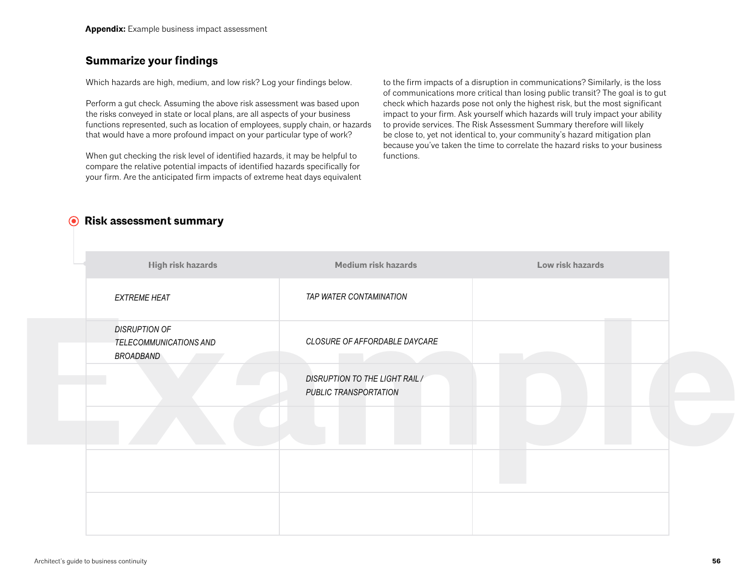## <span id="page-55-0"></span>**Summarize your findings**

Which hazards are high, medium, and low risk? Log your findings below.

Perform a gut check. Assuming the above risk assessment was based upon the risks conveyed in state or local plans, are all aspects of your business functions represented, such as location of employees, supply chain, or hazards that would have a more profound impact on your particular type of work?

When gut checking the risk level of identified hazards, it may be helpful to compare the relative potential impacts of identified hazards specifically for your firm. Are the anticipated firm impacts of extreme heat days equivalent

to the firm impacts of a disruption in communications? Similarly, is the loss of communications more critical than losing public transit? The goal is to gut check which hazards pose not only the highest risk, but the most significant impact to your firm. Ask yourself which hazards will truly impact your ability to provide services. The Risk Assessment Summary therefore will likely be close to, yet not identical to, your community's hazard mitigation plan because you've taken the time to correlate the hazard risks to your business functions.

## **Risk assessment summary**

| TAP WATER CONTAMINATION<br><b>EXTREME HEAT</b><br><b>DISRUPTION OF</b><br>CLOSURE OF AFFORDABLE DAYCARE<br>TELECOMMUNICATIONS AND<br>BROADBAND<br><b>DISRUPTION TO THE LIGHT RAIL /</b><br>PUBLIC TRANSPORTATION | High risk hazards | <b>Medium risk hazards</b> | Low risk hazards |
|------------------------------------------------------------------------------------------------------------------------------------------------------------------------------------------------------------------|-------------------|----------------------------|------------------|
|                                                                                                                                                                                                                  |                   |                            |                  |
|                                                                                                                                                                                                                  |                   |                            |                  |
|                                                                                                                                                                                                                  |                   |                            |                  |
|                                                                                                                                                                                                                  |                   |                            |                  |
|                                                                                                                                                                                                                  |                   |                            |                  |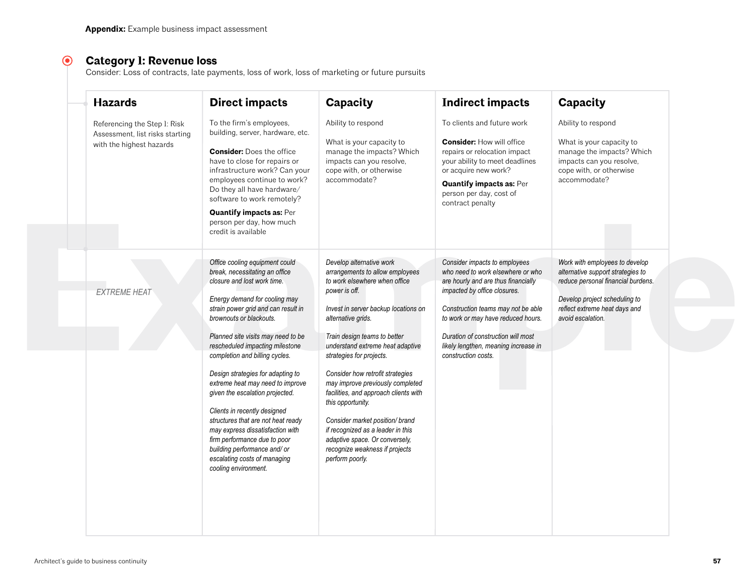#### $\odot$ **Category 1: Revenue loss**

Consider: Loss of contracts, late payments, loss of work, loss of marketing or future pursuits

| <b>Hazards</b>                                                                              | <b>Direct impacts</b>                                                                                                                                                                                                                                                                                                                                                                                                                                                                                                                                                                                                                                       | Capacity                                                                                                                                                                                                                                                                                                                                                                                                                                                                                                                                                                         | <b>Indirect impacts</b>                                                                                                                                                                                                                                                                                                    | Capacity                                                                                                                                                                                         |
|---------------------------------------------------------------------------------------------|-------------------------------------------------------------------------------------------------------------------------------------------------------------------------------------------------------------------------------------------------------------------------------------------------------------------------------------------------------------------------------------------------------------------------------------------------------------------------------------------------------------------------------------------------------------------------------------------------------------------------------------------------------------|----------------------------------------------------------------------------------------------------------------------------------------------------------------------------------------------------------------------------------------------------------------------------------------------------------------------------------------------------------------------------------------------------------------------------------------------------------------------------------------------------------------------------------------------------------------------------------|----------------------------------------------------------------------------------------------------------------------------------------------------------------------------------------------------------------------------------------------------------------------------------------------------------------------------|--------------------------------------------------------------------------------------------------------------------------------------------------------------------------------------------------|
| Referencing the Step 1: Risk<br>Assessment, list risks starting<br>with the highest hazards | To the firm's employees,<br>building, server, hardware, etc.<br><b>Consider:</b> Does the office<br>have to close for repairs or<br>infrastructure work? Can your<br>employees continue to work?<br>Do they all have hardware/<br>software to work remotely?<br><b>Quantify impacts as: Per</b><br>person per day, how much<br>credit is available                                                                                                                                                                                                                                                                                                          | Ability to respond<br>What is your capacity to<br>manage the impacts? Which<br>impacts can you resolve,<br>cope with, or otherwise<br>accommodate?                                                                                                                                                                                                                                                                                                                                                                                                                               | To clients and future work<br><b>Consider: How will office</b><br>repairs or relocation impact<br>your ability to meet deadlines<br>or acquire new work?<br><b>Quantify impacts as: Per</b><br>person per day, cost of<br>contract penalty                                                                                 | Ability to respond<br>What is your capacity to<br>manage the impacts? Which<br>impacts can you resolve,<br>cope with, or otherwise<br>accommodate?                                               |
| <b>EXTREME HEAT</b>                                                                         | Office cooling equipment could<br>break, necessitating an office<br>closure and lost work time.<br>Energy demand for cooling may<br>strain power grid and can result in<br>brownouts or blackouts.<br>Planned site visits may need to be<br>rescheduled impacting milestone<br>completion and billing cycles.<br>Design strategies for adapting to<br>extreme heat may need to improve<br>given the escalation projected.<br>Clients in recently designed<br>structures that are not heat ready<br>may express dissatisfaction with<br>firm performance due to poor<br>building performance and/ or<br>escalating costs of managing<br>cooling environment. | Develop alternative work<br>arrangements to allow employees<br>to work elsewhere when office<br>power is off.<br>Invest in server backup locations on<br>alternative grids.<br>Train design teams to better<br>understand extreme heat adaptive<br>strategies for projects.<br>Consider how retrofit strategies<br>may improve previously completed<br>facilities, and approach clients with<br>this opportunity.<br>Consider market position/ brand<br>if recognized as a leader in this<br>adaptive space. Or conversely,<br>recognize weakness if projects<br>perform poorly. | Consider impacts to employees<br>who need to work elsewhere or who<br>are hourly and are thus financially<br>impacted by office closures.<br>Construction teams may not be able<br>to work or may have reduced hours.<br>Duration of construction will most<br>likely lengthen, meaning increase in<br>construction costs. | Work with employees to develop<br>alternative support strategies to<br>reduce personal financial burdens.<br>Develop project scheduling to<br>reflect extreme heat days and<br>avoid escalation. |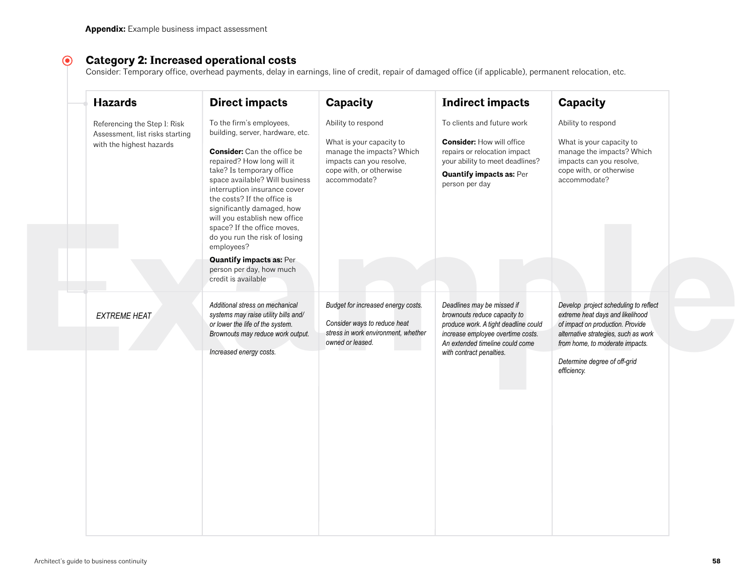#### $\odot$ **Category 2: Increased operational costs**

Consider: Temporary office, overhead payments, delay in earnings, line of credit, repair of damaged office (if applicable), permanent relocation, etc.

| Referencing the Step 1: Risk<br>Assessment, list risks starting<br>with the highest hazards | To the firm's employees,<br>building, server, hardware, etc.<br><b>Consider:</b> Can the office be<br>repaired? How long will it<br>take? Is temporary office<br>space available? Will business<br>interruption insurance cover<br>the costs? If the office is | Ability to respond<br>What is your capacity to<br>manage the impacts? Which<br>impacts can you resolve,<br>cope with, or otherwise<br>accommodate? | To clients and future work<br><b>Consider: How will office</b><br>repairs or relocation impact<br>your ability to meet deadlines?<br><b>Quantify impacts as: Per</b>                                   | Ability to respond<br>What is your capacity to<br>manage the impacts? Which<br>impacts can you resolve,<br>cope with, or otherwise                                                                                                      |
|---------------------------------------------------------------------------------------------|----------------------------------------------------------------------------------------------------------------------------------------------------------------------------------------------------------------------------------------------------------------|----------------------------------------------------------------------------------------------------------------------------------------------------|--------------------------------------------------------------------------------------------------------------------------------------------------------------------------------------------------------|-----------------------------------------------------------------------------------------------------------------------------------------------------------------------------------------------------------------------------------------|
|                                                                                             | significantly damaged, how<br>will you establish new office<br>space? If the office moves,<br>do you run the risk of losing<br>employees?<br><b>Quantify impacts as: Per-</b><br>person per day, how much                                                      |                                                                                                                                                    | person per day                                                                                                                                                                                         | accommodate?                                                                                                                                                                                                                            |
|                                                                                             | credit is available                                                                                                                                                                                                                                            |                                                                                                                                                    |                                                                                                                                                                                                        |                                                                                                                                                                                                                                         |
| <b>EXTREME HEAT</b>                                                                         | Additional stress on mechanical<br>systems may raise utility bills and/<br>or lower the life of the system.<br>Brownouts may reduce work output.<br>Increased energy costs.                                                                                    | Budget for increased energy costs.<br>Consider ways to reduce heat<br>stress in work environment, whether<br>owned or leased.                      | Deadlines may be missed if<br>brownouts reduce capacity to<br>produce work. A tight deadline could<br>increase employee overtime costs.<br>An extended timeline could come<br>with contract penalties. | Develop project scheduling to reflect<br>extreme heat days and likelihood<br>of impact on production. Provide<br>alternative strategies, such as work<br>from home, to moderate impacts.<br>Determine degree of off-grid<br>efficiency. |
|                                                                                             |                                                                                                                                                                                                                                                                |                                                                                                                                                    |                                                                                                                                                                                                        |                                                                                                                                                                                                                                         |
|                                                                                             |                                                                                                                                                                                                                                                                |                                                                                                                                                    |                                                                                                                                                                                                        |                                                                                                                                                                                                                                         |
|                                                                                             |                                                                                                                                                                                                                                                                |                                                                                                                                                    |                                                                                                                                                                                                        |                                                                                                                                                                                                                                         |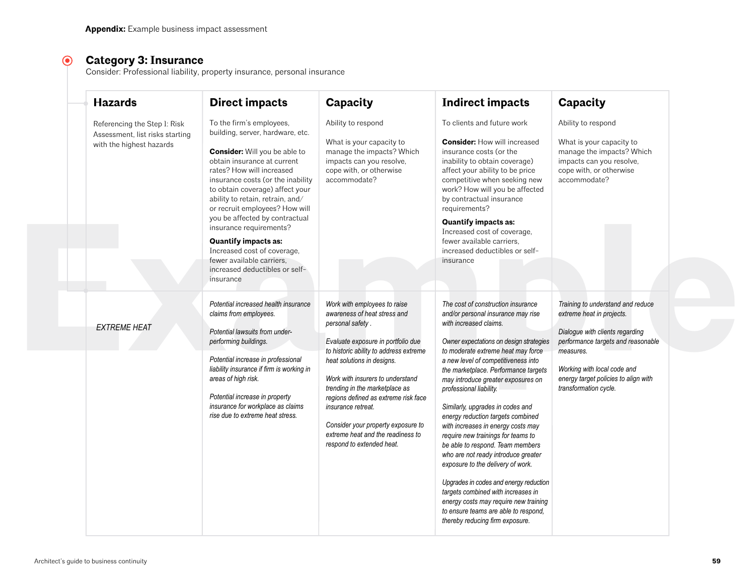#### $\odot$ **Category 3: Insurance**

Consider: Professional liability, property insurance, personal insurance

| <b>Hazards</b>                                                                              | <b>Direct impacts</b>                                                                                                                                                                                                                                                                                                                                                                                                                                                                                                 | Capacity                                                                                                                                                                                                                                                                                                                                                                                                                                   | <b>Indirect impacts</b>                                                                                                                                                                                                                                                                                                                                                                                                                                                                                                                                                                                                                                                                                                                                                                                      | Capacity                                                                                                                                                                                                                                             |
|---------------------------------------------------------------------------------------------|-----------------------------------------------------------------------------------------------------------------------------------------------------------------------------------------------------------------------------------------------------------------------------------------------------------------------------------------------------------------------------------------------------------------------------------------------------------------------------------------------------------------------|--------------------------------------------------------------------------------------------------------------------------------------------------------------------------------------------------------------------------------------------------------------------------------------------------------------------------------------------------------------------------------------------------------------------------------------------|--------------------------------------------------------------------------------------------------------------------------------------------------------------------------------------------------------------------------------------------------------------------------------------------------------------------------------------------------------------------------------------------------------------------------------------------------------------------------------------------------------------------------------------------------------------------------------------------------------------------------------------------------------------------------------------------------------------------------------------------------------------------------------------------------------------|------------------------------------------------------------------------------------------------------------------------------------------------------------------------------------------------------------------------------------------------------|
| Referencing the Step I: Risk<br>Assessment, list risks starting<br>with the highest hazards | To the firm's employees,<br>building, server, hardware, etc.<br><b>Consider:</b> Will you be able to<br>obtain insurance at current<br>rates? How will increased<br>insurance costs (or the inability<br>to obtain coverage) affect your<br>ability to retain, retrain, and/<br>or recruit employees? How will<br>you be affected by contractual<br>insurance requirements?<br><b>Quantify impacts as:</b><br>Increased cost of coverage,<br>fewer available carriers,<br>increased deductibles or self-<br>insurance | Ability to respond<br>What is your capacity to<br>manage the impacts? Which<br>impacts can you resolve,<br>cope with, or otherwise<br>accommodate?                                                                                                                                                                                                                                                                                         | To clients and future work<br><b>Consider:</b> How will increased<br>insurance costs (or the<br>inability to obtain coverage)<br>affect your ability to be price<br>competitive when seeking new<br>work? How will you be affected<br>by contractual insurance<br>requirements?<br><b>Quantify impacts as:</b><br>Increased cost of coverage,<br>fewer available carriers.<br>increased deductibles or self-<br>insurance                                                                                                                                                                                                                                                                                                                                                                                    | Ability to respond<br>What is your capacity to<br>manage the impacts? Which<br>impacts can you resolve,<br>cope with, or otherwise<br>accommodate?                                                                                                   |
| <b>EXTREME HEAT</b>                                                                         | Potential increased health insurance<br>claims from employees.<br>Potential lawsuits from under-<br>performing buildings.<br>Potential increase in professional<br>liability insurance if firm is working in<br>areas of high risk.<br>Potential increase in property<br>insurance for workplace as claims<br>rise due to extreme heat stress.                                                                                                                                                                        | Work with employees to raise<br>awareness of heat stress and<br>personal safety.<br>Evaluate exposure in portfolio due<br>to historic ability to address extreme<br>heat solutions in designs.<br>Work with insurers to understand<br>trending in the marketplace as<br>regions defined as extreme risk face<br>insurance retreat.<br>Consider your property exposure to<br>extreme heat and the readiness to<br>respond to extended heat. | The cost of construction insurance<br>and/or personal insurance may rise<br>with increased claims.<br>Owner expectations on design strategies<br>to moderate extreme heat may force<br>a new level of competitiveness into<br>the marketplace. Performance targets<br>may introduce greater exposures on<br>professional liability.<br>Similarly, upgrades in codes and<br>energy reduction targets combined<br>with increases in energy costs may<br>require new trainings for teams to<br>be able to respond. Team members<br>who are not ready introduce greater<br>exposure to the delivery of work.<br>Upgrades in codes and energy reduction<br>targets combined with increases in<br>energy costs may require new training<br>to ensure teams are able to respond.<br>thereby reducing firm exposure. | Training to understand and reduce<br>extreme heat in projects.<br>Dialogue with clients regarding<br>performance targets and reasonable<br>measures.<br>Working with local code and<br>energy target policies to align with<br>transformation cycle. |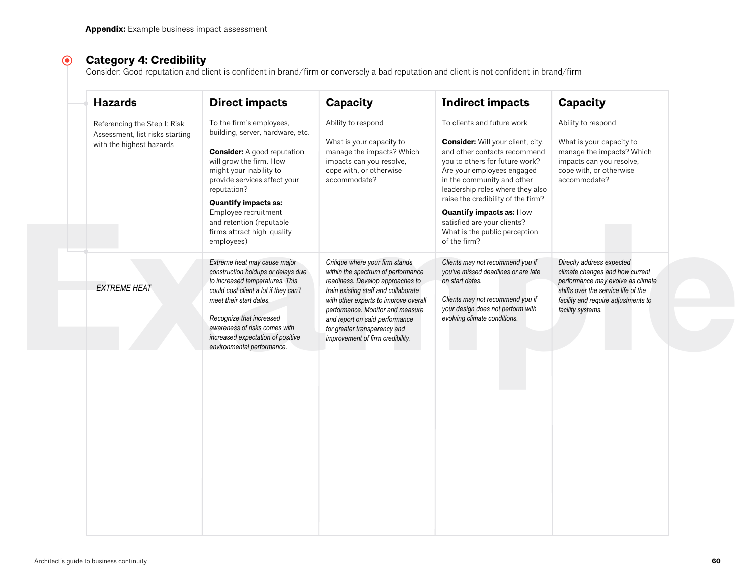#### $\odot$ **Category 4: Credibility**

Consider: Good reputation and client is confident in brand/firm or conversely a bad reputation and client is not confident in brand/firm

| <b>Hazards</b>                                                                              | <b>Direct impacts</b>                                                                                                                                                                                                                                                                                                                  | Capacity                                                                                                                                                                                                                                                                                                                             | <b>Indirect impacts</b>                                                                                                                                                                                                                                                                                                                                                                    | Capacity                                                                                                                                                                                             |
|---------------------------------------------------------------------------------------------|----------------------------------------------------------------------------------------------------------------------------------------------------------------------------------------------------------------------------------------------------------------------------------------------------------------------------------------|--------------------------------------------------------------------------------------------------------------------------------------------------------------------------------------------------------------------------------------------------------------------------------------------------------------------------------------|--------------------------------------------------------------------------------------------------------------------------------------------------------------------------------------------------------------------------------------------------------------------------------------------------------------------------------------------------------------------------------------------|------------------------------------------------------------------------------------------------------------------------------------------------------------------------------------------------------|
| Referencing the Step 1: Risk<br>Assessment, list risks starting<br>with the highest hazards | To the firm's employees,<br>building, server, hardware, etc.<br><b>Consider:</b> A good reputation<br>will grow the firm. How<br>might your inability to<br>provide services affect your<br>reputation?<br><b>Quantify impacts as:</b><br>Employee recruitment<br>and retention (reputable<br>firms attract high-quality<br>employees) | Ability to respond<br>What is your capacity to<br>manage the impacts? Which<br>impacts can you resolve,<br>cope with, or otherwise<br>accommodate?                                                                                                                                                                                   | To clients and future work<br>Consider: Will your client, city,<br>and other contacts recommend<br>you to others for future work?<br>Are your employees engaged<br>in the community and other<br>leadership roles where they also<br>raise the credibility of the firm?<br><b>Quantify impacts as: How</b><br>satisfied are your clients?<br>What is the public perception<br>of the firm? | Ability to respond<br>What is your capacity to<br>manage the impacts? Which<br>impacts can you resolve,<br>cope with, or otherwise<br>accommodate?                                                   |
| <b>EXTREME HEAT</b>                                                                         | Extreme heat may cause major<br>construction holdups or delays due<br>to increased temperatures. This<br>could cost client a lot if they can't<br>meet their start dates.<br>Recognize that increased<br>awareness of risks comes with<br>increased expectation of positive<br>environmental performance.                              | Critique where your firm stands<br>within the spectrum of performance<br>readiness. Develop approaches to<br>train existing staff and collaborate<br>with other experts to improve overall<br>performance. Monitor and measure<br>and report on said performance<br>for greater transparency and<br>improvement of firm credibility. | Clients may not recommend you if<br>you've missed deadlines or are late<br>on start dates.<br>Clients may not recommend you if<br>your design does not perform with<br>evolving climate conditions.                                                                                                                                                                                        | Directly address expected<br>climate changes and how current<br>performance may evolve as climate<br>shifts over the service life of the<br>facility and require adjustments to<br>facility systems. |
|                                                                                             |                                                                                                                                                                                                                                                                                                                                        |                                                                                                                                                                                                                                                                                                                                      |                                                                                                                                                                                                                                                                                                                                                                                            |                                                                                                                                                                                                      |
|                                                                                             |                                                                                                                                                                                                                                                                                                                                        |                                                                                                                                                                                                                                                                                                                                      |                                                                                                                                                                                                                                                                                                                                                                                            |                                                                                                                                                                                                      |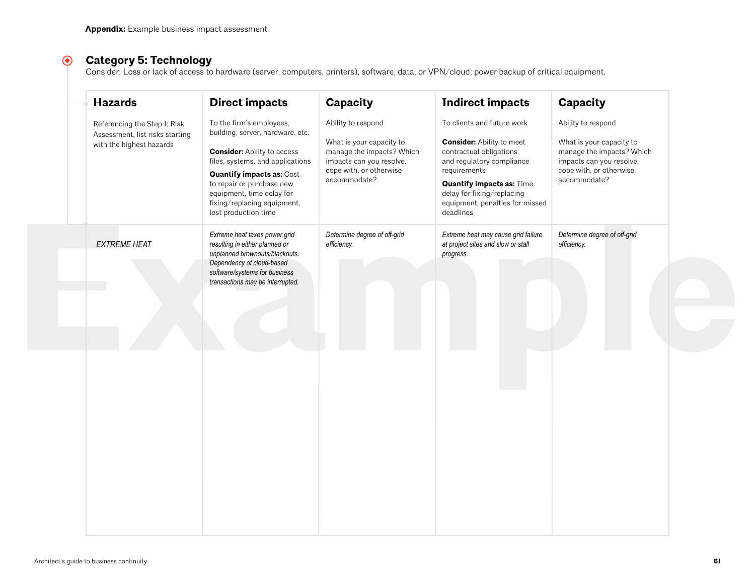#### $\odot$ **Category 5: Technology**

Consider: Loss or lack of access to hardware (server, computers, printers), software, data, or VPN/cloud; power backup of critical equipment.

| To the firm's employees,<br>Ability to respond<br>To clients and future work<br>Ability to respond<br>Referencing the Step 1: Risk<br>building, server, hardware, etc.<br>Assessment, list risks starting<br><b>Consider:</b> Ability to meet<br>What is your capacity to<br>What is your capacity to<br>with the highest hazards<br><b>Consider:</b> Ability to access<br>manage the impacts? Which<br>contractual obligations<br>manage the impacts? Which<br>files, systems, and applications<br>impacts can you resolve,<br>and regulatory compliance<br>impacts can you resolve,<br>cope with, or otherwise<br>requirements<br>cope with, or otherwise<br><b>Quantify impacts as: Cost</b><br>accommodate?<br>accommodate?<br>to repair or purchase new<br><b>Quantify impacts as: Time</b><br>equipment, time delay for<br>delay for fixing/replacing<br>equipment, penalties for missed<br>fixing/replacing equipment,<br>lost production time<br>deadlines<br>Extreme heat taxes power grid<br>Determine degree of off-grid<br>Extreme heat may cause grid failure<br>Determine degree of off-grid<br><b>EXTREME HEAT</b><br>resulting in either planned or<br>efficiency.<br>at project sites and slow or stall<br>efficiency.<br>unplanned brownouts/blackouts.<br>progress.<br>Dependency of cloud-based<br>software/systems for business<br>transactions may be interrupted. | <b>Hazards</b> | <b>Direct impacts</b> | Capacity | <b>Indirect impacts</b> | Capacity |
|------------------------------------------------------------------------------------------------------------------------------------------------------------------------------------------------------------------------------------------------------------------------------------------------------------------------------------------------------------------------------------------------------------------------------------------------------------------------------------------------------------------------------------------------------------------------------------------------------------------------------------------------------------------------------------------------------------------------------------------------------------------------------------------------------------------------------------------------------------------------------------------------------------------------------------------------------------------------------------------------------------------------------------------------------------------------------------------------------------------------------------------------------------------------------------------------------------------------------------------------------------------------------------------------------------------------------------------------------------------------------------------|----------------|-----------------------|----------|-------------------------|----------|
|                                                                                                                                                                                                                                                                                                                                                                                                                                                                                                                                                                                                                                                                                                                                                                                                                                                                                                                                                                                                                                                                                                                                                                                                                                                                                                                                                                                          |                |                       |          |                         |          |
|                                                                                                                                                                                                                                                                                                                                                                                                                                                                                                                                                                                                                                                                                                                                                                                                                                                                                                                                                                                                                                                                                                                                                                                                                                                                                                                                                                                          |                |                       |          |                         |          |